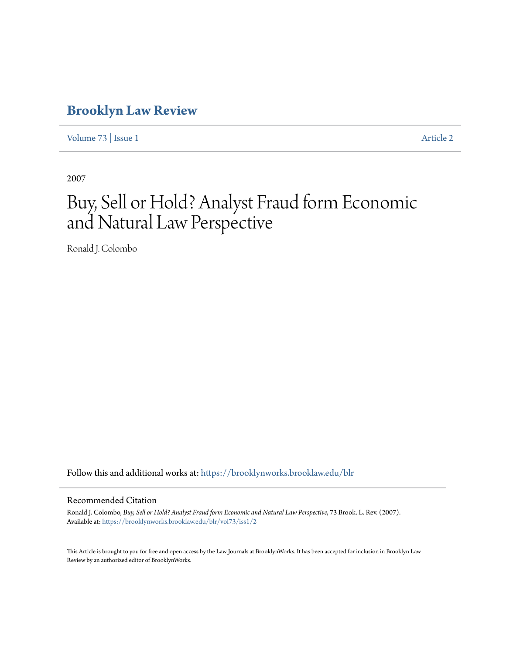# **[Brooklyn Law Review](https://brooklynworks.brooklaw.edu/blr?utm_source=brooklynworks.brooklaw.edu%2Fblr%2Fvol73%2Fiss1%2F2&utm_medium=PDF&utm_campaign=PDFCoverPages)**

[Volume 73](https://brooklynworks.brooklaw.edu/blr/vol73?utm_source=brooklynworks.brooklaw.edu%2Fblr%2Fvol73%2Fiss1%2F2&utm_medium=PDF&utm_campaign=PDFCoverPages) | [Issue 1](https://brooklynworks.brooklaw.edu/blr/vol73/iss1?utm_source=brooklynworks.brooklaw.edu%2Fblr%2Fvol73%2Fiss1%2F2&utm_medium=PDF&utm_campaign=PDFCoverPages) [Article 2](https://brooklynworks.brooklaw.edu/blr/vol73/iss1/2?utm_source=brooklynworks.brooklaw.edu%2Fblr%2Fvol73%2Fiss1%2F2&utm_medium=PDF&utm_campaign=PDFCoverPages)

2007

# Buy, Sell or Hold? Analyst Fraud form Economic and Natural Law Perspective

Ronald J. Colombo

Follow this and additional works at: [https://brooklynworks.brooklaw.edu/blr](https://brooklynworks.brooklaw.edu/blr?utm_source=brooklynworks.brooklaw.edu%2Fblr%2Fvol73%2Fiss1%2F2&utm_medium=PDF&utm_campaign=PDFCoverPages)

# Recommended Citation

Ronald J. Colombo, *Buy, Sell or Hold? Analyst Fraud form Economic and Natural Law Perspective*, 73 Brook. L. Rev. (2007). Available at: [https://brooklynworks.brooklaw.edu/blr/vol73/iss1/2](https://brooklynworks.brooklaw.edu/blr/vol73/iss1/2?utm_source=brooklynworks.brooklaw.edu%2Fblr%2Fvol73%2Fiss1%2F2&utm_medium=PDF&utm_campaign=PDFCoverPages)

This Article is brought to you for free and open access by the Law Journals at BrooklynWorks. It has been accepted for inclusion in Brooklyn Law Review by an authorized editor of BrooklynWorks.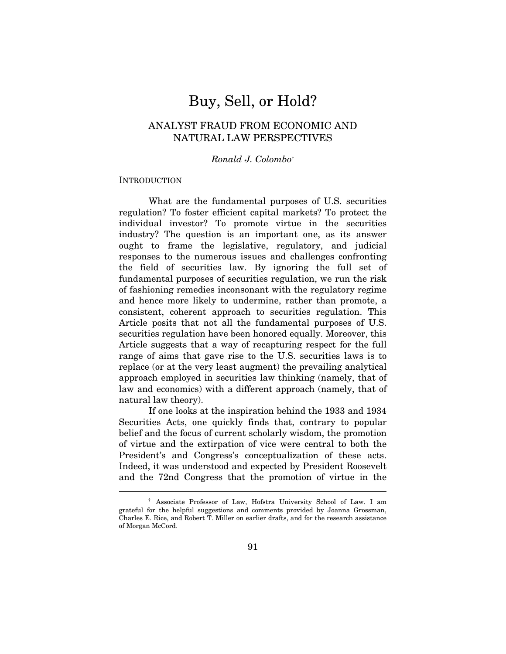# Buy, Sell, or Hold?

# ANALYST FRAUD FROM ECONOMIC AND NATURAL LAW PERSPECTIVES

# Ronald J. Colombo†

#### **INTRODUCTION**

 $\overline{a}$ 

What are the fundamental purposes of U.S. securities regulation? To foster efficient capital markets? To protect the individual investor? To promote virtue in the securities industry? The question is an important one, as its answer ought to frame the legislative, regulatory, and judicial responses to the numerous issues and challenges confronting the field of securities law. By ignoring the full set of fundamental purposes of securities regulation, we run the risk of fashioning remedies inconsonant with the regulatory regime and hence more likely to undermine, rather than promote, a consistent, coherent approach to securities regulation. This Article posits that not all the fundamental purposes of U.S. securities regulation have been honored equally. Moreover, this Article suggests that a way of recapturing respect for the full range of aims that gave rise to the U.S. securities laws is to replace (or at the very least augment) the prevailing analytical approach employed in securities law thinking (namely, that of law and economics) with a different approach (namely, that of natural law theory).

If one looks at the inspiration behind the 1933 and 1934 Securities Acts, one quickly finds that, contrary to popular belief and the focus of current scholarly wisdom, the promotion of virtue and the extirpation of vice were central to both the President's and Congress's conceptualization of these acts. Indeed, it was understood and expected by President Roosevelt and the 72nd Congress that the promotion of virtue in the

 <sup>†</sup> Associate Professor of Law, Hofstra University School of Law. I am grateful for the helpful suggestions and comments provided by Joanna Grossman, Charles E. Rice, and Robert T. Miller on earlier drafts, and for the research assistance of Morgan McCord.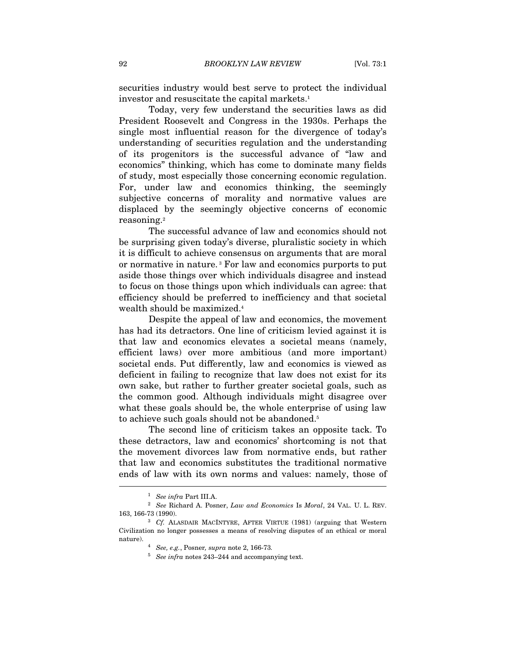securities industry would best serve to protect the individual investor and resuscitate the capital markets.1

Today, very few understand the securities laws as did President Roosevelt and Congress in the 1930s. Perhaps the single most influential reason for the divergence of today's understanding of securities regulation and the understanding of its progenitors is the successful advance of "law and economics" thinking, which has come to dominate many fields of study, most especially those concerning economic regulation. For, under law and economics thinking, the seemingly subjective concerns of morality and normative values are displaced by the seemingly objective concerns of economic reasoning.2

The successful advance of law and economics should not be surprising given today's diverse, pluralistic society in which it is difficult to achieve consensus on arguments that are moral or normative in nature. 3 For law and economics purports to put aside those things over which individuals disagree and instead to focus on those things upon which individuals can agree: that efficiency should be preferred to inefficiency and that societal wealth should be maximized.4

Despite the appeal of law and economics, the movement has had its detractors. One line of criticism levied against it is that law and economics elevates a societal means (namely, efficient laws) over more ambitious (and more important) societal ends. Put differently, law and economics is viewed as deficient in failing to recognize that law does not exist for its own sake, but rather to further greater societal goals, such as the common good. Although individuals might disagree over what these goals should be, the whole enterprise of using law to achieve such goals should not be abandoned.<sup>5</sup>

The second line of criticism takes an opposite tack. To these detractors, law and economics' shortcoming is not that the movement divorces law from normative ends, but rather that law and economics substitutes the traditional normative ends of law with its own norms and values: namely, those of  $\overline{a}$ 

 $1\atop{2}$  See Richard A. Posner, Law and Economics Is Moral, 24 VAL. U. L. REV. 163, 166-73 (1990).

 $16$ <sup>3</sup> Cf. ALASDAIR MACINTYRE, AFTER VIRTUE (1981) (arguing that Western Civilization no longer possesses a means of resolving disputes of an ethical or moral nature).  $4\,$  See, e.g., Posner, supra note 2, 166-73.

 $5$  See infra notes 243–244 and accompanying text.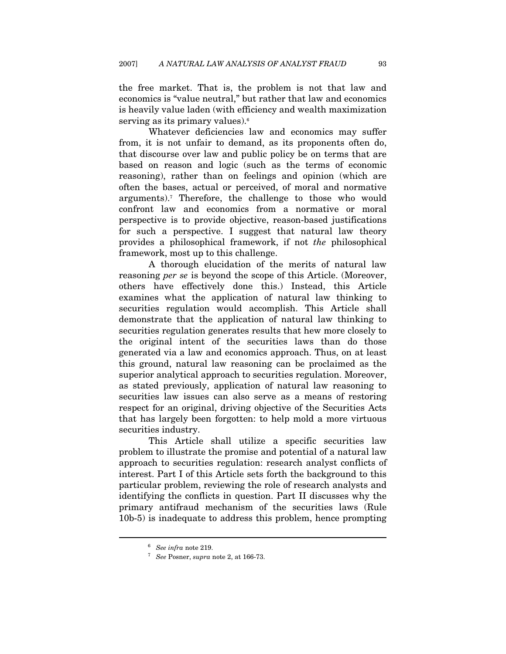the free market. That is, the problem is not that law and economics is "value neutral," but rather that law and economics is heavily value laden (with efficiency and wealth maximization serving as its primary values).<sup>6</sup>

Whatever deficiencies law and economics may suffer from, it is not unfair to demand, as its proponents often do, that discourse over law and public policy be on terms that are based on reason and logic (such as the terms of economic reasoning), rather than on feelings and opinion (which are often the bases, actual or perceived, of moral and normative arguments).7 Therefore, the challenge to those who would confront law and economics from a normative or moral perspective is to provide objective, reason-based justifications for such a perspective. I suggest that natural law theory provides a philosophical framework, if not the philosophical framework, most up to this challenge.

A thorough elucidation of the merits of natural law reasoning per se is beyond the scope of this Article. (Moreover, others have effectively done this.) Instead, this Article examines what the application of natural law thinking to securities regulation would accomplish. This Article shall demonstrate that the application of natural law thinking to securities regulation generates results that hew more closely to the original intent of the securities laws than do those generated via a law and economics approach. Thus, on at least this ground, natural law reasoning can be proclaimed as the superior analytical approach to securities regulation. Moreover, as stated previously, application of natural law reasoning to securities law issues can also serve as a means of restoring respect for an original, driving objective of the Securities Acts that has largely been forgotten: to help mold a more virtuous securities industry.

This Article shall utilize a specific securities law problem to illustrate the promise and potential of a natural law approach to securities regulation: research analyst conflicts of interest. Part I of this Article sets forth the background to this particular problem, reviewing the role of research analysts and identifying the conflicts in question. Part II discusses why the primary antifraud mechanism of the securities laws (Rule 10b-5) is inadequate to address this problem, hence prompting

<sup>&</sup>lt;sup>6</sup> See infra note 219.<br><sup>7</sup> See Posner, supra note 2, at 166-73.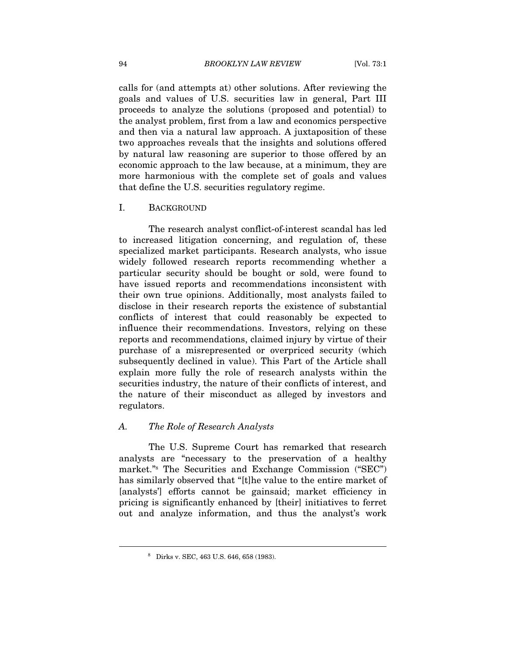calls for (and attempts at) other solutions. After reviewing the goals and values of U.S. securities law in general, Part III proceeds to analyze the solutions (proposed and potential) to the analyst problem, first from a law and economics perspective and then via a natural law approach. A juxtaposition of these two approaches reveals that the insights and solutions offered by natural law reasoning are superior to those offered by an economic approach to the law because, at a minimum, they are more harmonious with the complete set of goals and values that define the U.S. securities regulatory regime.

#### I. BACKGROUND

The research analyst conflict-of-interest scandal has led to increased litigation concerning, and regulation of, these specialized market participants. Research analysts, who issue widely followed research reports recommending whether a particular security should be bought or sold, were found to have issued reports and recommendations inconsistent with their own true opinions. Additionally, most analysts failed to disclose in their research reports the existence of substantial conflicts of interest that could reasonably be expected to influence their recommendations. Investors, relying on these reports and recommendations, claimed injury by virtue of their purchase of a misrepresented or overpriced security (which subsequently declined in value). This Part of the Article shall explain more fully the role of research analysts within the securities industry, the nature of their conflicts of interest, and the nature of their misconduct as alleged by investors and regulators.

#### A. The Role of Research Analysts

The U.S. Supreme Court has remarked that research analysts are "necessary to the preservation of a healthy market."8 The Securities and Exchange Commission ("SEC") has similarly observed that "[t]he value to the entire market of [analysts<sup>'</sup>] efforts cannot be gainsaid; market efficiency in pricing is significantly enhanced by [their] initiatives to ferret out and analyze information, and thus the analyst's work

<sup>8</sup> Dirks v. SEC, 463 U.S. 646, 658 (1983).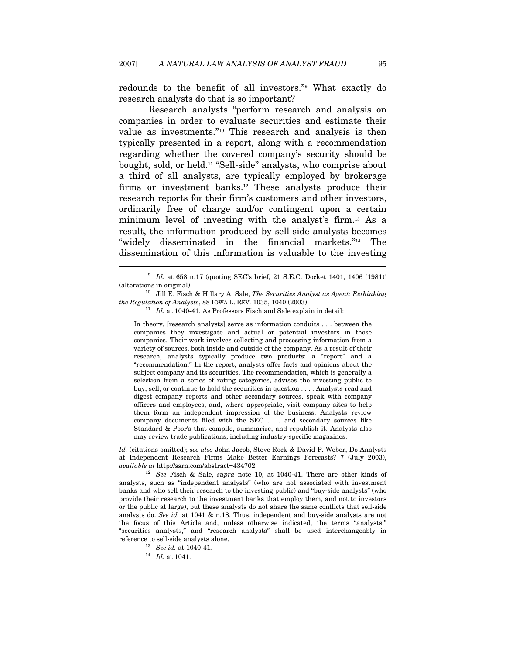redounds to the benefit of all investors."9 What exactly do research analysts do that is so important?

Research analysts "perform research and analysis on companies in order to evaluate securities and estimate their value as investments."10 This research and analysis is then typically presented in a report, along with a recommendation regarding whether the covered company's security should be bought, sold, or held.11 "Sell-side" analysts, who comprise about a third of all analysts, are typically employed by brokerage firms or investment banks.12 These analysts produce their research reports for their firm's customers and other investors, ordinarily free of charge and/or contingent upon a certain minimum level of investing with the analyst's firm.13 As a result, the information produced by sell-side analysts becomes "widely disseminated in the financial markets."14 The dissemination of this information is valuable to the investing

In theory, [research analysts] serve as information conduits . . . between the companies they investigate and actual or potential investors in those companies. Their work involves collecting and processing information from a variety of sources, both inside and outside of the company. As a result of their research, analysts typically produce two products: a "report" and a "recommendation." In the report, analysts offer facts and opinions about the subject company and its securities. The recommendation, which is generally a selection from a series of rating categories, advises the investing public to buy, sell, or continue to hold the securities in question . . . . Analysts read and digest company reports and other secondary sources, speak with company officers and employees, and, where appropriate, visit company sites to help them form an independent impression of the business. Analysts review company documents filed with the SEC . . . and secondary sources like Standard & Poor's that compile, summarize, and republish it. Analysts also may review trade publications, including industry-specific magazines.

Id. (citations omitted); see also John Jacob, Steve Rock & David P. Weber, Do Analysts at Independent Research Firms Make Better Earnings Forecasts? 7 (July 2003), available at http://ssrn.com/abstract=434702.<br><sup>12</sup> See Fisch & Sale, *supra* note 10, at 1040-41. There are other kinds of

analysts, such as "independent analysts" (who are not associated with investment banks and who sell their research to the investing public) and "buy-side analysts" (who provide their research to the investment banks that employ them, and not to investors or the public at large), but these analysts do not share the same conflicts that sell-side analysts do. See id. at 1041 & n.18. Thus, independent and buy-side analysts are not the focus of this Article and, unless otherwise indicated, the terms "analysts," "securities analysts," and "research analysts" shall be used interchangeably in reference to sell-side analysts alone.<br>  $\begin{array}{r} \n^{13} \quad \text{See} \; id. \; \text{at} \; 1040\text{-}41. \n\end{array}$   $\begin{array}{r} \n^{14} \quad \text{Id.} \; \text{at} \; 1041. \n\end{array}$ 

 $^9$   $\,$  Id. at 658 n.17 (quoting SEC's brief, 21 S.E.C. Docket 1401, 1406 (1981)) (alterations in original).

 $10$  Jill E. Fisch & Hillary A. Sale, The Securities Analyst as Agent: Rethinking the Regulation of Analysts, 88 IOWA L. REV. 1035, 1040 (2003).<br><sup>11</sup> Id. at 1040-41. As Professors Fisch and Sale explain in detail: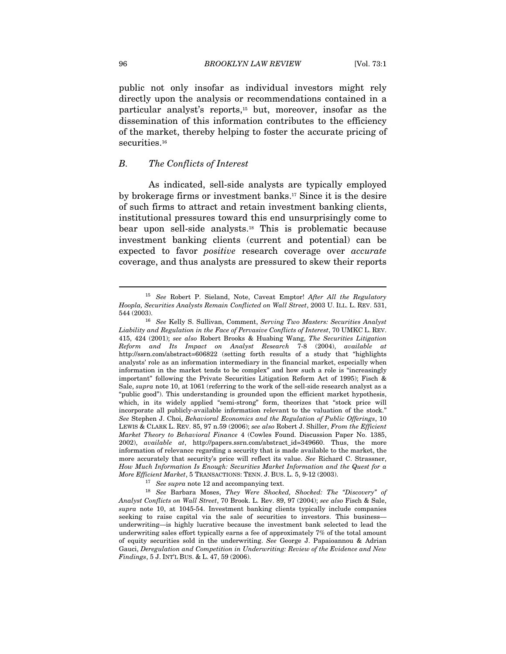public not only insofar as individual investors might rely directly upon the analysis or recommendations contained in a particular analyst's reports,15 but, moreover, insofar as the dissemination of this information contributes to the efficiency of the market, thereby helping to foster the accurate pricing of securities.<sup>16</sup>

#### B. The Conflicts of Interest

As indicated, sell-side analysts are typically employed by brokerage firms or investment banks.17 Since it is the desire of such firms to attract and retain investment banking clients, institutional pressures toward this end unsurprisingly come to bear upon sell-side analysts.18 This is problematic because investment banking clients (current and potential) can be expected to favor positive research coverage over accurate coverage, and thus analysts are pressured to skew their reports

 $15$  See Robert P. Sieland, Note, Caveat Emptor! After All the Regulatory Hoopla, Securities Analysts Remain Conflicted on Wall Street, 2003 U. ILL. L. REV. 531,

<sup>544 (2003). 16</sup> See Kelly S. Sullivan, Comment, Serving Two Masters: Securities Analyst Liability and Regulation in the Face of Pervasive Conflicts of Interest, 70 UMKC L. REV. 415, 424 (2001); see also Robert Brooks & Huabing Wang, The Securities Litigation Reform and Its Impact on Analyst Research 7-8 (2004), available at http://ssrn.com/abstract=606822 (setting forth results of a study that "highlights analysts' role as an information intermediary in the financial market, especially when information in the market tends to be complex" and how such a role is "increasingly important" following the Private Securities Litigation Reform Act of 1995); Fisch & Sale, supra note 10, at 1061 (referring to the work of the sell-side research analyst as a "public good"). This understanding is grounded upon the efficient market hypothesis, which, in its widely applied "semi-strong" form, theorizes that "stock price will incorporate all publicly-available information relevant to the valuation of the stock." See Stephen J. Choi, Behavioral Economics and the Regulation of Public Offerings, 10 LEWIS & CLARK L. REV. 85, 97 n.59 (2006); see also Robert J. Shiller, From the Efficient Market Theory to Behavioral Finance 4 (Cowles Found. Discussion Paper No. 1385, 2002), *available at*, http://papers.ssrn.com/abstract\_id=349660. Thus, the more information of relevance regarding a security that is made available to the market, the more accurately that security's price will reflect its value. See Richard C. Strassner, How Much Information Is Enough: Securities Market Information and the Quest for a

More Efficient Market, 5 TRANSACTIONS: TENN. J. BUS. L. 5, 9-12 (2003).<br><sup>17</sup> See supra note 12 and accompanying text.<br><sup>18</sup> See Barbara Moses, *They Were Shocked, Shocked: The "Discovery" of* Analyst Conflicts on Wall Street, 70 Brook. L. Rev. 89, 97 (2004); see also Fisch & Sale, supra note 10, at 1045-54. Investment banking clients typically include companies seeking to raise capital via the sale of securities to investors. This business underwriting—is highly lucrative because the investment bank selected to lead the underwriting sales effort typically earns a fee of approximately 7% of the total amount of equity securities sold in the underwriting. See George J. Papaioannou & Adrian Gauci, Deregulation and Competition in Underwriting: Review of the Evidence and New Findings, 5 J. INT'L BUS. & L. 47, 59 (2006).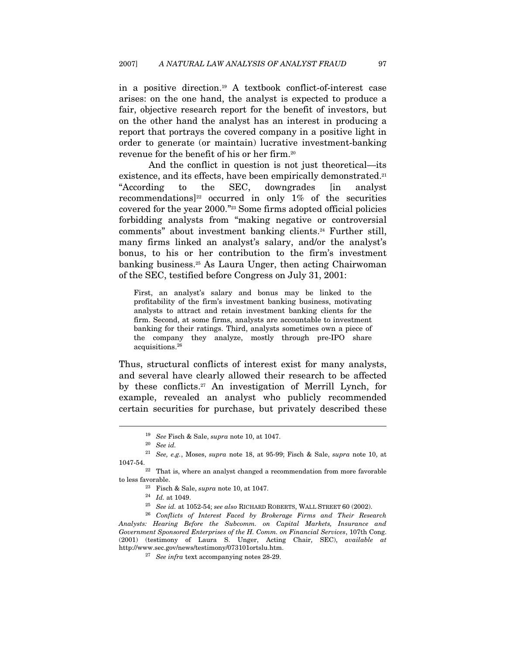in a positive direction.19 A textbook conflict-of-interest case arises: on the one hand, the analyst is expected to produce a fair, objective research report for the benefit of investors, but on the other hand the analyst has an interest in producing a report that portrays the covered company in a positive light in order to generate (or maintain) lucrative investment-banking revenue for the benefit of his or her firm.20

And the conflict in question is not just theoretical—its existence, and its effects, have been empirically demonstrated.<sup>21</sup> "According to the SEC, downgrades [in analyst recommendations]<sup>22</sup> occurred in only 1% of the securities covered for the year 2000."23 Some firms adopted official policies forbidding analysts from "making negative or controversial comments" about investment banking clients.24 Further still, many firms linked an analyst's salary, and/or the analyst's bonus, to his or her contribution to the firm's investment banking business.25 As Laura Unger, then acting Chairwoman of the SEC, testified before Congress on July 31, 2001:

First, an analyst's salary and bonus may be linked to the profitability of the firm's investment banking business, motivating analysts to attract and retain investment banking clients for the firm. Second, at some firms, analysts are accountable to investment banking for their ratings. Third, analysts sometimes own a piece of the company they analyze, mostly through pre-IPO share acquisitions.26

Thus, structural conflicts of interest exist for many analysts, and several have clearly allowed their research to be affected by these conflicts.27 An investigation of Merrill Lynch, for example, revealed an analyst who publicly recommended certain securities for purchase, but privately described these

<sup>19</sup> See Fisch & Sale, supra note 10, at 1047.

 $20$  See id.

 $^{21}\,$  See, e.g., Moses,  $supra$  note 18, at 95-99; Fisch & Sale,  $supra$  note 10, at 1047-54.

 $22$  That is, where an analyst changed a recommendation from more favorable to less favorable.<br><sup>23</sup> Fisch & Sale, *supra* note 10, at 1047.<br><sup>24</sup> Id. at 1049.<br><sup>25</sup> See id. at 1052-54; see also RICHARD ROBERTS, WALL STREET 60 (2002).<br><sup>26</sup> Conflicts of Interest Faced by Brokerage Firms and Their Res

Analysts: Hearing Before the Subcomm. on Capital Markets, Insurance and Government Sponsored Enterprises of the H. Comm. on Financial Services, 107th Cong. (2001) (testimony of Laura S. Unger, Acting Chair, SEC), available at http://www.sec.gov/news/testimony/073101ortslu.htm. 27 See infra text accompanying notes 28-29.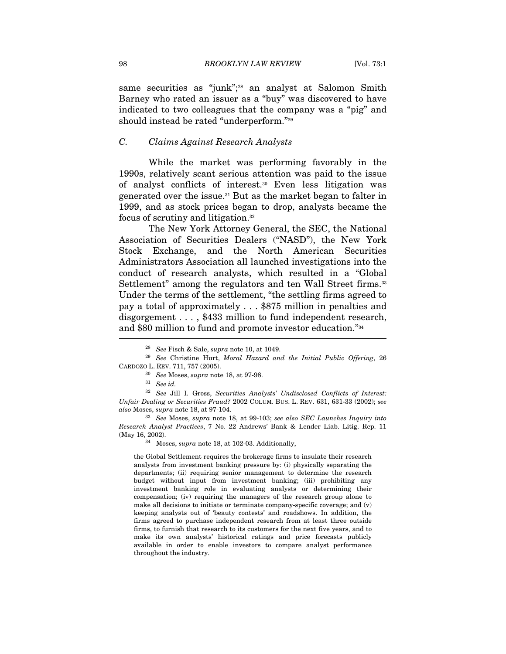same securities as "junk";<sup>28</sup> an analyst at Salomon Smith Barney who rated an issuer as a "buy" was discovered to have indicated to two colleagues that the company was a "pig" and should instead be rated "underperform."29

#### C. Claims Against Research Analysts

While the market was performing favorably in the 1990s, relatively scant serious attention was paid to the issue of analyst conflicts of interest.30 Even less litigation was generated over the issue.31 But as the market began to falter in 1999, and as stock prices began to drop, analysts became the focus of scrutiny and litigation.32

The New York Attorney General, the SEC, the National Association of Securities Dealers ("NASD"), the New York Stock Exchange, and the North American Securities Administrators Association all launched investigations into the conduct of research analysts, which resulted in a "Global Settlement" among the regulators and ten Wall Street firms.<sup>33</sup> Under the terms of the settlement, "the settling firms agreed to pay a total of approximately . . . \$875 million in penalties and disgorgement . . . , \$433 million to fund independent research, and \$80 million to fund and promote investor education."34

<sup>32</sup> See Jill I. Gross, Securities Analysts' Undisclosed Conflicts of Interest: Unfair Dealing or Securities Fraud? 2002 COLUM. BUS. L. REV. 631, 631-33 (2002); see also Moses, supra note 18, at 97-104.

<sup>33</sup> See Moses, supra note 18, at 99-103; see also SEC Launches Inquiry into Research Analyst Practices, 7 No. 22 Andrews' Bank & Lender Liab. Litig. Rep. 11 (May 16, 2002).  $$^{34}\,$  Moses,  $supra$  note 18, at 102-03. Additionally,

the Global Settlement requires the brokerage firms to insulate their research analysts from investment banking pressure by: (i) physically separating the departments; (ii) requiring senior management to determine the research budget without input from investment banking; (iii) prohibiting any investment banking role in evaluating analysts or determining their compensation; (iv) requiring the managers of the research group alone to make all decisions to initiate or terminate company-specific coverage; and (v) keeping analysts out of 'beauty contests' and roadshows. In addition, the firms agreed to purchase independent research from at least three outside firms, to furnish that research to its customers for the next five years, and to make its own analysts' historical ratings and price forecasts publicly available in order to enable investors to compare analyst performance throughout the industry.

<sup>&</sup>lt;sup>28</sup> See Fisch & Sale, supra note 10, at 1049.

 $29$  See Christine Hurt, Moral Hazard and the Initial Public Offering, 26 CARDOZO L. REV. 711, 757 (2005).<br><sup>30</sup> See Moses, *supra* note 18, at 97-98.

<sup>31</sup> See id.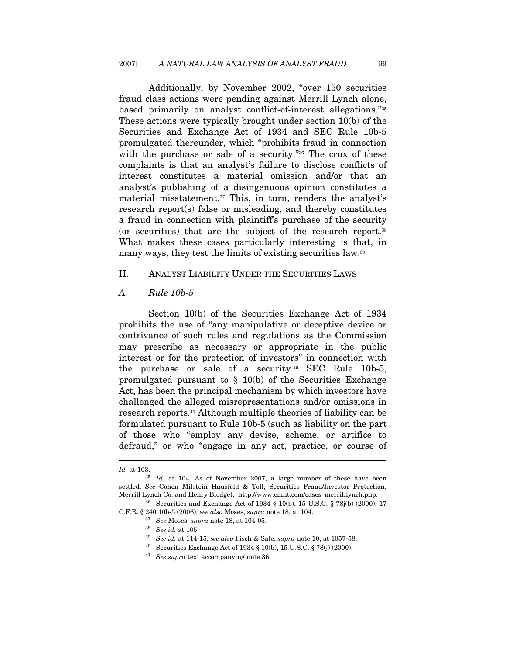Additionally, by November 2002, "over 150 securities fraud class actions were pending against Merrill Lynch alone, based primarily on analyst conflict-of-interest allegations."35 These actions were typically brought under section 10(b) of the Securities and Exchange Act of 1934 and SEC Rule 10b-5 promulgated thereunder, which "prohibits fraud in connection with the purchase or sale of a security."<sup>36</sup> The crux of these complaints is that an analyst's failure to disclose conflicts of interest constitutes a material omission and/or that an analyst's publishing of a disingenuous opinion constitutes a material misstatement.37 This, in turn, renders the analyst's research report(s) false or misleading, and thereby constitutes a fraud in connection with plaintiff's purchase of the security (or securities) that are the subject of the research report.38 What makes these cases particularly interesting is that, in many ways, they test the limits of existing securities law.<sup>39</sup>

# II. ANALYST LIABILITY UNDER THE SECURITIES LAWS

#### A. Rule 10b-5

Section 10(b) of the Securities Exchange Act of 1934 prohibits the use of "any manipulative or deceptive device or contrivance of such rules and regulations as the Commission may prescribe as necessary or appropriate in the public interest or for the protection of investors" in connection with the purchase or sale of a security.40 SEC Rule 10b-5, promulgated pursuant to  $\S$  10(b) of the Securities Exchange Act, has been the principal mechanism by which investors have challenged the alleged misrepresentations and/or omissions in research reports.41 Although multiple theories of liability can be formulated pursuant to Rule 10b-5 (such as liability on the part of those who "employ any devise, scheme, or artifice to defraud," or who "engage in any act, practice, or course of

Id. at 103.  $I$ <sup>35</sup> Id. at 104. As of November 2007, a large number of these have been settled. See Cohen Milstein Hausfeld & Toll, Securities Fraud/Investor Protection, Merrill Lynch Co. and Henry Blodget, http://www.cmht.com/cases\_merrilllynch.php. <sup>36</sup> Securities and Exchange Act of 1934 § 10(b), 15 U.S.C. § 78j(b) (2000); 17

C.F.R. § 240.10b-5 (2006); see also Moses, supra note 18, at 104.<br><sup>37</sup> See Moses, supra note 18, at 104-05.<br><sup>38</sup> See id. at 105.

 $^{39}\,$  See id. at 114-15; see also Fisch & Sale, supra note 10, at 1057-58.

 $40$  Securities Exchange Act of 1934 § 10(b), 15 U.S.C. § 78(j) (2000).

<sup>41</sup> See supra text accompanying note 36.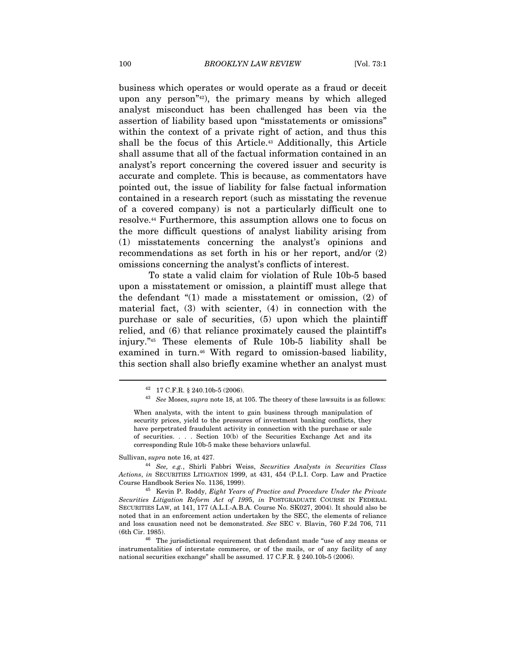business which operates or would operate as a fraud or deceit upon any person"42), the primary means by which alleged analyst misconduct has been challenged has been via the assertion of liability based upon "misstatements or omissions" within the context of a private right of action, and thus this shall be the focus of this Article.<sup>43</sup> Additionally, this Article shall assume that all of the factual information contained in an analyst's report concerning the covered issuer and security is accurate and complete. This is because, as commentators have pointed out, the issue of liability for false factual information contained in a research report (such as misstating the revenue of a covered company) is not a particularly difficult one to resolve.44 Furthermore, this assumption allows one to focus on the more difficult questions of analyst liability arising from (1) misstatements concerning the analyst's opinions and recommendations as set forth in his or her report, and/or (2) omissions concerning the analyst's conflicts of interest.

To state a valid claim for violation of Rule 10b-5 based upon a misstatement or omission, a plaintiff must allege that the defendant "(1) made a misstatement or omission, (2) of material fact, (3) with scienter, (4) in connection with the purchase or sale of securities, (5) upon which the plaintiff relied, and (6) that reliance proximately caused the plaintiff's injury."45 These elements of Rule 10b-5 liability shall be examined in turn.<sup>46</sup> With regard to omission-based liability, this section shall also briefly examine whether an analyst must

<sup>42 17</sup> C.F.R. § 240.10b-5 (2006).

 $43$  See Moses, supra note 18, at 105. The theory of these lawsuits is as follows:

When analysts, with the intent to gain business through manipulation of security prices, yield to the pressures of investment banking conflicts, they have perpetrated fraudulent activity in connection with the purchase or sale of securities. . . . Section 10(b) of the Securities Exchange Act and its corresponding Rule 10b-5 make these behaviors unlawful.

Sullivan, supra note 16, at 427.<br><sup>44</sup> See, e.g., Shirli Fabbri Weiss, Securities Analysts in Securities Class Actions, in SECURITIES LITIGATION 1999, at 431, 454 (P.L.I. Corp. Law and Practice Course Handbook Series No. 1136, 1999).<br><sup>45</sup> Kevin P. Roddy, *Eight Years of Practice and Procedure Under the Private* 

Securities Litigation Reform Act of 1995, in POSTGRADUATE COURSE IN FEDERAL SECURITIES LAW, at 141, 177 (A.L.I.-A.B.A. Course No. SK027, 2004). It should also be noted that in an enforcement action undertaken by the SEC, the elements of reliance and loss causation need not be demonstrated. See SEC v. Blavin, 760 F.2d 706, 711 (6th Cir. 1985).<br> $46$  The jurisdictional requirement that defendant made "use of any means or

instrumentalities of interstate commerce, or of the mails, or of any facility of any national securities exchange" shall be assumed. 17 C.F.R. § 240.10b-5 (2006).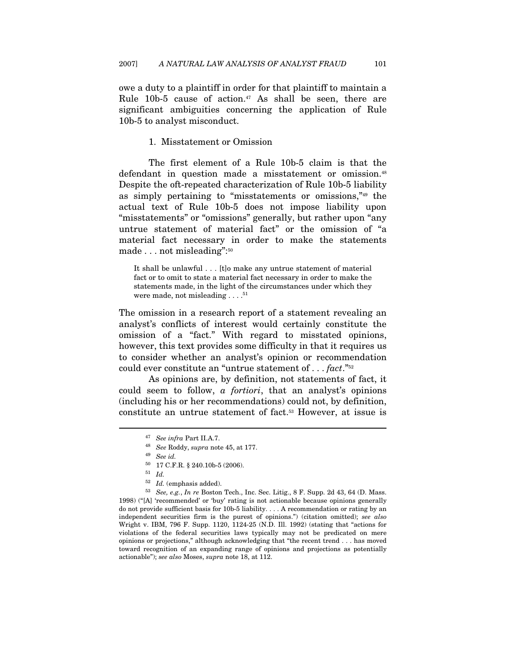owe a duty to a plaintiff in order for that plaintiff to maintain a Rule 10b-5 cause of action.<sup>47</sup> As shall be seen, there are significant ambiguities concerning the application of Rule 10b-5 to analyst misconduct.

#### 1. Misstatement or Omission

The first element of a Rule 10b-5 claim is that the defendant in question made a misstatement or omission.48 Despite the oft-repeated characterization of Rule 10b-5 liability as simply pertaining to "misstatements or omissions,"49 the actual text of Rule 10b-5 does not impose liability upon "misstatements" or "omissions" generally, but rather upon "any untrue statement of material fact" or the omission of "a material fact necessary in order to make the statements made . . . not misleading":50

It shall be unlawful . . . [t]o make any untrue statement of material fact or to omit to state a material fact necessary in order to make the statements made, in the light of the circumstances under which they were made, not misleading . . . . <sup>51</sup>

The omission in a research report of a statement revealing an analyst's conflicts of interest would certainly constitute the omission of a "fact." With regard to misstated opinions, however, this text provides some difficulty in that it requires us to consider whether an analyst's opinion or recommendation could ever constitute an "untrue statement of . . . fact."<sup>52</sup>

As opinions are, by definition, not statements of fact, it could seem to follow, a fortiori, that an analyst's opinions (including his or her recommendations) could not, by definition, constitute an untrue statement of fact.53 However, at issue is

<sup>&</sup>lt;sup>47</sup> See infra Part II.A.7.<br><sup>48</sup> See Roddy, supra note 45, at 177.<br><sup>49</sup> See id.

 $^{50}$   $\,$  17 C.F.R. § 240.10b-5 (2006).

 $\begin{array}{ll} 51 & Id. \\ 52 & Id. \end{array}$  (emphasis added).

 $53$  See, e.g., In re Boston Tech., Inc. Sec. Litig., 8 F. Supp. 2d 43, 64 (D. Mass. 1998) ("[A] 'recommended' or 'buy' rating is not actionable because opinions generally do not provide sufficient basis for 10b-5 liability. . . . A recommendation or rating by an independent securities firm is the purest of opinions.") (citation omitted); see also Wright v. IBM, 796 F. Supp. 1120, 1124-25 (N.D. Ill. 1992) (stating that "actions for violations of the federal securities laws typically may not be predicated on mere opinions or projections," although acknowledging that "the recent trend . . . has moved toward recognition of an expanding range of opinions and projections as potentially actionable"); see also Moses, supra note 18, at 112.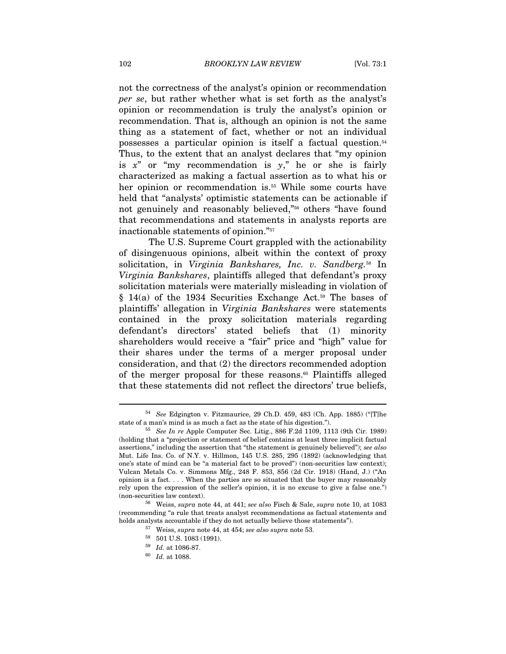not the correctness of the analyst's opinion or recommendation per se, but rather whether what is set forth as the analyst's opinion or recommendation is truly the analyst's opinion or recommendation. That is, although an opinion is not the same thing as a statement of fact, whether or not an individual possesses a particular opinion is itself a factual question.54 Thus, to the extent that an analyst declares that "my opinion is  $x^*$  or "my recommendation is  $y^*$ ," he or she is fairly characterized as making a factual assertion as to what his or her opinion or recommendation is.<sup>55</sup> While some courts have held that "analysts' optimistic statements can be actionable if not genuinely and reasonably believed,"56 others "have found that recommendations and statements in analysts reports are inactionable statements of opinion."57

The U.S. Supreme Court grappled with the actionability of disingenuous opinions, albeit within the context of proxy solicitation, in Virginia Bankshares, Inc. v. Sandberg.<sup>58</sup> In Virginia Bankshares, plaintiffs alleged that defendant's proxy solicitation materials were materially misleading in violation of  $§$  14(a) of the 1934 Securities Exchange Act.<sup>59</sup> The bases of plaintiffs' allegation in Virginia Bankshares were statements contained in the proxy solicitation materials regarding defendant's directors' stated beliefs that (1) minority shareholders would receive a "fair" price and "high" value for their shares under the terms of a merger proposal under consideration, and that (2) the directors recommended adoption of the merger proposal for these reasons.60 Plaintiffs alleged that these statements did not reflect the directors' true beliefs,

<sup>54</sup> See Edgington v. Fitzmaurice, 29 Ch.D. 459, 483 (Ch. App. 1885) ("[T]he state of a man's mind is as much a fact as the state of his digestion.").<br><sup>55</sup> See In re Apple Computer Sec. Litig., 886 F.2d 1109, 1113 (9th Cir. 1989)

<sup>(</sup>holding that a "projection or statement of belief contains at least three implicit factual assertions," including the assertion that "the statement is genuinely believed"); see also Mut. Life Ins. Co. of N.Y. v. Hillmon, 145 U.S. 285, 295 (1892) (acknowledging that one's state of mind can be "a material fact to be proved") (non-securities law context); Vulcan Metals Co. v. Simmons Mfg., 248 F. 853, 856 (2d Cir. 1918) (Hand, J.) ("An opinion is a fact. . . . When the parties are so situated that the buyer may reasonably rely upon the expression of the seller's opinion, it is no excuse to give a false one.")

<sup>(</sup>non-securities law context). 56 Weiss, supra note 44, at 441; see also Fisch & Sale, supra note 10, at 1083 (recommending "a rule that treats analyst recommendations as factual statements and holds analysts accountable if they do not actually believe those statements").

 $57$  Weiss, supra note 44, at 454; see also supra note 53.

<sup>58 501</sup> U.S. 1083 (1991).

 $^{59}$  *Id.* at 1086-87.<br> $^{60}$  *Id.* at 1088.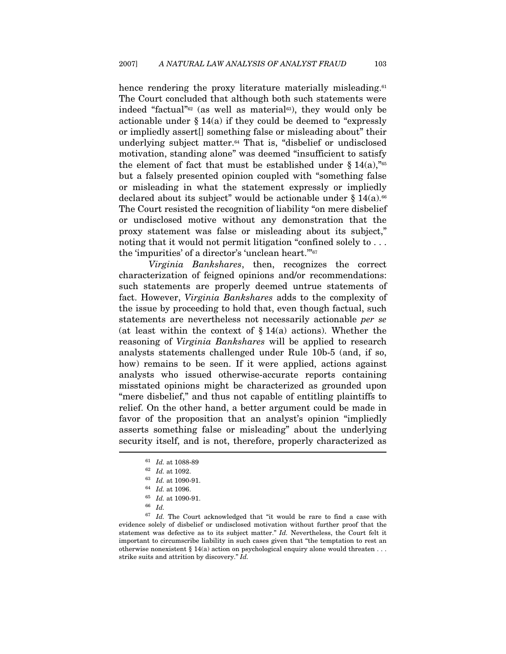hence rendering the proxy literature materially misleading.<sup>61</sup> The Court concluded that although both such statements were indeed "factual"<sup>62</sup> (as well as material<sup>63</sup>), they would only be actionable under  $\S 14(a)$  if they could be deemed to "expressly" or impliedly assert[] something false or misleading about" their underlying subject matter.<sup>64</sup> That is, "disbelief or undisclosed motivation, standing alone" was deemed "insufficient to satisfy the element of fact that must be established under  $\S 14(a)$ ,  $\frac{1}{65}$ but a falsely presented opinion coupled with "something false or misleading in what the statement expressly or impliedly declared about its subject" would be actionable under  $\S 14(a)$ .<sup>66</sup> The Court resisted the recognition of liability "on mere disbelief or undisclosed motive without any demonstration that the proxy statement was false or misleading about its subject," noting that it would not permit litigation "confined solely to . . . the 'impurities' of a director's 'unclean heart.'"67

Virginia Bankshares, then, recognizes the correct characterization of feigned opinions and/or recommendations: such statements are properly deemed untrue statements of fact. However, Virginia Bankshares adds to the complexity of the issue by proceeding to hold that, even though factual, such statements are nevertheless not necessarily actionable per se (at least within the context of  $\S 14(a)$  actions). Whether the reasoning of Virginia Bankshares will be applied to research analysts statements challenged under Rule 10b-5 (and, if so, how) remains to be seen. If it were applied, actions against analysts who issued otherwise-accurate reports containing misstated opinions might be characterized as grounded upon "mere disbelief," and thus not capable of entitling plaintiffs to relief. On the other hand, a better argument could be made in favor of the proposition that an analyst's opinion "impliedly asserts something false or misleading" about the underlying security itself, and is not, therefore, properly characterized as

<sup>61</sup> Id. at 1088-89<br>62 Id. at 1092.<br>63 Id. at 1090-91.<br>64 Id. at 1096.<br>65 Id. at 1090-91.<br>66 Id.

 $67$  Id. The Court acknowledged that "it would be rare to find a case with evidence solely of disbelief or undisclosed motivation without further proof that the statement was defective as to its subject matter." Id. Nevertheless, the Court felt it important to circumscribe liability in such cases given that "the temptation to rest an otherwise nonexistent § 14(a) action on psychological enquiry alone would threaten . . . strike suits and attrition by discovery." Id.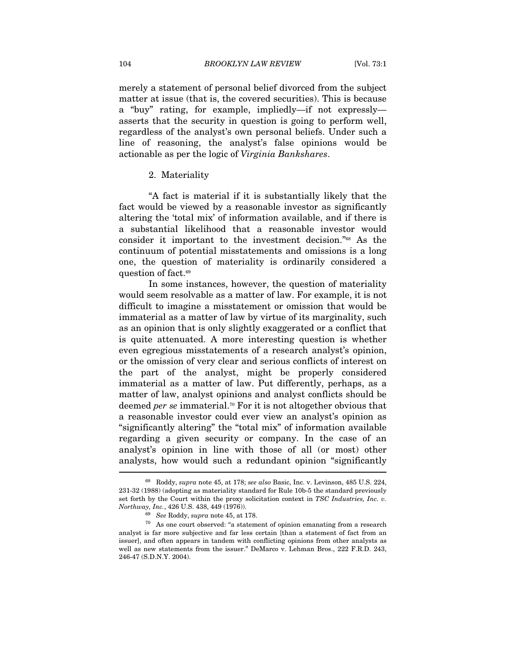merely a statement of personal belief divorced from the subject matter at issue (that is, the covered securities). This is because a "buy" rating, for example, impliedly—if not expressly asserts that the security in question is going to perform well, regardless of the analyst's own personal beliefs. Under such a line of reasoning, the analyst's false opinions would be actionable as per the logic of Virginia Bankshares.

#### 2. Materiality

"A fact is material if it is substantially likely that the fact would be viewed by a reasonable investor as significantly altering the 'total mix' of information available, and if there is a substantial likelihood that a reasonable investor would consider it important to the investment decision."68 As the continuum of potential misstatements and omissions is a long one, the question of materiality is ordinarily considered a question of fact.69

In some instances, however, the question of materiality would seem resolvable as a matter of law. For example, it is not difficult to imagine a misstatement or omission that would be immaterial as a matter of law by virtue of its marginality, such as an opinion that is only slightly exaggerated or a conflict that is quite attenuated. A more interesting question is whether even egregious misstatements of a research analyst's opinion, or the omission of very clear and serious conflicts of interest on the part of the analyst, might be properly considered immaterial as a matter of law. Put differently, perhaps, as a matter of law, analyst opinions and analyst conflicts should be deemed per se immaterial.<sup>70</sup> For it is not altogether obvious that a reasonable investor could ever view an analyst's opinion as "significantly altering" the "total mix" of information available regarding a given security or company. In the case of an analyst's opinion in line with those of all (or most) other analysts, how would such a redundant opinion "significantly

<sup>68</sup> Roddy, supra note 45, at 178; see also Basic, Inc. v. Levinson, 485 U.S. 224, 231-32 (1988) (adopting as materiality standard for Rule 10b-5 the standard previously set forth by the Court within the proxy solicitation context in  $TSC$  Industries, Inc. v. Northway, Inc., 426 U.S. 438, 449 (1976)).

<sup>69</sup> See Roddy, supra note 45, at 178.

 $70$  As one court observed: "a statement of opinion emanating from a research analyst is far more subjective and far less certain [than a statement of fact from an issuer], and often appears in tandem with conflicting opinions from other analysts as well as new statements from the issuer." DeMarco v. Lehman Bros., 222 F.R.D. 243, 246-47 (S.D.N.Y. 2004).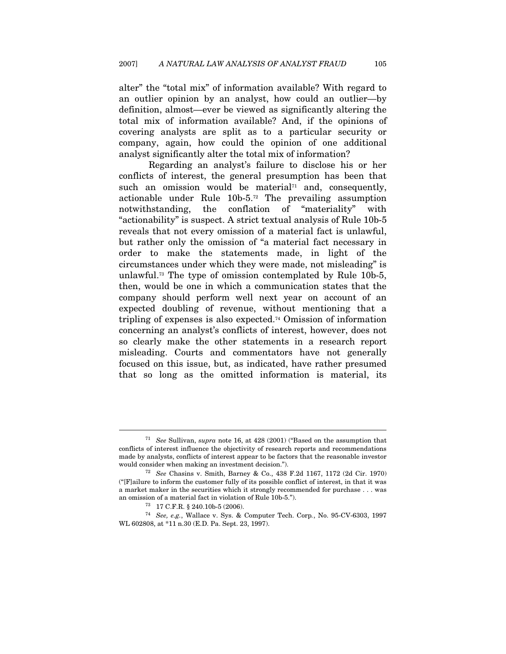alter" the "total mix" of information available? With regard to an outlier opinion by an analyst, how could an outlier—by definition, almost—ever be viewed as significantly altering the total mix of information available? And, if the opinions of covering analysts are split as to a particular security or company, again, how could the opinion of one additional analyst significantly alter the total mix of information?

Regarding an analyst's failure to disclose his or her conflicts of interest, the general presumption has been that such an omission would be material<sup> $71$ </sup> and, consequently, actionable under Rule 10b-5.72 The prevailing assumption notwithstanding, the conflation of "materiality" with "actionability" is suspect. A strict textual analysis of Rule 10b-5 reveals that not every omission of a material fact is unlawful, but rather only the omission of "a material fact necessary in order to make the statements made, in light of the circumstances under which they were made, not misleading" is unlawful.73 The type of omission contemplated by Rule 10b-5, then, would be one in which a communication states that the company should perform well next year on account of an expected doubling of revenue, without mentioning that a tripling of expenses is also expected.74 Omission of information concerning an analyst's conflicts of interest, however, does not so clearly make the other statements in a research report misleading. Courts and commentators have not generally focused on this issue, but, as indicated, have rather presumed that so long as the omitted information is material, its

<sup>&</sup>lt;sup>71</sup> See Sullivan, supra note 16, at 428 (2001) ("Based on the assumption that conflicts of interest influence the objectivity of research reports and recommendations made by analysts, conflicts of interest appear to be factors that the reasonable investor would consider when making an investment decision."). 72 See Chasins v. Smith, Barney & Co., 438 F.2d 1167, 1172 (2d Cir. 1970)

<sup>(&</sup>quot;[F]ailure to inform the customer fully of its possible conflict of interest, in that it was a market maker in the securities which it strongly recommended for purchase . . . was an omission of a material fact in violation of Rule 10b-5.").<br> $^{73}$  17 C.F.R. § 240.10b-5 (2006).

<sup>74</sup> See, e.g., Wallace v. Sys. & Computer Tech. Corp., No. 95-CV-6303, 1997 WL 602808, at \*11 n.30 (E.D. Pa. Sept. 23, 1997).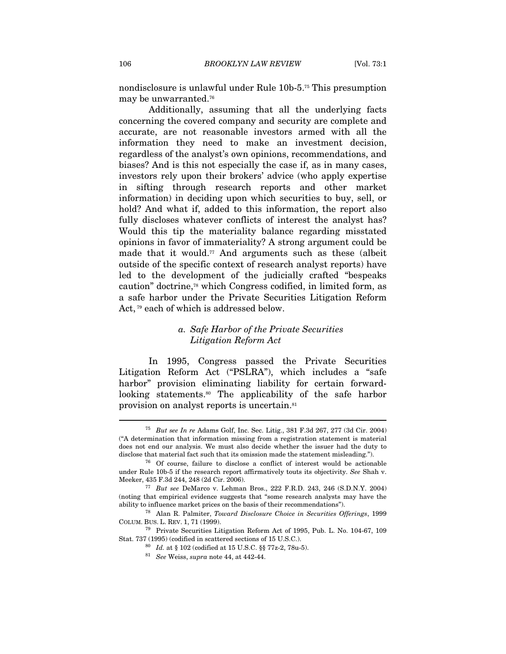nondisclosure is unlawful under Rule 10b-5.75 This presumption may be unwarranted.76

Additionally, assuming that all the underlying facts concerning the covered company and security are complete and accurate, are not reasonable investors armed with all the information they need to make an investment decision, regardless of the analyst's own opinions, recommendations, and biases? And is this not especially the case if, as in many cases, investors rely upon their brokers' advice (who apply expertise in sifting through research reports and other market information) in deciding upon which securities to buy, sell, or hold? And what if, added to this information, the report also fully discloses whatever conflicts of interest the analyst has? Would this tip the materiality balance regarding misstated opinions in favor of immateriality? A strong argument could be made that it would.<sup>77</sup> And arguments such as these (albeit outside of the specific context of research analyst reports) have led to the development of the judicially crafted "bespeaks caution" doctrine,78 which Congress codified, in limited form, as a safe harbor under the Private Securities Litigation Reform Act, 79 each of which is addressed below.

# a. Safe Harbor of the Private Securities Litigation Reform Act

In 1995, Congress passed the Private Securities Litigation Reform Act ("PSLRA"), which includes a "safe harbor" provision eliminating liability for certain forwardlooking statements.<sup>80</sup> The applicability of the safe harbor provision on analyst reports is uncertain.81

<sup>75</sup> But see In re Adams Golf, Inc. Sec. Litig., 381 F.3d 267, 277 (3d Cir. 2004) ("A determination that information missing from a registration statement is material does not end our analysis. We must also decide whether the issuer had the duty to

disclose that material fact such that its omission made the statement misleading.").<br><sup>76</sup> Of course, failure to disclose a conflict of interest would be actionable under Rule 10b-5 if the research report affirmatively touts its objectivity. See Shah v. Meeker, 435 F.3d 244, 248 (2d Cir. 2006). 77 But see DeMarco v. Lehman Bros., 222 F.R.D. 243, 246 (S.D.N.Y. 2004)

<sup>(</sup>noting that empirical evidence suggests that "some research analysts may have the

ability to influence market prices on the basis of their recommendations").<br><sup>78</sup> Alan R. Palmiter, *Toward Disclosure Choice in Securities Offerings*, 1999<br>COLUM. BUS. L. REV. 1, 71 (1999).

<sup>&</sup>lt;sup>79</sup> Private Securities Litigation Reform Act of 1995, Pub. L. No. 104-67, 109 Stat. 737 (1995) (codified in scattered sections of 15 U.S.C.).<br><sup>80</sup> Id. at § 102 (codified at 15 U.S.C. §§ 77z-2, 78u-5).<br><sup>81</sup> See Weiss, supra note 44, at 442-44.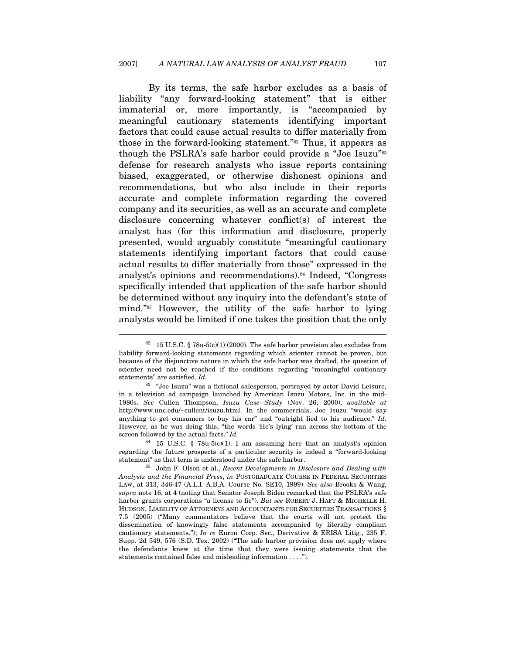By its terms, the safe harbor excludes as a basis of liability "any forward-looking statement" that is either immaterial or, more importantly, is "accompanied by meaningful cautionary statements identifying important factors that could cause actual results to differ materially from those in the forward-looking statement."82 Thus, it appears as though the PSLRA's safe harbor could provide a "Joe Isuzu"<sup>83</sup> defense for research analysts who issue reports containing biased, exaggerated, or otherwise dishonest opinions and recommendations, but who also include in their reports accurate and complete information regarding the covered company and its securities, as well as an accurate and complete disclosure concerning whatever conflict(s) of interest the analyst has (for this information and disclosure, properly presented, would arguably constitute "meaningful cautionary statements identifying important factors that could cause actual results to differ materially from those" expressed in the analyst's opinions and recommendations).84 Indeed, "Congress specifically intended that application of the safe harbor should be determined without any inquiry into the defendant's state of mind."85 However, the utility of the safe harbor to lying analysts would be limited if one takes the position that the only

 $82$  15 U.S.C. § 78u-5(c)(1) (2000). The safe harbor provision also excludes from liability forward-looking statements regarding which scienter cannot be proven, but because of the disjunctive nature in which the safe harbor was drafted, the question of scienter need not be reached if the conditions regarding "meaningful cautionary statements" are satisfied. Id.  $83$  "Joe Isuzu" was a fictional salesperson, portrayed by actor David Leisure,

in a television ad campaign launched by American Isuzu Motors, Inc. in the mid-1980s. See Cullen Thompson, Isuzu Case Study (Nov. 26, 2000), available at http://www.unc.edu/~cullent/isuzu.html. In the commercials, Joe Isuzu "would say anything to get consumers to buy his car" and "outright lied to his audience." Id. However, as he was doing this, "the words 'He's lying' ran across the bottom of the screen followed by the actual facts." Id.

 $^{84}$  15 U.S.C. § 78u-5(c)(1). I am assuming here that an analyst's opinion regarding the future prospects of a particular security is indeed a "forward-looking statement" as that term is understood under the safe harbor.<br><sup>85</sup> John F. Olson et al., Recent Developments in Disclosure and Dealing with

Analysts and the Financial Press, in POSTGRADUATE COURSE IN FEDERAL SECURITIES LAW, at 313, 346-47 (A.L.I.-A.B.A. Course No. SE10, 1999). See also Brooks & Wang, supra note 16, at 4 (noting that Senator Joseph Biden remarked that the PSLRA's safe harbor grants corporations "a license to lie"). But see ROBERT J. HAFT & MICHELLE H. HUDSON, LIABILITY OF ATTORNEYS AND ACCOUNTANTS FOR SECURITIES TRANSACTIONS § 7.5 (2005) ("Many commentators believe that the courts will not protect the dissemination of knowingly false statements accompanied by literally compliant cautionary statements."); In re Enron Corp. Sec., Derivative & ERISA Litig., 235 F. Supp. 2d 549, 576 (S.D. Tex. 2002) ("The safe harbor provision does not apply where the defendants knew at the time that they were issuing statements that the statements contained false and misleading information . . . .").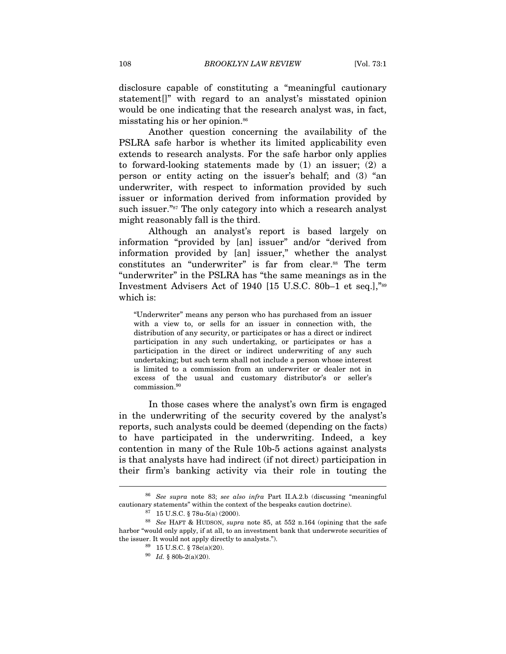disclosure capable of constituting a "meaningful cautionary statement[]" with regard to an analyst's misstated opinion would be one indicating that the research analyst was, in fact, misstating his or her opinion.<sup>86</sup>

Another question concerning the availability of the PSLRA safe harbor is whether its limited applicability even extends to research analysts. For the safe harbor only applies to forward-looking statements made by (1) an issuer; (2) a person or entity acting on the issuer's behalf; and (3) "an underwriter, with respect to information provided by such issuer or information derived from information provided by such issuer."<sup>87</sup> The only category into which a research analyst might reasonably fall is the third.

Although an analyst's report is based largely on information "provided by [an] issuer" and/or "derived from information provided by [an] issuer," whether the analyst constitutes an "underwriter" is far from clear.88 The term "underwriter" in the PSLRA has "the same meanings as in the Investment Advisers Act of 1940 [15 U.S.C. 80b–1 et seq.],"89 which is:

"Underwriter" means any person who has purchased from an issuer with a view to, or sells for an issuer in connection with, the distribution of any security, or participates or has a direct or indirect participation in any such undertaking, or participates or has a participation in the direct or indirect underwriting of any such undertaking; but such term shall not include a person whose interest is limited to a commission from an underwriter or dealer not in excess of the usual and customary distributor's or seller's commission.90

In those cases where the analyst's own firm is engaged in the underwriting of the security covered by the analyst's reports, such analysts could be deemed (depending on the facts) to have participated in the underwriting. Indeed, a key contention in many of the Rule 10b-5 actions against analysts is that analysts have had indirect (if not direct) participation in their firm's banking activity via their role in touting the

<sup>86</sup> See supra note 83; see also infra Part II.A.2.b (discussing "meaningful cautionary statements" within the context of the bespeaks caution doctrine). 87 15 U.S.C. § 78u-5(a) (2000).

<sup>88</sup> See HAFT & HUDSON, supra note 85, at 552 n.164 (opining that the safe harbor "would only apply, if at all, to an investment bank that underwrote securities of the issuer. It would not apply directly to analysts.").  $89 \quad 15 \text{ U.S.C.} \$  78c(a)(20).

 $^{90}$   $\,$   $\! Id.$   $\,$   $\!\!\!$   $\!\!\!$   $\!\!\!$   $\!\!\!$   $\!\!\!$   $\!\!\!$   $\!\!\!$   $\!\!\!$   $\!\!\!$   $\!\!\!$   $\!\!\!$   $\!\!\!$   $\!\!\!$   $\!\!\!$   $\!\!\!$   $\!\!\!$   $\!\!\!$   $\!\!\!$   $\!\!\!$   $\!\!\!$   $\!\!\!$   $\!\!\!$   $\!\!\!$   $\!\!\!$   $\!\!\!$   $\!\!\!$   $\!\!\!$   $\!\!\!$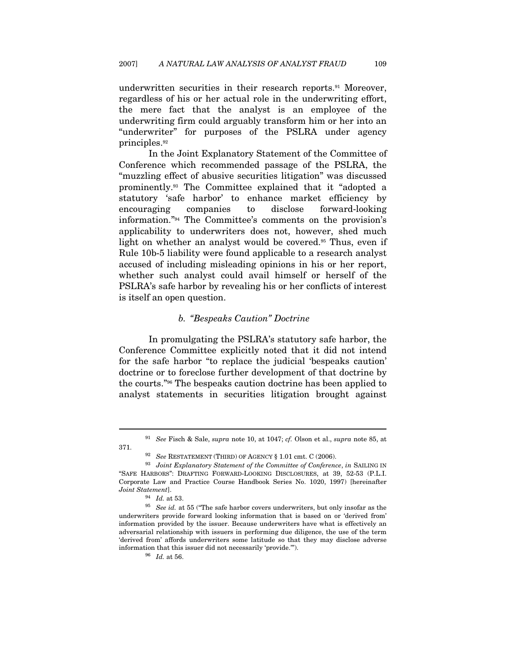underwritten securities in their research reports.<sup>91</sup> Moreover, regardless of his or her actual role in the underwriting effort, the mere fact that the analyst is an employee of the underwriting firm could arguably transform him or her into an "underwriter" for purposes of the PSLRA under agency principles.92

In the Joint Explanatory Statement of the Committee of Conference which recommended passage of the PSLRA, the "muzzling effect of abusive securities litigation" was discussed prominently.93 The Committee explained that it "adopted a statutory 'safe harbor' to enhance market efficiency by encouraging companies to disclose forward-looking information."94 The Committee's comments on the provision's applicability to underwriters does not, however, shed much light on whether an analyst would be covered.<sup>95</sup> Thus, even if Rule 10b-5 liability were found applicable to a research analyst accused of including misleading opinions in his or her report, whether such analyst could avail himself or herself of the PSLRA's safe harbor by revealing his or her conflicts of interest is itself an open question.

# b. "Bespeaks Caution" Doctrine

In promulgating the PSLRA's statutory safe harbor, the Conference Committee explicitly noted that it did not intend for the safe harbor "to replace the judicial 'bespeaks caution' doctrine or to foreclose further development of that doctrine by the courts."96 The bespeaks caution doctrine has been applied to analyst statements in securities litigation brought against

<sup>&</sup>lt;sup>91</sup> See Fisch & Sale, supra note 10, at 1047; cf. Olson et al., supra note 85, at 371. 92 See RESTATEMENT (THIRD) OF AGENCY § 1.01 cmt. C (2006).<br><sup>93</sup> Joint Explanatory Statement of the Committee of Conference, in SAILING IN

<sup>&</sup>quot;SAFE HARBORS": DRAFTING FORWARD-LOOKING DISCLOSURES, at 39, 52-53 (P.L.I. Corporate Law and Practice Course Handbook Series No. 1020, 1997) [hereinafter Joint Statement]. 94 Id. at 53. 95 See id. at 55 ("The safe harbor covers underwriters, but only insofar as the

underwriters provide forward looking information that is based on or 'derived from' information provided by the issuer. Because underwriters have what is effectively an adversarial relationship with issuers in performing due diligence, the use of the term 'derived from' affords underwriters some latitude so that they may disclose adverse information that this issuer did not necessarily 'provide.'").  $^{96} \;\; Id.$  at 56.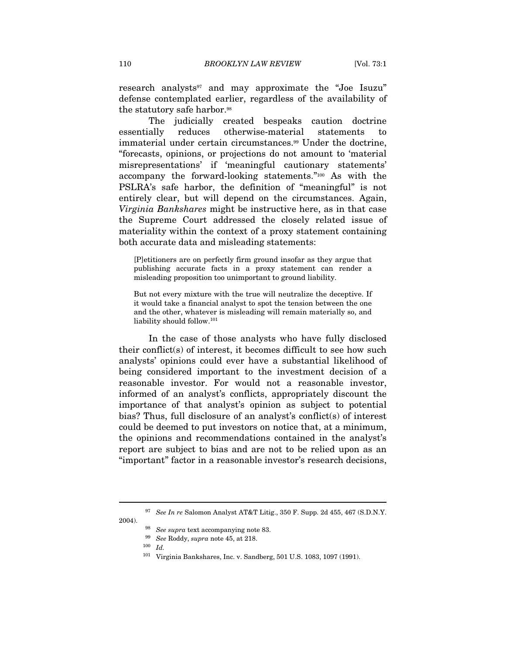research analysts<sup>97</sup> and may approximate the "Joe Isuzu" defense contemplated earlier, regardless of the availability of the statutory safe harbor.<sup>98</sup>

The judicially created bespeaks caution doctrine essentially reduces otherwise-material statements to immaterial under certain circumstances.<sup>99</sup> Under the doctrine, "forecasts, opinions, or projections do not amount to 'material misrepresentations' if 'meaningful cautionary statements' accompany the forward-looking statements."100 As with the PSLRA's safe harbor, the definition of "meaningful" is not entirely clear, but will depend on the circumstances. Again, Virginia Bankshares might be instructive here, as in that case the Supreme Court addressed the closely related issue of materiality within the context of a proxy statement containing both accurate data and misleading statements:

[P]etitioners are on perfectly firm ground insofar as they argue that publishing accurate facts in a proxy statement can render a misleading proposition too unimportant to ground liability.

But not every mixture with the true will neutralize the deceptive. If it would take a financial analyst to spot the tension between the one and the other, whatever is misleading will remain materially so, and liability should follow.101

In the case of those analysts who have fully disclosed their conflict(s) of interest, it becomes difficult to see how such analysts' opinions could ever have a substantial likelihood of being considered important to the investment decision of a reasonable investor. For would not a reasonable investor, informed of an analyst's conflicts, appropriately discount the importance of that analyst's opinion as subject to potential bias? Thus, full disclosure of an analyst's conflict(s) of interest could be deemed to put investors on notice that, at a minimum, the opinions and recommendations contained in the analyst's report are subject to bias and are not to be relied upon as an "important" factor in a reasonable investor's research decisions,

<sup>&</sup>lt;sup>97</sup> See In re Salomon Analyst AT&T Litig., 350 F. Supp. 2d 455, 467 (S.D.N.Y.

<sup>2004).</sup>  $$^{98}$   $\,$  See supra text accompanying note 83.

 $^{99}$  See Roddy, supra note 45, at 218.  $^{100}$  Id.

<sup>101</sup> Virginia Bankshares, Inc. v. Sandberg, 501 U.S. 1083, 1097 (1991).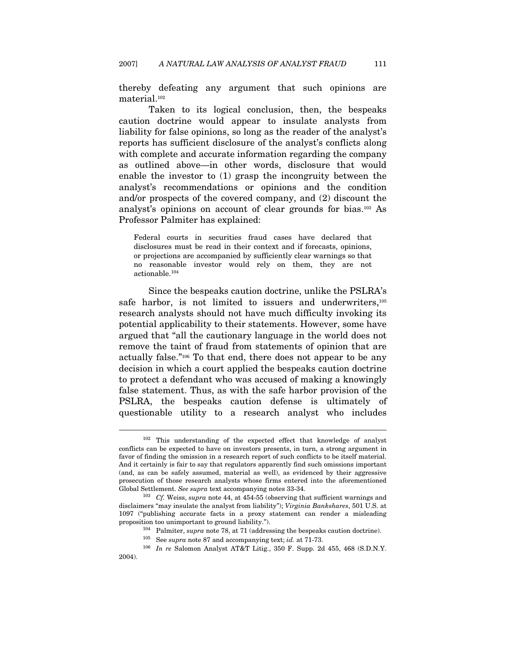thereby defeating any argument that such opinions are material.102

Taken to its logical conclusion, then, the bespeaks caution doctrine would appear to insulate analysts from liability for false opinions, so long as the reader of the analyst's reports has sufficient disclosure of the analyst's conflicts along with complete and accurate information regarding the company as outlined above—in other words, disclosure that would enable the investor to (1) grasp the incongruity between the analyst's recommendations or opinions and the condition and/or prospects of the covered company, and (2) discount the analyst's opinions on account of clear grounds for bias.103 As Professor Palmiter has explained:

Federal courts in securities fraud cases have declared that disclosures must be read in their context and if forecasts, opinions, or projections are accompanied by sufficiently clear warnings so that no reasonable investor would rely on them, they are not actionable.104

Since the bespeaks caution doctrine, unlike the PSLRA's safe harbor, is not limited to issuers and underwriters,<sup>105</sup> research analysts should not have much difficulty invoking its potential applicability to their statements. However, some have argued that "all the cautionary language in the world does not remove the taint of fraud from statements of opinion that are actually false."106 To that end, there does not appear to be any decision in which a court applied the bespeaks caution doctrine to protect a defendant who was accused of making a knowingly false statement. Thus, as with the safe harbor provision of the PSLRA, the bespeaks caution defense is ultimately of questionable utility to a research analyst who includes

<sup>102</sup> This understanding of the expected effect that knowledge of analyst conflicts can be expected to have on investors presents, in turn, a strong argument in favor of finding the omission in a research report of such conflicts to be itself material. And it certainly is fair to say that regulators apparently find such omissions important (and, as can be safely assumed, material as well), as evidenced by their aggressive prosecution of those research analysts whose firms entered into the aforementioned Global Settlement. See supra text accompanying notes 33-34.<br><sup>103</sup> Cf. Weiss, supra note 44, at 454-55 (observing that sufficient warnings and

disclaimers "may insulate the analyst from liability"); Virginia Bankshares, 501 U.S. at 1097 ("publishing accurate facts in a proxy statement can render a misleading proposition too unimportant to ground liability.").<br>  $^{104}$  Palmiter, *supra* note 78, at 71 (addressing the bespeaks caution doctrine).<br>  $^{105}$  See *supra* note 87 and accompanying text; *id.* at 71-73.<br>  $^{106}$  *In re* 

<sup>2004).</sup>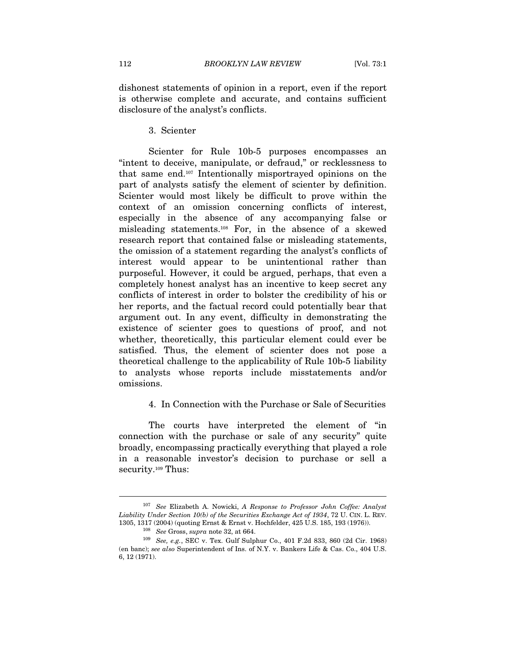dishonest statements of opinion in a report, even if the report is otherwise complete and accurate, and contains sufficient disclosure of the analyst's conflicts.

3. Scienter

Scienter for Rule 10b-5 purposes encompasses an "intent to deceive, manipulate, or defraud," or recklessness to that same end.107 Intentionally misportrayed opinions on the part of analysts satisfy the element of scienter by definition. Scienter would most likely be difficult to prove within the context of an omission concerning conflicts of interest, especially in the absence of any accompanying false or misleading statements.108 For, in the absence of a skewed research report that contained false or misleading statements, the omission of a statement regarding the analyst's conflicts of interest would appear to be unintentional rather than purposeful. However, it could be argued, perhaps, that even a completely honest analyst has an incentive to keep secret any conflicts of interest in order to bolster the credibility of his or her reports, and the factual record could potentially bear that argument out. In any event, difficulty in demonstrating the existence of scienter goes to questions of proof, and not whether, theoretically, this particular element could ever be satisfied. Thus, the element of scienter does not pose a theoretical challenge to the applicability of Rule 10b-5 liability to analysts whose reports include misstatements and/or omissions.

# 4. In Connection with the Purchase or Sale of Securities

The courts have interpreted the element of "in connection with the purchase or sale of any security" quite broadly, encompassing practically everything that played a role in a reasonable investor's decision to purchase or sell a security.<sup>109</sup> Thus:

<sup>&</sup>lt;sup>107</sup> See Elizabeth A. Nowicki, A Response to Professor John Coffee: Analyst Liability Under Section 10(b) of the Securities Exchange Act of 1934, 72 U. CIN. L. REV. 1305, 1317 (2004) (quoting Ernst & Ernst v. Hochfelder, 425 U.S. 185, 193 (1976)).<br><sup>108</sup> See Gross, supra note 32, at 664.<br><sup>109</sup> See, e.g., SEC v. Tex. Gulf Sulphur Co., 401 F.2d 833, 860 (2d Cir. 1968)

<sup>(</sup>en banc); see also Superintendent of Ins. of N.Y. v. Bankers Life & Cas. Co., 404 U.S. 6, 12 (1971).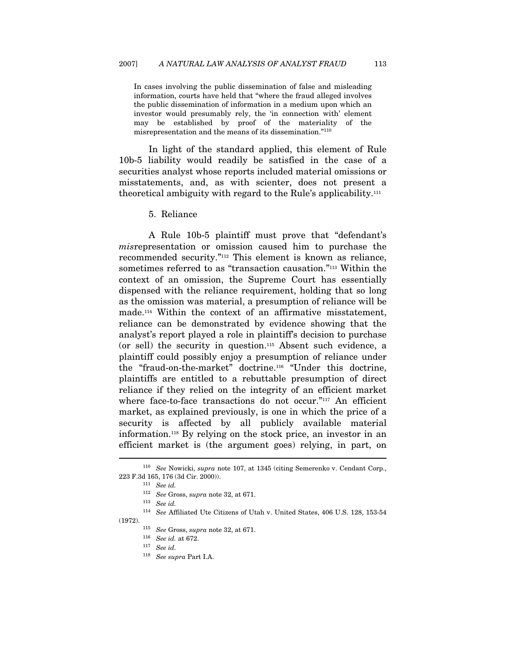In cases involving the public dissemination of false and misleading information, courts have held that "where the fraud alleged involves the public dissemination of information in a medium upon which an investor would presumably rely, the 'in connection with' element may be established by proof of the materiality of the misrepresentation and the means of its dissemination."110

In light of the standard applied, this element of Rule 10b-5 liability would readily be satisfied in the case of a securities analyst whose reports included material omissions or misstatements, and, as with scienter, does not present a theoretical ambiguity with regard to the Rule's applicability.111

5. Reliance

A Rule 10b-5 plaintiff must prove that "defendant's misrepresentation or omission caused him to purchase the recommended security."112 This element is known as reliance, sometimes referred to as "transaction causation."113 Within the context of an omission, the Supreme Court has essentially dispensed with the reliance requirement, holding that so long as the omission was material, a presumption of reliance will be made.114 Within the context of an affirmative misstatement, reliance can be demonstrated by evidence showing that the analyst's report played a role in plaintiff's decision to purchase (or sell) the security in question.115 Absent such evidence, a plaintiff could possibly enjoy a presumption of reliance under the "fraud-on-the-market" doctrine.116 "Under this doctrine, plaintiffs are entitled to a rebuttable presumption of direct reliance if they relied on the integrity of an efficient market where face-to-face transactions do not occur."<sup>117</sup> An efficient market, as explained previously, is one in which the price of a security is affected by all publicly available material information.118 By relying on the stock price, an investor in an efficient market is (the argument goes) relying, in part, on  $\overline{a}$ 

<sup>110</sup> See Nowicki, supra note 107, at 1345 (citing Semerenko v. Cendant Corp., 223 F.3d 165, 176 (3d Cir. 2000)). 111 See id.

 $112\quad \, See \,\, Gross, \,supra$  note 32, at 671. 113  $\,$  See id.

<sup>114</sup> See Affiliated Ute Citizens of Utah v. United States, 406 U.S. 128, 153-54

<sup>(1972).</sup>  $115\quad \, See \,\, Gross, \,supra$  note 32, at 671.

<sup>&</sup>lt;sup>116</sup> See id. at 672.<br><sup>117</sup> See id.

<sup>118</sup> See supra Part I.A.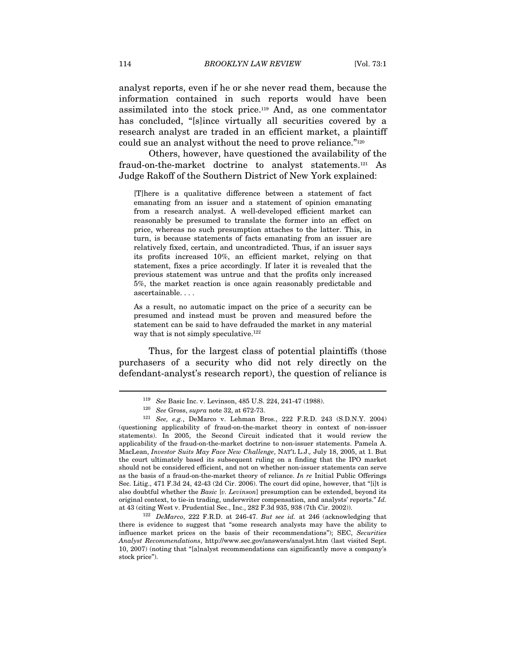analyst reports, even if he or she never read them, because the information contained in such reports would have been assimilated into the stock price.119 And, as one commentator has concluded, "[s]ince virtually all securities covered by a research analyst are traded in an efficient market, a plaintiff could sue an analyst without the need to prove reliance."120

Others, however, have questioned the availability of the fraud-on-the-market doctrine to analyst statements.121 As Judge Rakoff of the Southern District of New York explained:

[T]here is a qualitative difference between a statement of fact emanating from an issuer and a statement of opinion emanating from a research analyst. A well-developed efficient market can reasonably be presumed to translate the former into an effect on price, whereas no such presumption attaches to the latter. This, in turn, is because statements of facts emanating from an issuer are relatively fixed, certain, and uncontradicted. Thus, if an issuer says its profits increased 10%, an efficient market, relying on that statement, fixes a price accordingly. If later it is revealed that the previous statement was untrue and that the profits only increased 5%, the market reaction is once again reasonably predictable and ascertainable. . . .

As a result, no automatic impact on the price of a security can be presumed and instead must be proven and measured before the statement can be said to have defrauded the market in any material way that is not simply speculative.<sup>122</sup>

Thus, for the largest class of potential plaintiffs (those purchasers of a security who did not rely directly on the defendant-analyst's research report), the question of reliance is

there is evidence to suggest that "some research analysts may have the ability to influence market prices on the basis of their recommendations"); SEC, Securities Analyst Recommendations, http://www.sec.gov/answers/analyst.htm (last visited Sept. 10, 2007) (noting that "[a]nalyst recommendations can significantly move a company's stock price").

<sup>&</sup>lt;sup>119</sup> See Basic Inc. v. Levinson, 485 U.S. 224, 241-47 (1988).<br><sup>120</sup> See Gross, *supra* note 32, at 672-73.

<sup>121</sup> See, e.g., DeMarco v. Lehman Bros., 222 F.R.D. 243 (S.D.N.Y. 2004) (questioning applicability of fraud-on-the-market theory in context of non-issuer statements). In 2005, the Second Circuit indicated that it would review the applicability of the fraud-on-the-market doctrine to non-issuer statements. Pamela A. MacLean, Investor Suits May Face New Challenge, NAT'L L.J., July 18, 2005, at 1. But the court ultimately based its subsequent ruling on a finding that the IPO market should not be considered efficient, and not on whether non-issuer statements can serve as the basis of a fraud-on-the-market theory of reliance. In re Initial Public Offerings Sec. Litig., 471 F.3d 24, 42-43 (2d Cir. 2006). The court did opine, however, that "[i]t is also doubtful whether the Basic [v. Levinson] presumption can be extended, beyond its original context, to tie-in trading, underwriter compensation, and analysts' reports." Id. at 43 (citing West v. Prudential Sec., Inc., 282 F.3d 935, 938 (7th Cir. 2002)).<br><sup>122</sup> DeMarco, 222 F.R.D. at 246-47. But see id. at 246 (acknowledging that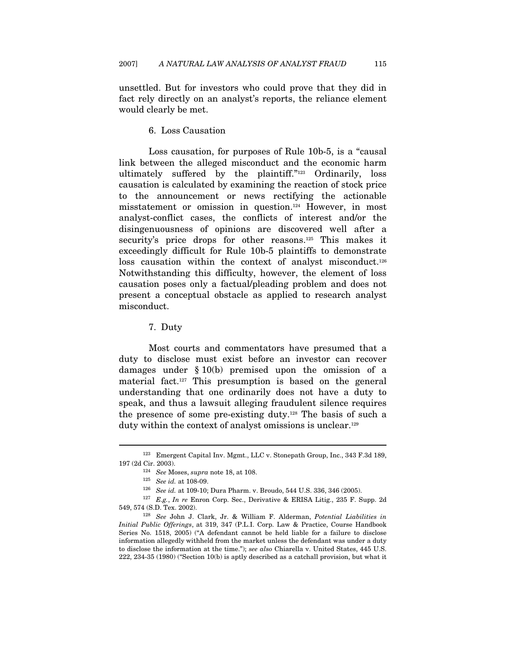unsettled. But for investors who could prove that they did in fact rely directly on an analyst's reports, the reliance element would clearly be met.

#### 6. Loss Causation

Loss causation, for purposes of Rule 10b-5, is a "causal link between the alleged misconduct and the economic harm ultimately suffered by the plaintiff."123 Ordinarily, loss causation is calculated by examining the reaction of stock price to the announcement or news rectifying the actionable misstatement or omission in question.124 However, in most analyst-conflict cases, the conflicts of interest and/or the disingenuousness of opinions are discovered well after a security's price drops for other reasons.<sup>125</sup> This makes it exceedingly difficult for Rule 10b-5 plaintiffs to demonstrate loss causation within the context of analyst misconduct.<sup>126</sup> Notwithstanding this difficulty, however, the element of loss causation poses only a factual/pleading problem and does not present a conceptual obstacle as applied to research analyst misconduct.

## 7. Duty

Most courts and commentators have presumed that a duty to disclose must exist before an investor can recover damages under § 10(b) premised upon the omission of a material fact.127 This presumption is based on the general understanding that one ordinarily does not have a duty to speak, and thus a lawsuit alleging fraudulent silence requires the presence of some pre-existing duty.128 The basis of such a duty within the context of analyst omissions is unclear.129

 $^{123}$ Emergent Capital Inv. Mgmt., LLC v. Stonepath Group, Inc., 343 F.3d 189, 197 $(2d\ {\rm Cir},\ 2003)$ .

<sup>&</sup>lt;sup>124</sup> See Moses, *supra* note 18, at 108.<br><sup>125</sup> See id. at 108-09.<br><sup>126</sup> See id. at 109-10; Dura Pharm. v. Broudo, 544 U.S. 336, 346 (2005).<br><sup>127</sup> E.g., *In re* Enron Corp. Sec., Derivative & ERISA Litig., 235 F. Supp. 2d 549, 574 (S.D. Tex. 2002). 128 See John J. Clark, Jr. & William F. Alderman, Potential Liabilities in

Initial Public Offerings, at 319, 347 (P.L.I. Corp. Law & Practice, Course Handbook Series No. 1518, 2005) ("A defendant cannot be held liable for a failure to disclose information allegedly withheld from the market unless the defendant was under a duty to disclose the information at the time."); see also Chiarella v. United States, 445 U.S. 222, 234-35 (1980) ("Section 10(b) is aptly described as a catchall provision, but what it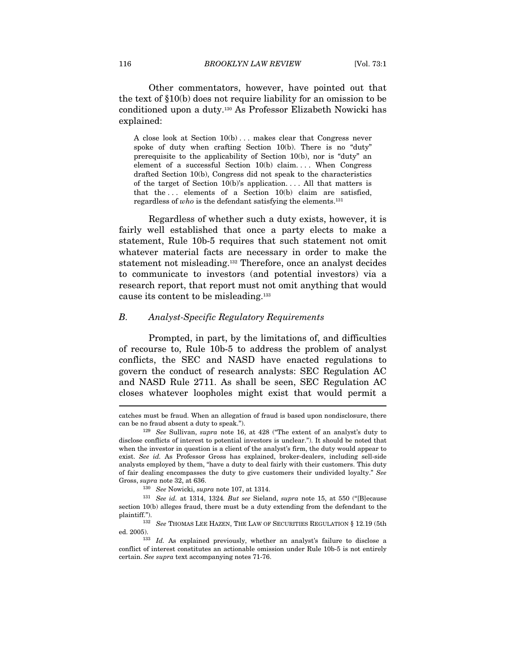Other commentators, however, have pointed out that the text of §10(b) does not require liability for an omission to be conditioned upon a duty.130 As Professor Elizabeth Nowicki has explained:

A close look at Section  $10(b)$ ... makes clear that Congress never spoke of duty when crafting Section 10(b). There is no "duty" prerequisite to the applicability of Section 10(b), nor is "duty" an element of a successful Section  $10(b)$  claim.... When Congress drafted Section 10(b), Congress did not speak to the characteristics of the target of Section  $10(b)$ 's application.... All that matters is that the ... elements of a Section  $10(b)$  claim are satisfied, regardless of  $who$  is the defendant satisfying the elements.<sup>131</sup>

Regardless of whether such a duty exists, however, it is fairly well established that once a party elects to make a statement, Rule 10b-5 requires that such statement not omit whatever material facts are necessary in order to make the statement not misleading.132 Therefore, once an analyst decides to communicate to investors (and potential investors) via a research report, that report must not omit anything that would cause its content to be misleading.133

#### B. Analyst-Specific Regulatory Requirements

Prompted, in part, by the limitations of, and difficulties of recourse to, Rule 10b-5 to address the problem of analyst conflicts, the SEC and NASD have enacted regulations to govern the conduct of research analysts: SEC Regulation AC and NASD Rule 2711. As shall be seen, SEC Regulation AC closes whatever loopholes might exist that would permit a

catches must be fraud. When an allegation of fraud is based upon nondisclosure, there can be no fraud absent a duty to speak.").<br><sup>129</sup> See Sullivan, supra note 16, at 428 ("The extent of an analyst's duty to

disclose conflicts of interest to potential investors is unclear."). It should be noted that when the investor in question is a client of the analyst's firm, the duty would appear to exist. See id. As Professor Gross has explained, broker-dealers, including sell-side analysts employed by them, "have a duty to deal fairly with their customers. This duty of fair dealing encompasses the duty to give customers their undivided loyalty." See Gross, supra note 32, at 636.<br> $130\,$  See Nowicki, supra note 107, at 1314.

 $^{131}\,$  See id. at 1314, 1324. But see Sieland, supra note 15, at 550 ("[B]ecause section 10(b) alleges fraud, there must be a duty extending from the defendant to the plaintiff.").

<sup>&</sup>lt;sup>132</sup> See THOMAS LEE HAZEN, THE LAW OF SECURITIES REGULATION § 12.19 (5th ed. 2005). 133 Id. As explained previously, whether an analyst's failure to disclose a

conflict of interest constitutes an actionable omission under Rule 10b-5 is not entirely certain. See supra text accompanying notes 71-76.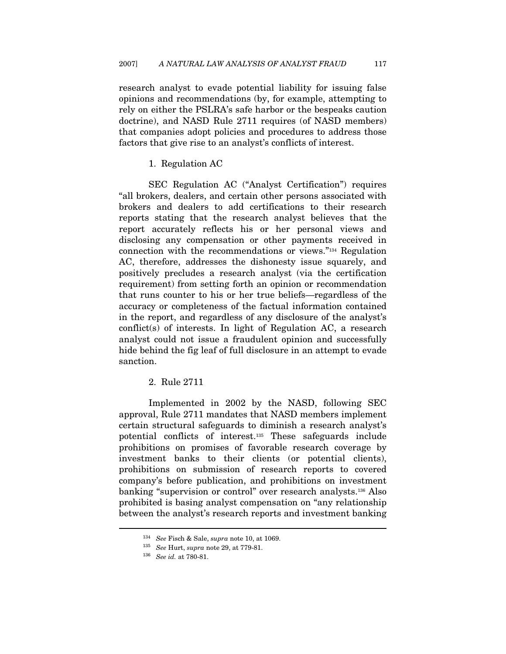research analyst to evade potential liability for issuing false opinions and recommendations (by, for example, attempting to rely on either the PSLRA's safe harbor or the bespeaks caution doctrine), and NASD Rule 2711 requires (of NASD members) that companies adopt policies and procedures to address those factors that give rise to an analyst's conflicts of interest.

#### 1. Regulation AC

SEC Regulation AC ("Analyst Certification") requires "all brokers, dealers, and certain other persons associated with brokers and dealers to add certifications to their research reports stating that the research analyst believes that the report accurately reflects his or her personal views and disclosing any compensation or other payments received in connection with the recommendations or views."134 Regulation AC, therefore, addresses the dishonesty issue squarely, and positively precludes a research analyst (via the certification requirement) from setting forth an opinion or recommendation that runs counter to his or her true beliefs—regardless of the accuracy or completeness of the factual information contained in the report, and regardless of any disclosure of the analyst's conflict(s) of interests. In light of Regulation AC, a research analyst could not issue a fraudulent opinion and successfully hide behind the fig leaf of full disclosure in an attempt to evade sanction.

# 2. Rule 2711

Implemented in 2002 by the NASD, following SEC approval, Rule 2711 mandates that NASD members implement certain structural safeguards to diminish a research analyst's potential conflicts of interest.135 These safeguards include prohibitions on promises of favorable research coverage by investment banks to their clients (or potential clients), prohibitions on submission of research reports to covered company's before publication, and prohibitions on investment banking "supervision or control" over research analysts.136 Also prohibited is basing analyst compensation on "any relationship between the analyst's research reports and investment banking

<sup>&</sup>lt;sup>134</sup> See Fisch & Sale, supra note 10, at 1069.<br><sup>135</sup> See Hurt, supra note 29, at 779-81.<br><sup>136</sup> See id. at 780-81.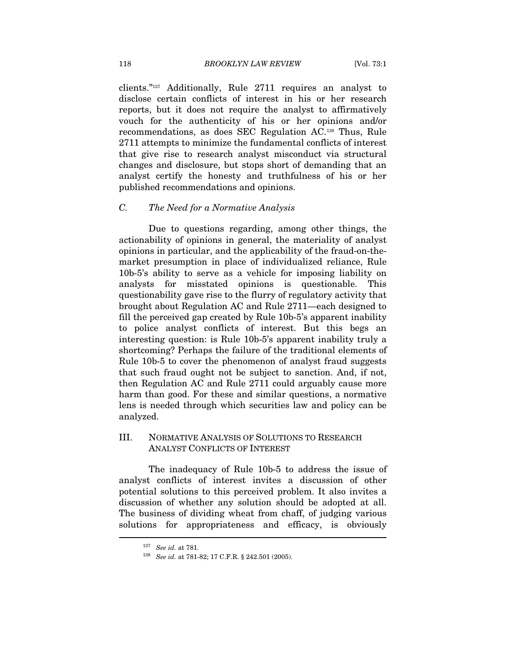clients."137 Additionally, Rule 2711 requires an analyst to disclose certain conflicts of interest in his or her research reports, but it does not require the analyst to affirmatively vouch for the authenticity of his or her opinions and/or recommendations, as does SEC Regulation AC.138 Thus, Rule 2711 attempts to minimize the fundamental conflicts of interest that give rise to research analyst misconduct via structural changes and disclosure, but stops short of demanding that an analyst certify the honesty and truthfulness of his or her published recommendations and opinions.

### C. The Need for a Normative Analysis

Due to questions regarding, among other things, the actionability of opinions in general, the materiality of analyst opinions in particular, and the applicability of the fraud-on-themarket presumption in place of individualized reliance, Rule 10b-5's ability to serve as a vehicle for imposing liability on analysts for misstated opinions is questionable. This questionability gave rise to the flurry of regulatory activity that brought about Regulation AC and Rule 2711—each designed to fill the perceived gap created by Rule 10b-5's apparent inability to police analyst conflicts of interest. But this begs an interesting question: is Rule 10b-5's apparent inability truly a shortcoming? Perhaps the failure of the traditional elements of Rule 10b-5 to cover the phenomenon of analyst fraud suggests that such fraud ought not be subject to sanction. And, if not, then Regulation AC and Rule 2711 could arguably cause more harm than good. For these and similar questions, a normative lens is needed through which securities law and policy can be analyzed.

# III. NORMATIVE ANALYSIS OF SOLUTIONS TO RESEARCH ANALYST CONFLICTS OF INTEREST

The inadequacy of Rule 10b-5 to address the issue of analyst conflicts of interest invites a discussion of other potential solutions to this perceived problem. It also invites a discussion of whether any solution should be adopted at all. The business of dividing wheat from chaff, of judging various solutions for appropriateness and efficacy, is obviously  $\overline{a}$ 

<sup>&</sup>lt;sup>137</sup> See id. at 781.<br><sup>138</sup> See id. at 781-82; 17 C.F.R. § 242.501 (2005).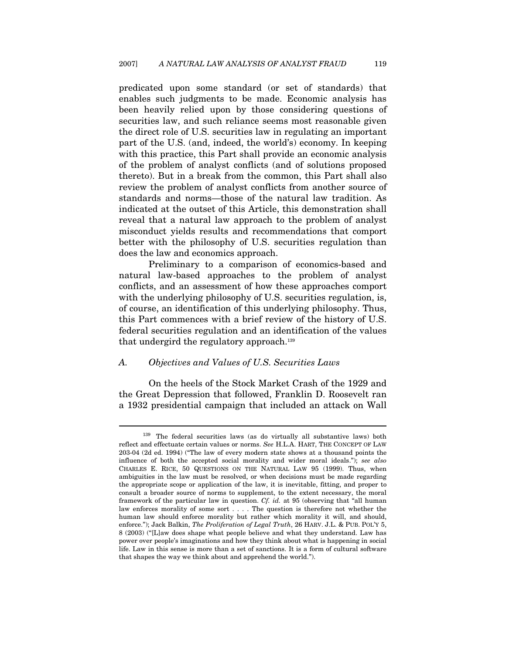predicated upon some standard (or set of standards) that enables such judgments to be made. Economic analysis has been heavily relied upon by those considering questions of securities law, and such reliance seems most reasonable given the direct role of U.S. securities law in regulating an important part of the U.S. (and, indeed, the world's) economy. In keeping with this practice, this Part shall provide an economic analysis of the problem of analyst conflicts (and of solutions proposed thereto). But in a break from the common, this Part shall also review the problem of analyst conflicts from another source of standards and norms—those of the natural law tradition. As indicated at the outset of this Article, this demonstration shall reveal that a natural law approach to the problem of analyst misconduct yields results and recommendations that comport better with the philosophy of U.S. securities regulation than does the law and economics approach.

Preliminary to a comparison of economics-based and natural law-based approaches to the problem of analyst conflicts, and an assessment of how these approaches comport with the underlying philosophy of U.S. securities regulation, is, of course, an identification of this underlying philosophy. Thus, this Part commences with a brief review of the history of U.S. federal securities regulation and an identification of the values that undergird the regulatory approach.<sup>139</sup>

#### A. Objectives and Values of U.S. Securities Laws

 $\overline{a}$ 

On the heels of the Stock Market Crash of the 1929 and the Great Depression that followed, Franklin D. Roosevelt ran a 1932 presidential campaign that included an attack on Wall

<sup>139</sup> The federal securities laws (as do virtually all substantive laws) both reflect and effectuate certain values or norms. See H.L.A. HART, THE CONCEPT OF LAW 203-04 (2d ed. 1994) ("The law of every modern state shows at a thousand points the influence of both the accepted social morality and wider moral ideals."); see also CHARLES E. RICE, 50 QUESTIONS ON THE NATURAL LAW 95 (1999). Thus, when ambiguities in the law must be resolved, or when decisions must be made regarding the appropriate scope or application of the law, it is inevitable, fitting, and proper to consult a broader source of norms to supplement, to the extent necessary, the moral framework of the particular law in question. Cf. id. at 95 (observing that "all human law enforces morality of some sort . . . . The question is therefore not whether the human law should enforce morality but rather which morality it will, and should, enforce."); Jack Balkin, The Proliferation of Legal Truth, 26 HARV. J.L. & PUB. POL'Y 5, 8 (2003) ("[L]aw does shape what people believe and what they understand. Law has power over people's imaginations and how they think about what is happening in social life. Law in this sense is more than a set of sanctions. It is a form of cultural software that shapes the way we think about and apprehend the world.").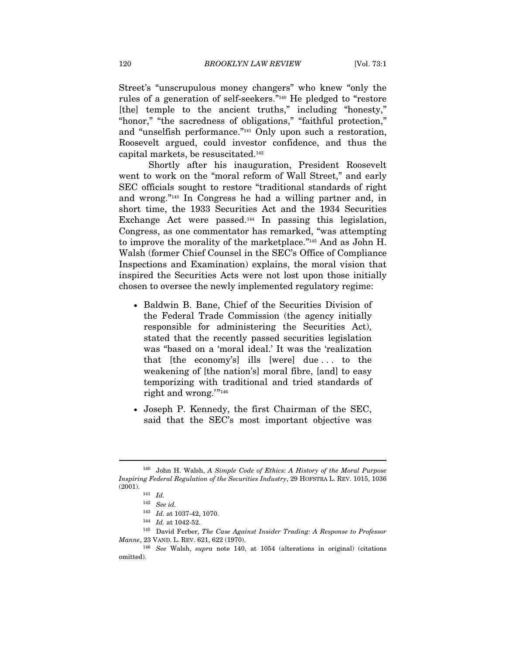Street's "unscrupulous money changers" who knew "only the rules of a generation of self-seekers."140 He pledged to "restore [the] temple to the ancient truths," including "honesty," "honor," "the sacredness of obligations," "faithful protection," and "unselfish performance."141 Only upon such a restoration, Roosevelt argued, could investor confidence, and thus the capital markets, be resuscitated.142

Shortly after his inauguration, President Roosevelt went to work on the "moral reform of Wall Street," and early SEC officials sought to restore "traditional standards of right and wrong."143 In Congress he had a willing partner and, in short time, the 1933 Securities Act and the 1934 Securities Exchange Act were passed.<sup>144</sup> In passing this legislation, Congress, as one commentator has remarked, "was attempting to improve the morality of the marketplace."145 And as John H. Walsh (former Chief Counsel in the SEC's Office of Compliance Inspections and Examination) explains, the moral vision that inspired the Securities Acts were not lost upon those initially chosen to oversee the newly implemented regulatory regime:

- Baldwin B. Bane, Chief of the Securities Division of the Federal Trade Commission (the agency initially responsible for administering the Securities Act), stated that the recently passed securities legislation was "based on a 'moral ideal.' It was the 'realization that [the economy's] ills [were] due . . . to the weakening of [the nation's] moral fibre, [and] to easy temporizing with traditional and tried standards of right and wrong.'"146
- Joseph P. Kennedy, the first Chairman of the SEC, said that the SEC's most important objective was

<sup>140</sup> John H. Walsh, A Simple Code of Ethics: A History of the Moral Purpose Inspiring Federal Regulation of the Securities Industry, 29 HOFSTRA L. REV. 1015, 1036 (2001).  $141$  *Id.* 

<sup>142</sup> See id.

 $^{143}\;$   $\; Id.$  at 1037-42, 1070.

<sup>&</sup>lt;sup>144</sup> *Id.* at 1042-52.<br><sup>145</sup> David Ferber, *The Case Against Insider Trading: A Response to Professor* Manne, 23 VAND. L. REV. 621, 622 (1970). 146 See Walsh, supra note 140, at 1054 (alterations in original) (citations

omitted).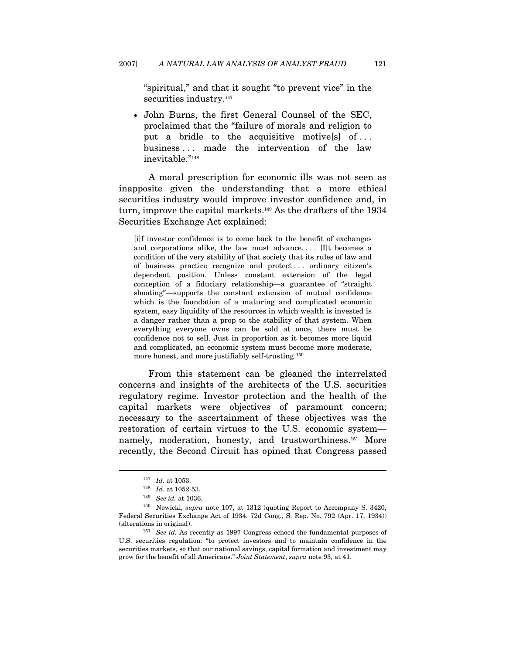"spiritual," and that it sought "to prevent vice" in the securities industry.<sup>147</sup>

• John Burns, the first General Counsel of the SEC, proclaimed that the "failure of morals and religion to put a bridle to the acquisitive motives of... business . . . made the intervention of the law inevitable."148

A moral prescription for economic ills was not seen as inapposite given the understanding that a more ethical securities industry would improve investor confidence and, in turn, improve the capital markets.149 As the drafters of the 1934 Securities Exchange Act explained:

[i]f investor confidence is to come back to the benefit of exchanges and corporations alike, the law must advance. . . . [I]t becomes a condition of the very stability of that society that its rules of law and of business practice recognize and protect . . . ordinary citizen's dependent position. Unless constant extension of the legal conception of a fiduciary relationship—a guarantee of "straight shooting"—supports the constant extension of mutual confidence which is the foundation of a maturing and complicated economic system, easy liquidity of the resources in which wealth is invested is a danger rather than a prop to the stability of that system. When everything everyone owns can be sold at once, there must be confidence not to sell. Just in proportion as it becomes more liquid and complicated, an economic system must become more moderate, more honest, and more justifiably self-trusting.150

From this statement can be gleaned the interrelated concerns and insights of the architects of the U.S. securities regulatory regime. Investor protection and the health of the capital markets were objectives of paramount concern; necessary to the ascertainment of these objectives was the restoration of certain virtues to the U.S. economic system namely, moderation, honesty, and trustworthiness.<sup>151</sup> More recently, the Second Circuit has opined that Congress passed

<sup>&</sup>lt;sup>147</sup> *Id.* at 1053.<br><sup>148</sup> *Id.* at 1052-53.<br><sup>149</sup> *See id.* at 1036.

<sup>150</sup> Nowicki, supra note 107, at 1312 (quoting Report to Accompany S. 3420, Federal Securities Exchange Act of 1934, 72d Cong., S. Rep. No. 792 (Apr. 17, 1934)) (alterations in original).

 $151$  See id. As recently as 1997 Congress echoed the fundamental purposes of U.S. securities regulation: "to protect investors and to maintain confidence in the securities markets, so that our national savings, capital formation and investment may grow for the benefit of all Americans." Joint Statement, supra note 93, at 41.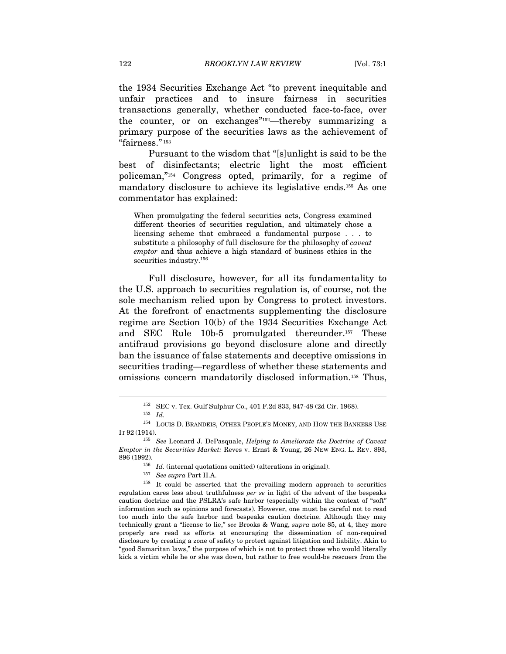the 1934 Securities Exchange Act "to prevent inequitable and unfair practices and to insure fairness in securities transactions generally, whether conducted face-to-face, over the counter, or on exchanges"152—thereby summarizing a primary purpose of the securities laws as the achievement of "fairness." 153

Pursuant to the wisdom that "[s]unlight is said to be the best of disinfectants; electric light the most efficient policeman,"154 Congress opted, primarily, for a regime of mandatory disclosure to achieve its legislative ends.155 As one commentator has explained:

When promulgating the federal securities acts, Congress examined different theories of securities regulation, and ultimately chose a licensing scheme that embraced a fundamental purpose . . . to substitute a philosophy of full disclosure for the philosophy of caveat emptor and thus achieve a high standard of business ethics in the securities industry.<sup>156</sup>

Full disclosure, however, for all its fundamentality to the U.S. approach to securities regulation is, of course, not the sole mechanism relied upon by Congress to protect investors. At the forefront of enactments supplementing the disclosure regime are Section 10(b) of the 1934 Securities Exchange Act and SEC Rule 10b-5 promulgated thereunder.157 These antifraud provisions go beyond disclosure alone and directly ban the issuance of false statements and deceptive omissions in securities trading—regardless of whether these statements and omissions concern mandatorily disclosed information.158 Thus,

 $^{152}$  SEC v. Tex. Gulf Sulphur Co., 401 F.2d 833, 847-48 (2d Cir. 1968).  $^{153}$   $\,$   $\!ld$ 

 $^{154}$  LOUIS D. BRANDEIS, OTHER PEOPLE'S MONEY, AND HOW THE BANKERS USE IT 92 (1914).

 $155$  See Leonard J. DePasquale, Helping to Ameliorate the Doctrine of Caveat Emptor in the Securities Market: Reves v. Ernst & Young, 26 NEW ENG. L. REV. 893, 896 (1992).<br><sup>156</sup> Id. (internal quotations omitted) (alterations in original).<br><sup>157</sup> See supra Part II.A.<br><sup>158</sup> It could be asserted that the prevailing modern approach to securities

regulation cares less about truthfulness per se in light of the advent of the bespeaks caution doctrine and the PSLRA's safe harbor (especially within the context of "soft" information such as opinions and forecasts). However, one must be careful not to read too much into the safe harbor and bespeaks caution doctrine. Although they may technically grant a "license to lie," see Brooks & Wang, supra note 85, at 4, they more properly are read as efforts at encouraging the dissemination of non-required disclosure by creating a zone of safety to protect against litigation and liability. Akin to "good Samaritan laws," the purpose of which is not to protect those who would literally kick a victim while he or she was down, but rather to free would-be rescuers from the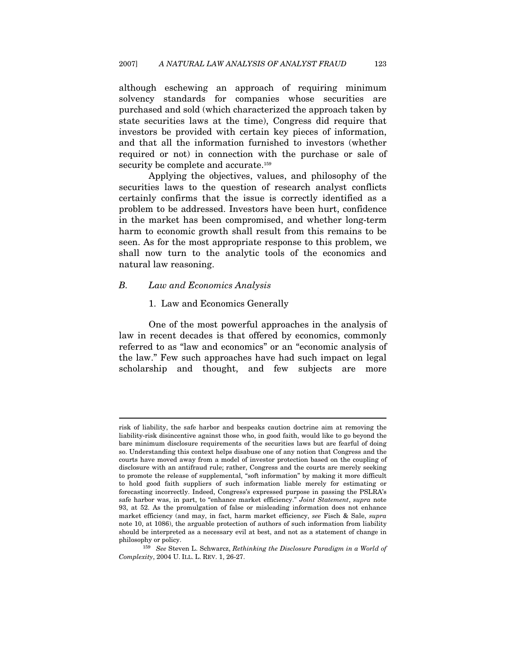although eschewing an approach of requiring minimum solvency standards for companies whose securities are purchased and sold (which characterized the approach taken by state securities laws at the time), Congress did require that investors be provided with certain key pieces of information, and that all the information furnished to investors (whether required or not) in connection with the purchase or sale of security be complete and accurate.<sup>159</sup>

Applying the objectives, values, and philosophy of the securities laws to the question of research analyst conflicts certainly confirms that the issue is correctly identified as a problem to be addressed. Investors have been hurt, confidence in the market has been compromised, and whether long-term harm to economic growth shall result from this remains to be seen. As for the most appropriate response to this problem, we shall now turn to the analytic tools of the economics and natural law reasoning.

#### B. Law and Economics Analysis

 $\overline{a}$ 

#### 1. Law and Economics Generally

One of the most powerful approaches in the analysis of law in recent decades is that offered by economics, commonly referred to as "law and economics" or an "economic analysis of the law." Few such approaches have had such impact on legal scholarship and thought, and few subjects are more

risk of liability, the safe harbor and bespeaks caution doctrine aim at removing the liability-risk disincentive against those who, in good faith, would like to go beyond the bare minimum disclosure requirements of the securities laws but are fearful of doing so. Understanding this context helps disabuse one of any notion that Congress and the courts have moved away from a model of investor protection based on the coupling of disclosure with an antifraud rule; rather, Congress and the courts are merely seeking to promote the release of supplemental, "soft information" by making it more difficult to hold good faith suppliers of such information liable merely for estimating or forecasting incorrectly. Indeed, Congress's expressed purpose in passing the PSLRA's safe harbor was, in part, to "enhance market efficiency." Joint Statement, supra note 93, at 52. As the promulgation of false or misleading information does not enhance market efficiency (and may, in fact, harm market efficiency, see Fisch & Sale, supra note 10, at 1086), the arguable protection of authors of such information from liability should be interpreted as a necessary evil at best, and not as a statement of change in

philosophy or policy.<br><sup>159</sup> See Steven L. Schwarcz, *Rethinking the Disclosure Paradigm in a World of* Complexity, 2004 U. ILL. L. REV. 1, 26-27.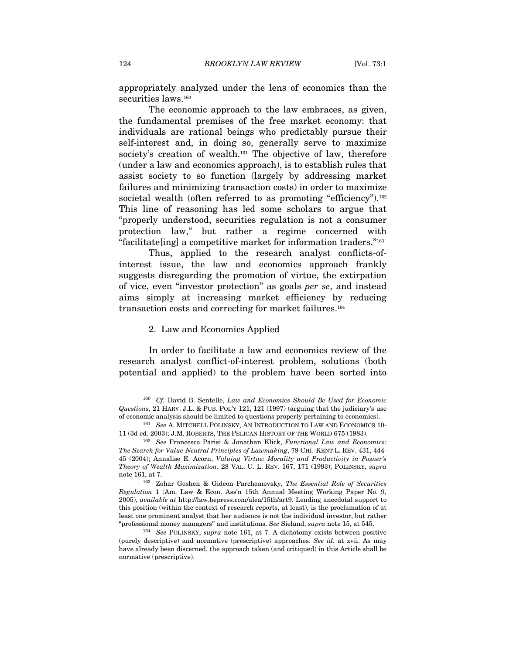appropriately analyzed under the lens of economics than the securities laws.<sup>160</sup>

The economic approach to the law embraces, as given, the fundamental premises of the free market economy: that individuals are rational beings who predictably pursue their self-interest and, in doing so, generally serve to maximize society's creation of wealth.<sup>161</sup> The objective of law, therefore (under a law and economics approach), is to establish rules that assist society to so function (largely by addressing market failures and minimizing transaction costs) in order to maximize societal wealth (often referred to as promoting "efficiency").<sup>162</sup> This line of reasoning has led some scholars to argue that "properly understood, securities regulation is not a consumer protection law," but rather a regime concerned with "facilitate[ing] a competitive market for information traders."163

Thus, applied to the research analyst conflicts-ofinterest issue, the law and economics approach frankly suggests disregarding the promotion of virtue, the extirpation of vice, even "investor protection" as goals per se, and instead aims simply at increasing market efficiency by reducing transaction costs and correcting for market failures.164

#### 2. Law and Economics Applied

In order to facilitate a law and economics review of the research analyst conflict-of-interest problem, solutions (both potential and applied) to the problem have been sorted into

<sup>160</sup> Cf. David B. Sentelle, Law and Economics Should Be Used for Economic Questions, 21 HARV. J.L. & PUB. POL'Y 121, 121 (1997) (arguing that the judiciary's use of economic analysis should be limited to questions properly pertaining to economics). 161 See A. MITCHELL POLINSKY, AN INTRODUCTION TO LAW AND ECONOMICS 10-

<sup>11 (3</sup>d ed. 2003); J.M. ROBERTS, THE PELICAN HISTORY OF THE WORLD 675 (1983).<br><sup>162</sup> See Francesco Parisi & Jonathan Klick, *Functional Law and Economics*:

The Search for Value-Neutral Principles of Lawmaking, 79 CHI.-KENT L. REV. 431, 444- 45 (2004); Annalise E. Acorn, Valuing Virtue: Morality and Productivity in Posner's Theory of Wealth Maximization, 28 VAL. U. L. REV. 167, 171 (1993); POLINSKY, supra note 161, at 7.<br><sup>163</sup> Zohar Goshen & Gideon Parchomovsky, *The Essential Role of Securities* 

Regulation 1 (Am. Law & Econ. Ass'n 15th Annual Meeting Working Paper No. 9, 2005), available at http://law.bepress.com/alea/15th/art9. Lending anecdotal support to this position (within the context of research reports, at least), is the proclamation of at least one prominent analyst that her audience is not the individual investor, but rather "professional money managers" and institutions. See Sieland, supra note 15, at 545.<br><sup>164</sup> See POLINSKY, supra note 161, at 7. A dichotomy exists between positive

<sup>(</sup>purely descriptive) and normative (prescriptive) approaches. See id. at xvii. As may have already been discerned, the approach taken (and critiqued) in this Article shall be normative (prescriptive).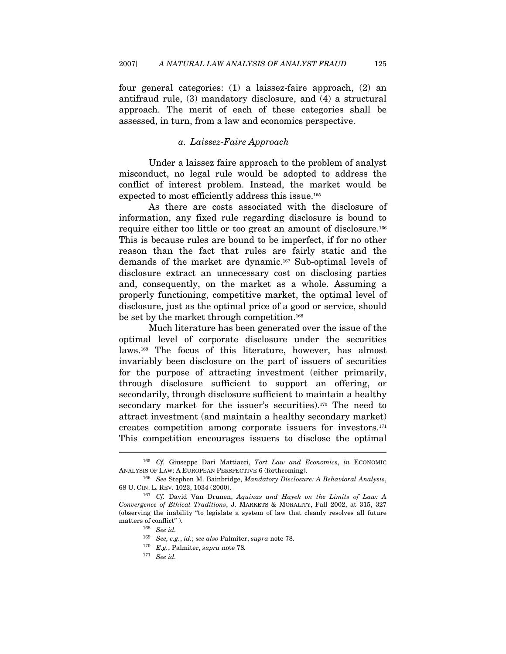four general categories: (1) a laissez-faire approach, (2) an antifraud rule, (3) mandatory disclosure, and (4) a structural approach. The merit of each of these categories shall be assessed, in turn, from a law and economics perspective.

#### a. Laissez-Faire Approach

Under a laissez faire approach to the problem of analyst misconduct, no legal rule would be adopted to address the conflict of interest problem. Instead, the market would be expected to most efficiently address this issue.165

As there are costs associated with the disclosure of information, any fixed rule regarding disclosure is bound to require either too little or too great an amount of disclosure.166 This is because rules are bound to be imperfect, if for no other reason than the fact that rules are fairly static and the demands of the market are dynamic.167 Sub-optimal levels of disclosure extract an unnecessary cost on disclosing parties and, consequently, on the market as a whole. Assuming a properly functioning, competitive market, the optimal level of disclosure, just as the optimal price of a good or service, should be set by the market through competition.<sup>168</sup>

Much literature has been generated over the issue of the optimal level of corporate disclosure under the securities laws.169 The focus of this literature, however, has almost invariably been disclosure on the part of issuers of securities for the purpose of attracting investment (either primarily, through disclosure sufficient to support an offering, or secondarily, through disclosure sufficient to maintain a healthy secondary market for the issuer's securities).<sup>170</sup> The need to attract investment (and maintain a healthy secondary market) creates competition among corporate issuers for investors.171 This competition encourages issuers to disclose the optimal

 $165$  Cf. Giuseppe Dari Mattiacci, Tort Law and Economics, in ECONOMIC ANALYSIS OF LAW: A EUROPEAN PERSPECTIVE 6 (forthcoming).<br><sup>166</sup> See Stephen M. Bainbridge, *Mandatory Disclosure: A Behavioral Analysis*,

<sup>68</sup> U. CIN. L. REV. 1023, 1034 (2000). 167 Cf. David Van Drunen, Aquinas and Hayek on the Limits of Law: A Convergence of Ethical Traditions, J. MARKETS & MORALITY, Fall 2002, at 315, 327 (observing the inability "to legislate a system of law that cleanly resolves all future matters of conflict" ).<br> $168\quad \text{See id.}$ 

 $^{169}$  See, e.g., id.; see also Palmiter, supra note 78.  $^{170}$  E.g., Palmiter, supra note 78.

<sup>171</sup> See id.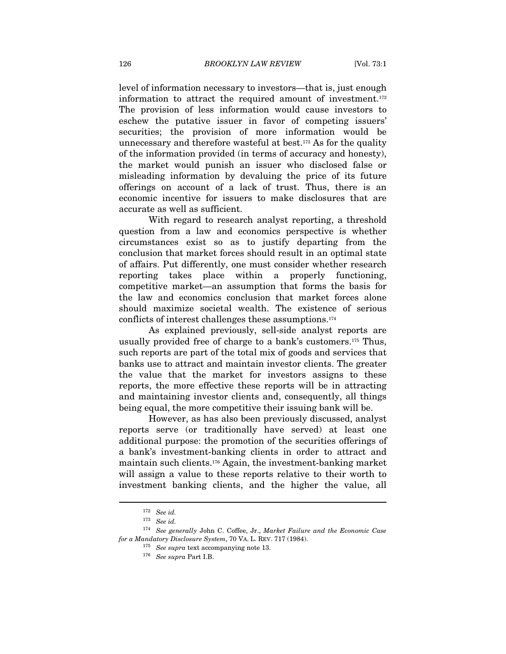level of information necessary to investors—that is, just enough information to attract the required amount of investment.172 The provision of less information would cause investors to eschew the putative issuer in favor of competing issuers' securities; the provision of more information would be unnecessary and therefore wasteful at best.173 As for the quality of the information provided (in terms of accuracy and honesty), the market would punish an issuer who disclosed false or misleading information by devaluing the price of its future offerings on account of a lack of trust. Thus, there is an economic incentive for issuers to make disclosures that are accurate as well as sufficient.

With regard to research analyst reporting, a threshold question from a law and economics perspective is whether circumstances exist so as to justify departing from the conclusion that market forces should result in an optimal state of affairs. Put differently, one must consider whether research reporting takes place within a properly functioning, competitive market—an assumption that forms the basis for the law and economics conclusion that market forces alone should maximize societal wealth. The existence of serious conflicts of interest challenges these assumptions.174

As explained previously, sell-side analyst reports are usually provided free of charge to a bank's customers.175 Thus, such reports are part of the total mix of goods and services that banks use to attract and maintain investor clients. The greater the value that the market for investors assigns to these reports, the more effective these reports will be in attracting and maintaining investor clients and, consequently, all things being equal, the more competitive their issuing bank will be.

However, as has also been previously discussed, analyst reports serve (or traditionally have served) at least one additional purpose: the promotion of the securities offerings of a bank's investment-banking clients in order to attract and maintain such clients.176 Again, the investment-banking market will assign a value to these reports relative to their worth to investment banking clients, and the higher the value, all

<sup>172</sup> See id.

<sup>173</sup> See id.

 $^{174}\,$  See generally John C. Coffee, Jr., Market Failure and the Economic Case for a Mandatory Disclosure System, 70 VA. L. REV. 717 (1984).<br><sup>175</sup> See supra text accompanying note 13.<br><sup>176</sup> See supra Part I.B.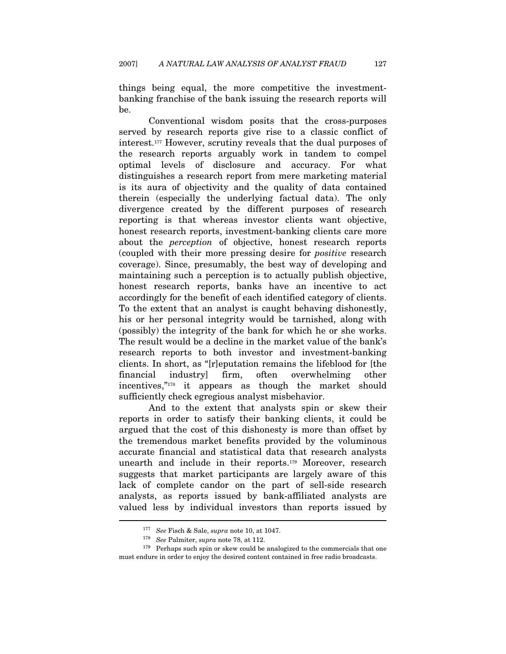things being equal, the more competitive the investmentbanking franchise of the bank issuing the research reports will be.

Conventional wisdom posits that the cross-purposes served by research reports give rise to a classic conflict of interest.177 However, scrutiny reveals that the dual purposes of the research reports arguably work in tandem to compel optimal levels of disclosure and accuracy. For what distinguishes a research report from mere marketing material is its aura of objectivity and the quality of data contained therein (especially the underlying factual data). The only divergence created by the different purposes of research reporting is that whereas investor clients want objective, honest research reports, investment-banking clients care more about the perception of objective, honest research reports (coupled with their more pressing desire for positive research coverage). Since, presumably, the best way of developing and maintaining such a perception is to actually publish objective, honest research reports, banks have an incentive to act accordingly for the benefit of each identified category of clients. To the extent that an analyst is caught behaving dishonestly, his or her personal integrity would be tarnished, along with (possibly) the integrity of the bank for which he or she works. The result would be a decline in the market value of the bank's research reports to both investor and investment-banking clients. In short, as "[r]eputation remains the lifeblood for [the financial industry] firm, often overwhelming other incentives,"178 it appears as though the market should sufficiently check egregious analyst misbehavior.

And to the extent that analysts spin or skew their reports in order to satisfy their banking clients, it could be argued that the cost of this dishonesty is more than offset by the tremendous market benefits provided by the voluminous accurate financial and statistical data that research analysts unearth and include in their reports.179 Moreover, research suggests that market participants are largely aware of this lack of complete candor on the part of sell-side research analysts, as reports issued by bank-affiliated analysts are valued less by individual investors than reports issued by  $\overline{a}$ 

<sup>&</sup>lt;sup>177</sup> See Fisch & Sale, *supra* note 10, at 1047.<br><sup>178</sup> See Palmiter, *supra* note 78, at 112.<br><sup>179</sup> Perhaps such spin or skew could be analogized to the commercials that one must endure in order to enjoy the desired content contained in free radio broadcasts.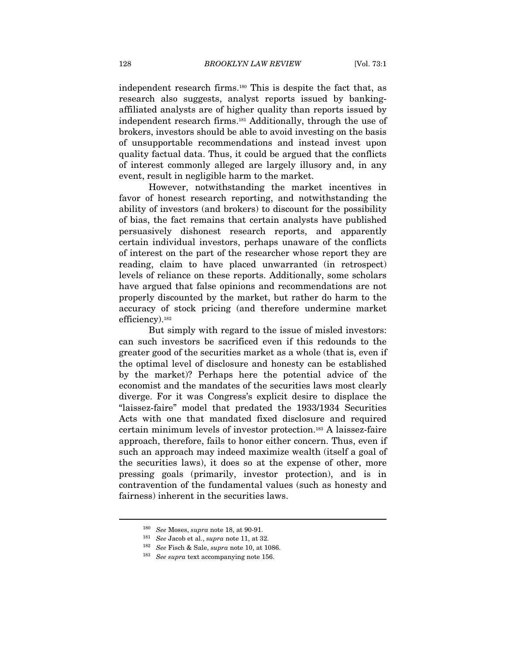independent research firms.180 This is despite the fact that, as research also suggests, analyst reports issued by bankingaffiliated analysts are of higher quality than reports issued by independent research firms.181 Additionally, through the use of brokers, investors should be able to avoid investing on the basis of unsupportable recommendations and instead invest upon quality factual data. Thus, it could be argued that the conflicts of interest commonly alleged are largely illusory and, in any event, result in negligible harm to the market.

However, notwithstanding the market incentives in favor of honest research reporting, and notwithstanding the ability of investors (and brokers) to discount for the possibility of bias, the fact remains that certain analysts have published persuasively dishonest research reports, and apparently certain individual investors, perhaps unaware of the conflicts of interest on the part of the researcher whose report they are reading, claim to have placed unwarranted (in retrospect) levels of reliance on these reports. Additionally, some scholars have argued that false opinions and recommendations are not properly discounted by the market, but rather do harm to the accuracy of stock pricing (and therefore undermine market efficiency).182

But simply with regard to the issue of misled investors: can such investors be sacrificed even if this redounds to the greater good of the securities market as a whole (that is, even if the optimal level of disclosure and honesty can be established by the market)? Perhaps here the potential advice of the economist and the mandates of the securities laws most clearly diverge. For it was Congress's explicit desire to displace the "laissez-faire" model that predated the 1933/1934 Securities Acts with one that mandated fixed disclosure and required certain minimum levels of investor protection.183 A laissez-faire approach, therefore, fails to honor either concern. Thus, even if such an approach may indeed maximize wealth (itself a goal of the securities laws), it does so at the expense of other, more pressing goals (primarily, investor protection), and is in contravention of the fundamental values (such as honesty and fairness) inherent in the securities laws.

<sup>180</sup> See Moses, supra note 18, at 90-91.

<sup>&</sup>lt;sup>181</sup> See Jacob et al., *supra* note 11, at 32.<br><sup>182</sup> See Fisch & Sale, *supra* note 10, at 1086.<br><sup>183</sup> See supra text accompanying note 156.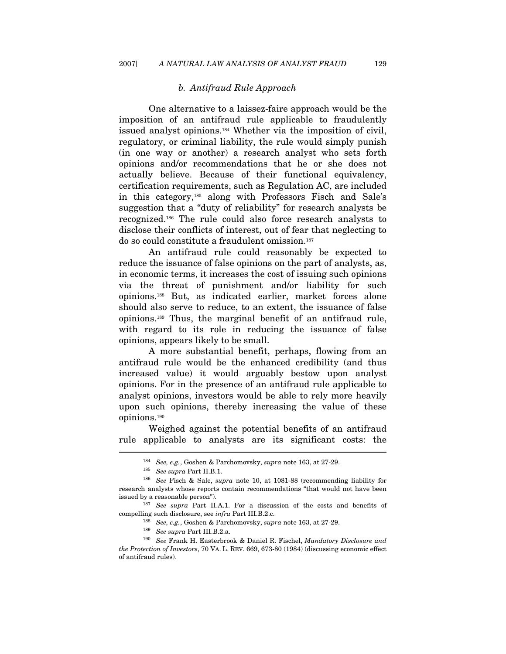#### b. Antifraud Rule Approach

One alternative to a laissez-faire approach would be the imposition of an antifraud rule applicable to fraudulently issued analyst opinions.184 Whether via the imposition of civil, regulatory, or criminal liability, the rule would simply punish (in one way or another) a research analyst who sets forth opinions and/or recommendations that he or she does not actually believe. Because of their functional equivalency, certification requirements, such as Regulation AC, are included in this category,185 along with Professors Fisch and Sale's suggestion that a "duty of reliability" for research analysts be recognized.186 The rule could also force research analysts to disclose their conflicts of interest, out of fear that neglecting to do so could constitute a fraudulent omission.187

An antifraud rule could reasonably be expected to reduce the issuance of false opinions on the part of analysts, as, in economic terms, it increases the cost of issuing such opinions via the threat of punishment and/or liability for such opinions.188 But, as indicated earlier, market forces alone should also serve to reduce, to an extent, the issuance of false opinions.189 Thus, the marginal benefit of an antifraud rule, with regard to its role in reducing the issuance of false opinions, appears likely to be small.

A more substantial benefit, perhaps, flowing from an antifraud rule would be the enhanced credibility (and thus increased value) it would arguably bestow upon analyst opinions. For in the presence of an antifraud rule applicable to analyst opinions, investors would be able to rely more heavily upon such opinions, thereby increasing the value of these opinions.190

Weighed against the potential benefits of an antifraud rule applicable to analysts are its significant costs: the  $\overline{a}$ 

<sup>&</sup>lt;sup>184</sup> See, e.g., Goshen & Parchomovsky, *supra* note 163, at 27-29.<br><sup>185</sup> See supra Part II.B.1.<br><sup>186</sup> See Fisch & Sale, *supra* note 10, at 1081-88 (recommending liability for research analysts whose reports contain recommendations "that would not have been issued by a reasonable person").<br><sup>187</sup> See supra Part II.A.1. For a discussion of the costs and benefits of

compelling such disclosure, see *infra* Part III.B.2.c. <sup>188</sup> See, e.g., Goshen & Parchomovsky, supra note 163, at 27-29. <sup>189</sup> See supra Part III.B.2.a. <sup>190</sup> See Frank H. Easterbrook & Daniel R. Fischel, *Mandatory Disc* 

the Protection of Investors, 70 VA. L. REV. 669, 673-80 (1984) (discussing economic effect of antifraud rules).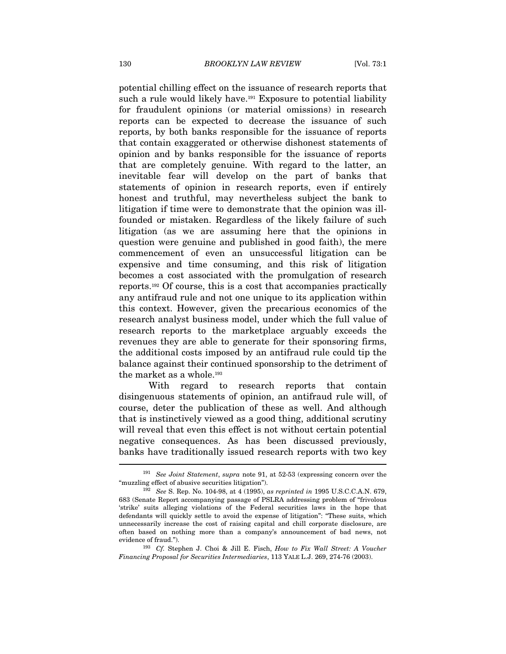potential chilling effect on the issuance of research reports that such a rule would likely have.<sup>191</sup> Exposure to potential liability for fraudulent opinions (or material omissions) in research reports can be expected to decrease the issuance of such reports, by both banks responsible for the issuance of reports that contain exaggerated or otherwise dishonest statements of opinion and by banks responsible for the issuance of reports that are completely genuine. With regard to the latter, an inevitable fear will develop on the part of banks that statements of opinion in research reports, even if entirely honest and truthful, may nevertheless subject the bank to litigation if time were to demonstrate that the opinion was illfounded or mistaken. Regardless of the likely failure of such litigation (as we are assuming here that the opinions in question were genuine and published in good faith), the mere commencement of even an unsuccessful litigation can be expensive and time consuming, and this risk of litigation becomes a cost associated with the promulgation of research reports.192 Of course, this is a cost that accompanies practically any antifraud rule and not one unique to its application within this context. However, given the precarious economics of the research analyst business model, under which the full value of research reports to the marketplace arguably exceeds the revenues they are able to generate for their sponsoring firms, the additional costs imposed by an antifraud rule could tip the balance against their continued sponsorship to the detriment of the market as a whole.193

With regard to research reports that contain disingenuous statements of opinion, an antifraud rule will, of course, deter the publication of these as well. And although that is instinctively viewed as a good thing, additional scrutiny will reveal that even this effect is not without certain potential negative consequences. As has been discussed previously, banks have traditionally issued research reports with two key  $\overline{a}$ 

evidence of fraud."). 193 Cf. Stephen J. Choi & Jill E. Fisch, *How to Fix Wall Street: A Voucher* Financing Proposal for Securities Intermediaries, 113 YALE L.J. 269, 274-76 (2003).

<sup>&</sup>lt;sup>191</sup> See Joint Statement, supra note 91, at 52-53 (expressing concern over the "muzzling effect of abusive securities litigation").

<sup>192</sup> See S. Rep. No. 104-98, at 4 (1995), as reprinted in 1995 U.S.C.C.A.N. 679, 683 (Senate Report accompanying passage of PSLRA addressing problem of "frivolous 'strike' suits alleging violations of the Federal securities laws in the hope that defendants will quickly settle to avoid the expense of litigation": "These suits, which unnecessarily increase the cost of raising capital and chill corporate disclosure, are often based on nothing more than a company's announcement of bad news, not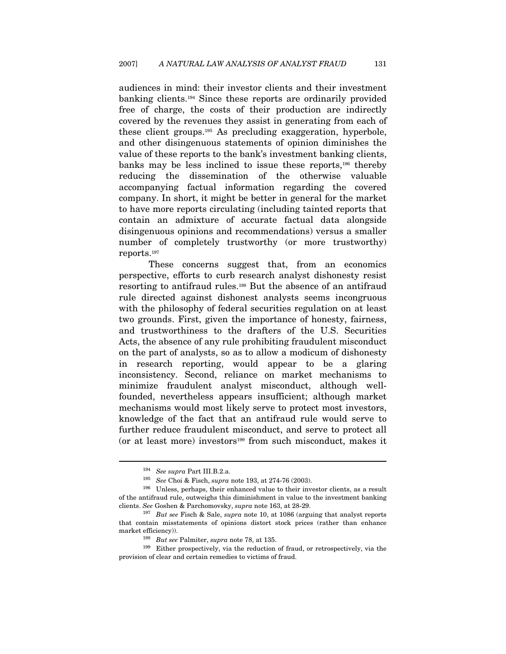audiences in mind: their investor clients and their investment banking clients.194 Since these reports are ordinarily provided free of charge, the costs of their production are indirectly covered by the revenues they assist in generating from each of these client groups.195 As precluding exaggeration, hyperbole, and other disingenuous statements of opinion diminishes the value of these reports to the bank's investment banking clients, banks may be less inclined to issue these reports,196 thereby reducing the dissemination of the otherwise valuable accompanying factual information regarding the covered company. In short, it might be better in general for the market to have more reports circulating (including tainted reports that contain an admixture of accurate factual data alongside disingenuous opinions and recommendations) versus a smaller number of completely trustworthy (or more trustworthy) reports.197

These concerns suggest that, from an economics perspective, efforts to curb research analyst dishonesty resist resorting to antifraud rules.198 But the absence of an antifraud rule directed against dishonest analysts seems incongruous with the philosophy of federal securities regulation on at least two grounds. First, given the importance of honesty, fairness, and trustworthiness to the drafters of the U.S. Securities Acts, the absence of any rule prohibiting fraudulent misconduct on the part of analysts, so as to allow a modicum of dishonesty in research reporting, would appear to be a glaring inconsistency. Second, reliance on market mechanisms to minimize fraudulent analyst misconduct, although wellfounded, nevertheless appears insufficient; although market mechanisms would most likely serve to protect most investors, knowledge of the fact that an antifraud rule would serve to further reduce fraudulent misconduct, and serve to protect all (or at least more) investors199 from such misconduct, makes it

<sup>&</sup>lt;sup>194</sup> See supra Part III.B.2.a.<br><sup>195</sup> See Choi & Fisch, *supra* note 193, at 274-76 (2003).<br><sup>196</sup> Unless, perhaps, their enhanced value to their investor clients, as a result of the antifraud rule, outweighs this diminishment in value to the investment banking clients. See Goshen & Parchomovsky, supra note 163, at 28-29.<br><sup>197</sup> But see Fisch & Sale, supra note 10, at 1086 (arguing that analyst reports

that contain misstatements of opinions distort stock prices (rather than enhance

market efficiency)). 198 But see Palmiter, supra note 78, at 135.<br>199 Either prospectively, via the reduction of fraud, or retrospectively, via the reduction of fraud, or retrospectively, via the provision of clear and certain remedies to victims of fraud.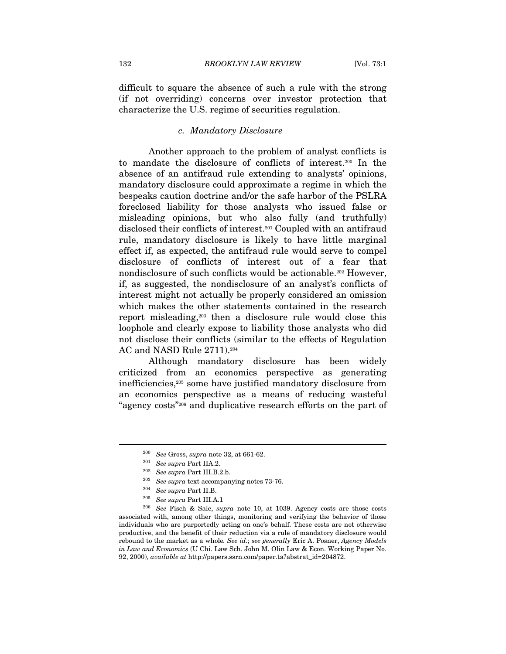difficult to square the absence of such a rule with the strong (if not overriding) concerns over investor protection that characterize the U.S. regime of securities regulation.

#### c. Mandatory Disclosure

Another approach to the problem of analyst conflicts is to mandate the disclosure of conflicts of interest.200 In the absence of an antifraud rule extending to analysts' opinions, mandatory disclosure could approximate a regime in which the bespeaks caution doctrine and/or the safe harbor of the PSLRA foreclosed liability for those analysts who issued false or misleading opinions, but who also fully (and truthfully) disclosed their conflicts of interest.201 Coupled with an antifraud rule, mandatory disclosure is likely to have little marginal effect if, as expected, the antifraud rule would serve to compel disclosure of conflicts of interest out of a fear that nondisclosure of such conflicts would be actionable.202 However, if, as suggested, the nondisclosure of an analyst's conflicts of interest might not actually be properly considered an omission which makes the other statements contained in the research report misleading,203 then a disclosure rule would close this loophole and clearly expose to liability those analysts who did not disclose their conflicts (similar to the effects of Regulation AC and NASD Rule 2711).204

Although mandatory disclosure has been widely criticized from an economics perspective as generating inefficiencies,205 some have justified mandatory disclosure from an economics perspective as a means of reducing wasteful "agency costs"206 and duplicative research efforts on the part of

<sup>&</sup>lt;sup>200</sup> See Gross, *supra* note 32, at 661-62.<br>
<sup>201</sup> See *supra* Part IIA.2.<br>
<sup>202</sup> See *supra* Part III.B.2.b.<br>
<sup>203</sup> See *supra* text accompanying notes 73-76.<br>
<sup>204</sup> See *supra* Part II.B.<br>
<sup>205</sup> See *supra* Part III.A. associated with, among other things, monitoring and verifying the behavior of those individuals who are purportedly acting on one's behalf. These costs are not otherwise productive, and the benefit of their reduction via a rule of mandatory disclosure would rebound to the market as a whole. See id.; see generally Eric A. Posner, Agency Models in Law and Economics (U Chi. Law Sch. John M. Olin Law & Econ. Working Paper No. 92, 2000), available at http://papers.ssrn.com/paper.ta?abstrat\_id=204872.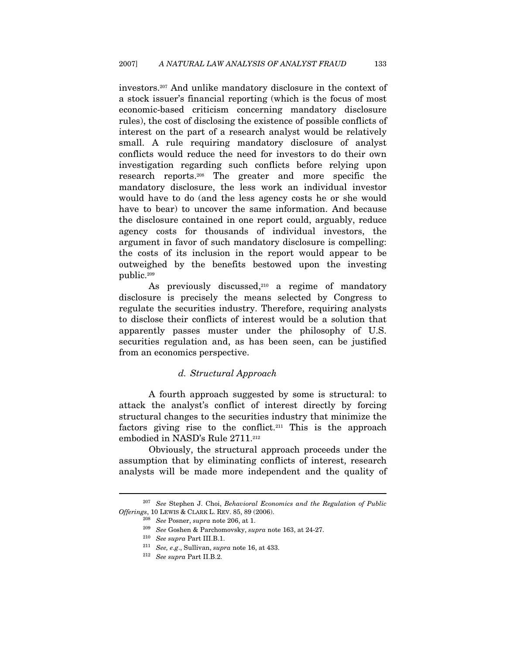investors.207 And unlike mandatory disclosure in the context of a stock issuer's financial reporting (which is the focus of most economic-based criticism concerning mandatory disclosure rules), the cost of disclosing the existence of possible conflicts of interest on the part of a research analyst would be relatively small. A rule requiring mandatory disclosure of analyst conflicts would reduce the need for investors to do their own investigation regarding such conflicts before relying upon research reports.208 The greater and more specific the mandatory disclosure, the less work an individual investor would have to do (and the less agency costs he or she would have to bear) to uncover the same information. And because the disclosure contained in one report could, arguably, reduce agency costs for thousands of individual investors, the argument in favor of such mandatory disclosure is compelling: the costs of its inclusion in the report would appear to be outweighed by the benefits bestowed upon the investing public.209

As previously discussed, $210$  a regime of mandatory disclosure is precisely the means selected by Congress to regulate the securities industry. Therefore, requiring analysts to disclose their conflicts of interest would be a solution that apparently passes muster under the philosophy of U.S. securities regulation and, as has been seen, can be justified from an economics perspective.

### d. Structural Approach

A fourth approach suggested by some is structural: to attack the analyst's conflict of interest directly by forcing structural changes to the securities industry that minimize the factors giving rise to the conflict.211 This is the approach embodied in NASD's Rule 2711.<sup>212</sup>

Obviously, the structural approach proceeds under the assumption that by eliminating conflicts of interest, research analysts will be made more independent and the quality of

 $207$  See Stephen J. Choi, Behavioral Economics and the Regulation of Public Offerings, 10 LEWIS & CLARK L. REV. 85, 89 (2006).<br><sup>208</sup> See Posner, supra note 206, at 1.<br><sup>209</sup> See Goshen & Parchomovsky, supra note 163, at 24-27.

<sup>&</sup>lt;sup>210</sup> See supra Part III.B.1.<br><sup>211</sup> See, e.g., Sullivan, supra note 16, at 433.

<sup>212</sup> See supra Part II.B.2.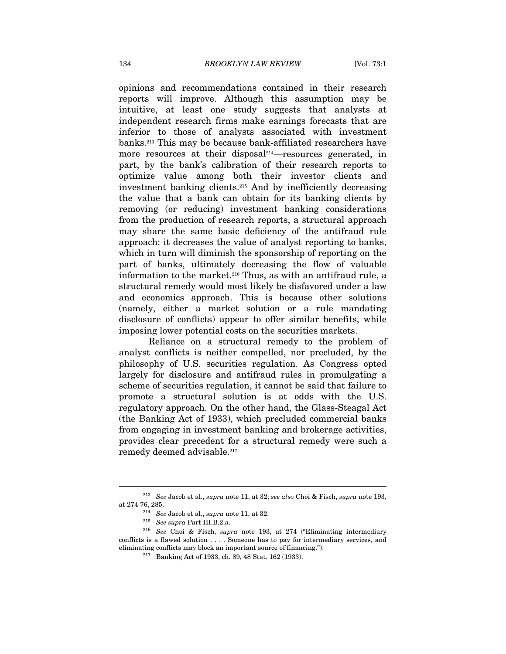opinions and recommendations contained in their research reports will improve. Although this assumption may be intuitive, at least one study suggests that analysts at independent research firms make earnings forecasts that are inferior to those of analysts associated with investment banks.213 This may be because bank-affiliated researchers have more resources at their disposal<sup>214</sup>—resources generated, in part, by the bank's calibration of their research reports to optimize value among both their investor clients and investment banking clients.215 And by inefficiently decreasing the value that a bank can obtain for its banking clients by removing (or reducing) investment banking considerations from the production of research reports, a structural approach may share the same basic deficiency of the antifraud rule approach: it decreases the value of analyst reporting to banks, which in turn will diminish the sponsorship of reporting on the part of banks, ultimately decreasing the flow of valuable information to the market.216 Thus, as with an antifraud rule, a structural remedy would most likely be disfavored under a law and economics approach. This is because other solutions (namely, either a market solution or a rule mandating disclosure of conflicts) appear to offer similar benefits, while imposing lower potential costs on the securities markets.

Reliance on a structural remedy to the problem of analyst conflicts is neither compelled, nor precluded, by the philosophy of U.S. securities regulation. As Congress opted largely for disclosure and antifraud rules in promulgating a scheme of securities regulation, it cannot be said that failure to promote a structural solution is at odds with the U.S. regulatory approach. On the other hand, the Glass-Steagal Act (the Banking Act of 1933), which precluded commercial banks from engaging in investment banking and brokerage activities, provides clear precedent for a structural remedy were such a remedy deemed advisable.<sup>217</sup>

<sup>213</sup> See Jacob et al., supra note 11, at 32; see also Choi & Fisch, supra note 193, at 274-76, 285.<br>  $^{214}$  See Jacob et al., supra note 11, at 32.<br>  $^{215}$  See supra Part III.B.2.a.

<sup>&</sup>lt;sup>216</sup> See Choi & Fisch, supra note 193, at 274 ("Eliminating intermediary conflicts is a flawed solution . . . . Someone has to pay for intermediary services, and eliminating conflicts may block an important source of financing."). 217 Banking Act of 1933, ch. 89, 48 Stat. 162 (1933).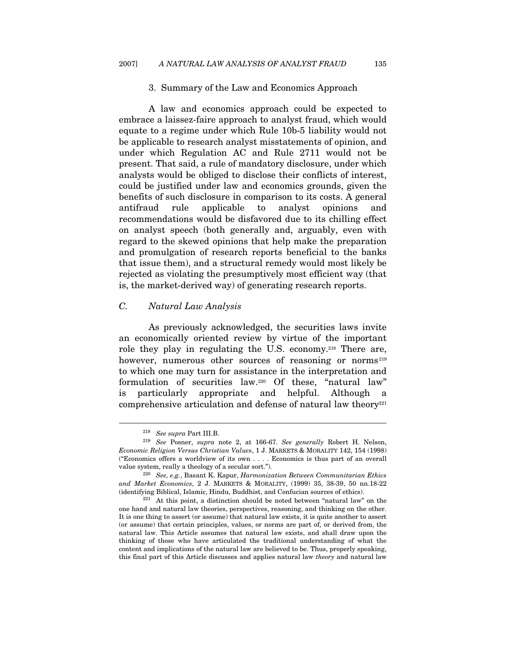#### 3. Summary of the Law and Economics Approach

A law and economics approach could be expected to embrace a laissez-faire approach to analyst fraud, which would equate to a regime under which Rule 10b-5 liability would not be applicable to research analyst misstatements of opinion, and under which Regulation AC and Rule 2711 would not be present. That said, a rule of mandatory disclosure, under which analysts would be obliged to disclose their conflicts of interest, could be justified under law and economics grounds, given the benefits of such disclosure in comparison to its costs. A general antifraud rule applicable to analyst opinions and recommendations would be disfavored due to its chilling effect on analyst speech (both generally and, arguably, even with regard to the skewed opinions that help make the preparation and promulgation of research reports beneficial to the banks that issue them), and a structural remedy would most likely be rejected as violating the presumptively most efficient way (that is, the market-derived way) of generating research reports.

### C. Natural Law Analysis

As previously acknowledged, the securities laws invite an economically oriented review by virtue of the important role they play in regulating the U.S. economy.218 There are, however, numerous other sources of reasoning or norms<sup>219</sup> to which one may turn for assistance in the interpretation and formulation of securities law.220 Of these, "natural law" is particularly appropriate and helpful. Although comprehensive articulation and defense of natural law theory<sup>221</sup>

<sup>&</sup>lt;sup>218</sup> See supra Part III.B.<br><sup>219</sup> See Posner, supra note 2, at 166-67. See generally Robert H. Nelson, Economic Religion Versus Christian Values, 1 J. MARKETS & MORALITY 142, 154 (1998) ("Economics offers a worldview of its own . . . . Economics is thus part of an overall value system, really a theology of a secular sort.").<br><sup>220</sup> See, e.g., Basant K. Kapur, Harmonization Between Communitarian Ethics

and Market Economics, 2 J. MARKETS & MORALITY, (1999) 35, 38-39, 50 nn.18-22 (identifying Biblical, Islamic, Hindu, Buddhist, and Confucian sources of ethics).<br><sup>221</sup> At this point, a distinction should be noted between "natural law" on the

one hand and natural law theories, perspectives, reasoning, and thinking on the other. It is one thing to assert (or assume) that natural law exists, it is quite another to assert (or assume) that certain principles, values, or norms are part of, or derived from, the natural law. This Article assumes that natural law exists, and shall draw upon the thinking of those who have articulated the traditional understanding of what the content and implications of the natural law are believed to be. Thus, properly speaking, this final part of this Article discusses and applies natural law theory and natural law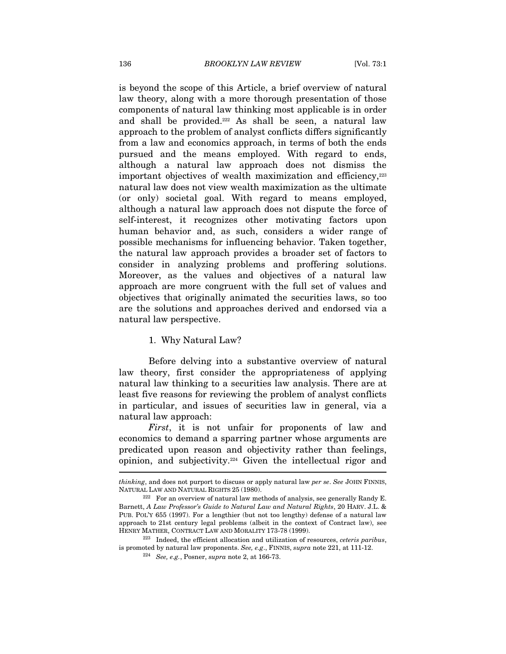is beyond the scope of this Article, a brief overview of natural law theory, along with a more thorough presentation of those components of natural law thinking most applicable is in order and shall be provided.<sup>222</sup> As shall be seen, a natural law approach to the problem of analyst conflicts differs significantly from a law and economics approach, in terms of both the ends pursued and the means employed. With regard to ends, although a natural law approach does not dismiss the important objectives of wealth maximization and efficiency,  $223$ natural law does not view wealth maximization as the ultimate (or only) societal goal. With regard to means employed, although a natural law approach does not dispute the force of self-interest, it recognizes other motivating factors upon human behavior and, as such, considers a wider range of possible mechanisms for influencing behavior. Taken together, the natural law approach provides a broader set of factors to consider in analyzing problems and proffering solutions. Moreover, as the values and objectives of a natural law approach are more congruent with the full set of values and objectives that originally animated the securities laws, so too are the solutions and approaches derived and endorsed via a natural law perspective.

#### 1. Why Natural Law?

Before delving into a substantive overview of natural law theory, first consider the appropriateness of applying natural law thinking to a securities law analysis. There are at least five reasons for reviewing the problem of analyst conflicts in particular, and issues of securities law in general, via a natural law approach:

First, it is not unfair for proponents of law and economics to demand a sparring partner whose arguments are predicated upon reason and objectivity rather than feelings, opinion, and subjectivity.224 Given the intellectual rigor and

thinking, and does not purport to discuss or apply natural law per se. See JOHN FINNIS, NATURAL LAW AND NATURAL RIGHTS 25 (1980).

 $222$  For an overview of natural law methods of analysis, see generally Randy E. Barnett, A Law Professor's Guide to Natural Law and Natural Rights, 20 HARV. J.L. & PUB. POL'Y 655 (1997). For a lengthier (but not too lengthy) defense of a natural law approach to 21st century legal problems (albeit in the context of Contract law), see HENRY MATHER, CONTRACT LAW AND MORALITY 173-78 (1999). 223 Indeed, the efficient allocation and utilization of resources, ceteris paribus,

is promoted by natural law proponents. See, e.g., FINNIS, supra note 221, at 111-12.<br><sup>224</sup> See, e.g., Posner, supra note 2, at 166-73.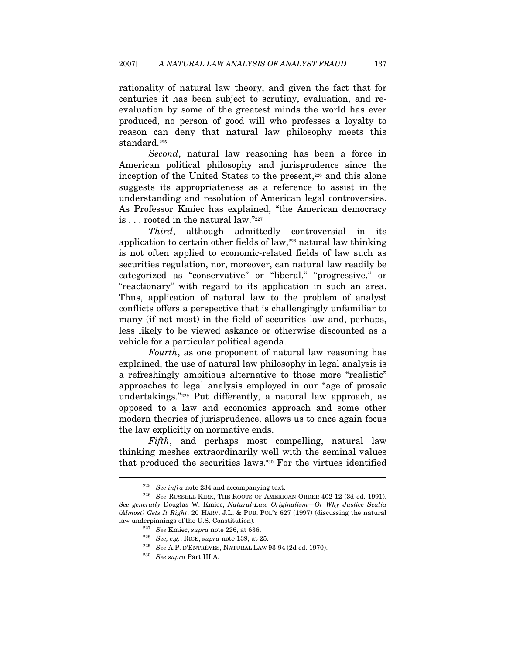rationality of natural law theory, and given the fact that for centuries it has been subject to scrutiny, evaluation, and reevaluation by some of the greatest minds the world has ever produced, no person of good will who professes a loyalty to reason can deny that natural law philosophy meets this standard.<sup>225</sup>

Second, natural law reasoning has been a force in American political philosophy and jurisprudence since the inception of the United States to the present,<sup>226</sup> and this alone suggests its appropriateness as a reference to assist in the understanding and resolution of American legal controversies. As Professor Kmiec has explained, "the American democracy is . . . rooted in the natural law."227

Third, although admittedly controversial in its application to certain other fields of law,228 natural law thinking is not often applied to economic-related fields of law such as securities regulation, nor, moreover, can natural law readily be categorized as "conservative" or "liberal," "progressive," or "reactionary" with regard to its application in such an area. Thus, application of natural law to the problem of analyst conflicts offers a perspective that is challengingly unfamiliar to many (if not most) in the field of securities law and, perhaps, less likely to be viewed askance or otherwise discounted as a vehicle for a particular political agenda.

Fourth, as one proponent of natural law reasoning has explained, the use of natural law philosophy in legal analysis is a refreshingly ambitious alternative to those more "realistic" approaches to legal analysis employed in our "age of prosaic undertakings."229 Put differently, a natural law approach, as opposed to a law and economics approach and some other modern theories of jurisprudence, allows us to once again focus the law explicitly on normative ends.

Fifth, and perhaps most compelling, natural law thinking meshes extraordinarily well with the seminal values that produced the securities laws.230 For the virtues identified

<sup>&</sup>lt;sup>225</sup> See infra note 234 and accompanying text.<br><sup>226</sup> See RUSSELL KIRK, THE ROOTS OF AMERICAN ORDER 402-12 (3d ed. 1991). See generally Douglas W. Kmiec, Natural-Law Originalism—Or Why Justice Scalia (Almost) Gets It Right, 20 HARV. J.L. & PUB. POL'Y 627 (1997) (discussing the natural law underpinnings of the U.S. Constitution). 227 See Kmiec, supra note 226, at 636.

<sup>&</sup>lt;sup>228</sup> See, e.g., RICE, supra note 139, at 25.<br><sup>229</sup> See A.P. D'ENTRÈVES, NATURAL LAW 93-94 (2d ed. 1970).<br><sup>230</sup> See supra Part III.A.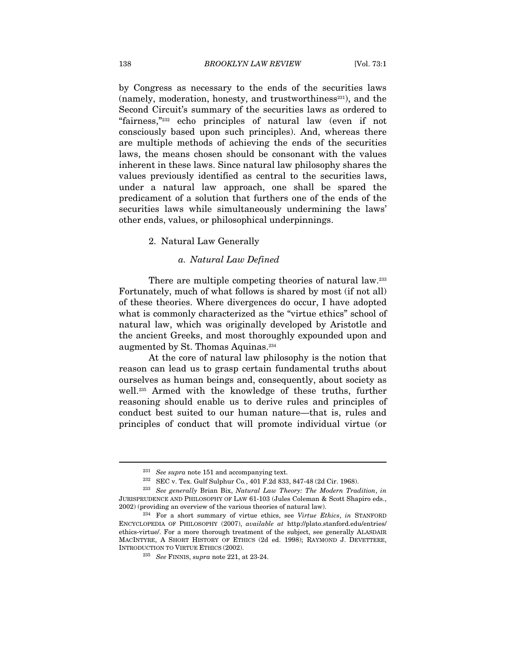by Congress as necessary to the ends of the securities laws  $(namely, modernation, honesty, and trustworthiness<sup>231</sup>)$ , and the Second Circuit's summary of the securities laws as ordered to "fairness,"232 echo principles of natural law (even if not consciously based upon such principles). And, whereas there are multiple methods of achieving the ends of the securities laws, the means chosen should be consonant with the values inherent in these laws. Since natural law philosophy shares the values previously identified as central to the securities laws, under a natural law approach, one shall be spared the predicament of a solution that furthers one of the ends of the securities laws while simultaneously undermining the laws' other ends, values, or philosophical underpinnings.

#### 2. Natural Law Generally

#### a. Natural Law Defined

There are multiple competing theories of natural law.233 Fortunately, much of what follows is shared by most (if not all) of these theories. Where divergences do occur, I have adopted what is commonly characterized as the "virtue ethics" school of natural law, which was originally developed by Aristotle and the ancient Greeks, and most thoroughly expounded upon and augmented by St. Thomas Aquinas.234

At the core of natural law philosophy is the notion that reason can lead us to grasp certain fundamental truths about ourselves as human beings and, consequently, about society as well.235 Armed with the knowledge of these truths, further reasoning should enable us to derive rules and principles of conduct best suited to our human nature—that is, rules and principles of conduct that will promote individual virtue (or

<sup>&</sup>lt;sup>231</sup> See supra note 151 and accompanying text.<br><sup>232</sup> SEC v. Tex. Gulf Sulphur Co., 401 F.2d 833, 847-48 (2d Cir. 1968).<br><sup>233</sup> See generally Brian Bix, Natural Law Theory: The Modern Tradition, in

JURISPRUDENCE AND PHILOSOPHY OF LAW 61-103 (Jules Coleman & Scott Shapiro eds., 2002) (providing an overview of the various theories of natural law).<br><sup>234</sup> For a short summary of virtue ethics, see Virtue Ethics, in STANFORD

ENCYCLOPEDIA OF PHILOSOPHY (2007), available at http://plato.stanford.edu/entries/ ethics-virtue/. For a more thorough treatment of the subject, see generally ALASDAIR MACINTYRE, A SHORT HISTORY OF ETHICS (2d ed. 1998); RAYMOND J. DEVETTERE, INTRODUCTION TO VIRTUE ETHICS (2002).<br><sup>235</sup> See FINNIS, supra note 221, at 23-24.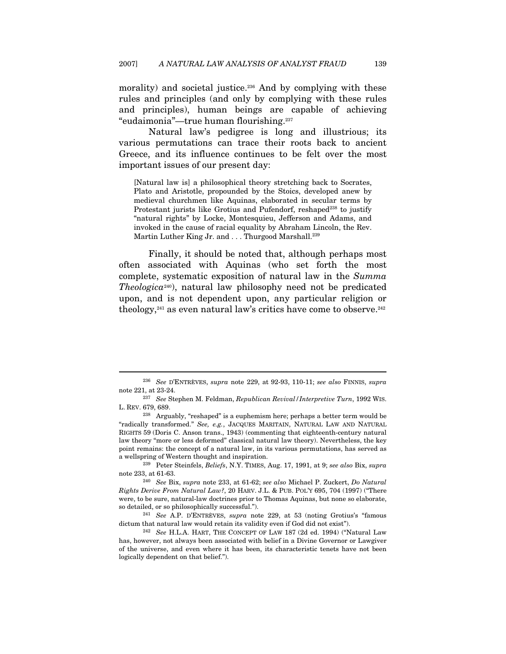morality) and societal justice.<sup>236</sup> And by complying with these rules and principles (and only by complying with these rules and principles), human beings are capable of achieving "eudaimonia"—true human flourishing.237

Natural law's pedigree is long and illustrious; its various permutations can trace their roots back to ancient Greece, and its influence continues to be felt over the most important issues of our present day:

[Natural law is] a philosophical theory stretching back to Socrates, Plato and Aristotle, propounded by the Stoics, developed anew by medieval churchmen like Aquinas, elaborated in secular terms by Protestant jurists like Grotius and Pufendorf, reshaped<sup>238</sup> to justify "natural rights" by Locke, Montesquieu, Jefferson and Adams, and invoked in the cause of racial equality by Abraham Lincoln, the Rev. Martin Luther King Jr. and . . . Thurgood Marshall.<sup>239</sup>

Finally, it should be noted that, although perhaps most often associated with Aquinas (who set forth the most complete, systematic exposition of natural law in the Summa  $The objective^{240}$ , natural law philosophy need not be predicated upon, and is not dependent upon, any particular religion or theology, $241$  as even natural law's critics have come to observe. $242$ 

<sup>236</sup> See D'ENTRÈVES, supra note 229, at 92-93, 110-11; see also FINNIS, supra note 221, at 23-24. 237 See Stephen M. Feldman, Republican Revival/Interpretive Turn, 1992 WIS.

L. REV. 679, 689.

<sup>238</sup> Arguably, "reshaped" is a euphemism here; perhaps a better term would be "radically transformed." See, e.g., JACQUES MARITAIN, NATURAL LAW AND NATURAL RIGHTS 59 (Doris C. Anson trans., 1943) (commenting that eighteenth-century natural law theory "more or less deformed" classical natural law theory). Nevertheless, the key point remains: the concept of a natural law, in its various permutations, has served as

a wellspring of Western thought and inspiration.<br><sup>239</sup> Peter Steinfels, *Beliefs*, N.Y. TIMES, Aug. 17, 1991, at 9; see also Bix, supra note 233, at 61-63. 240 See Bix, supra note 233, at 61-62; see also Michael P. Zuckert, Do Natural

Rights Derive From Natural Law?, 20 HARV. J.L. & PUB. POL'Y 695, 704 (1997) ("There were, to be sure, natural-law doctrines prior to Thomas Aquinas, but none so elaborate, so detailed, or so philosophically successful.").<br><sup>241</sup> See A.P. D'ENTRÈVES, *supra* note 229, at 53 (noting Grotius's "famous

dictum that natural law would retain its validity even if God did not exist").<br><sup>242</sup> See H.L.A. HART, THE CONCEPT OF LAW 187 (2d ed. 1994) ("Natural Law

has, however, not always been associated with belief in a Divine Governor or Lawgiver of the universe, and even where it has been, its characteristic tenets have not been logically dependent on that belief.").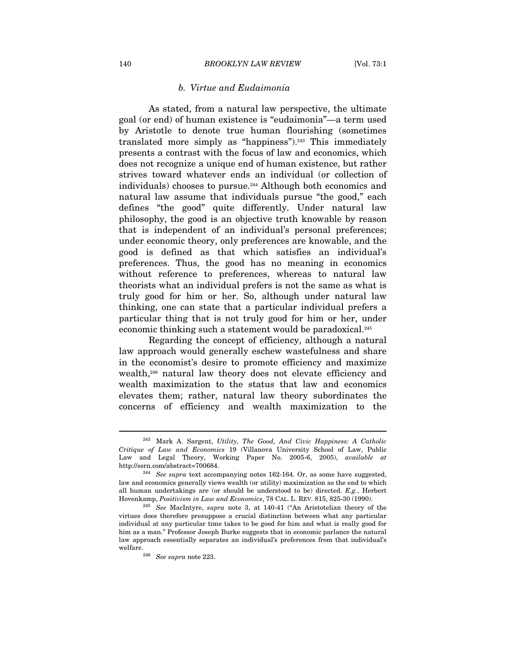#### b. Virtue and Eudaimonia

As stated, from a natural law perspective, the ultimate goal (or end) of human existence is "eudaimonia"—a term used by Aristotle to denote true human flourishing (sometimes translated more simply as "happiness").<sup>243</sup> This immediately presents a contrast with the focus of law and economics, which does not recognize a unique end of human existence, but rather strives toward whatever ends an individual (or collection of individuals) chooses to pursue.<sup>244</sup> Although both economics and natural law assume that individuals pursue "the good," each defines "the good" quite differently. Under natural law philosophy, the good is an objective truth knowable by reason that is independent of an individual's personal preferences; under economic theory, only preferences are knowable, and the good is defined as that which satisfies an individual's preferences. Thus, the good has no meaning in economics without reference to preferences, whereas to natural law theorists what an individual prefers is not the same as what is truly good for him or her. So, although under natural law thinking, one can state that a particular individual prefers a particular thing that is not truly good for him or her, under economic thinking such a statement would be paradoxical.245

Regarding the concept of efficiency, although a natural law approach would generally eschew wastefulness and share in the economist's desire to promote efficiency and maximize wealth,246 natural law theory does not elevate efficiency and wealth maximization to the status that law and economics elevates them; rather, natural law theory subordinates the concerns of efficiency and wealth maximization to the

<sup>243</sup> Mark A. Sargent, Utility, The Good, And Civic Happiness: A Catholic Critique of Law and Economics 19 (Villanova University School of Law, Public Law and Legal Theory, Working Paper No. 2005-6, 2005), available at http://ssrn.com/abstract=700684.  $2^{44}$  See supra text accompanying notes 162-164. Or, as some have suggested,

law and economics generally views wealth (or utility) maximization as the end to which all human undertakings are (or should be understood to be) directed.  $E.g.,$  Herbert Hovenkamp, Positivism in Law and Economics, 78 CAL. L. REV. 815, 825-30 (1990).<br><sup>245</sup> See MacIntyre, supra note 3, at 140-41 ("An Aristotelian theory of the

virtues does therefore presuppose a crucial distinction between what any particular individual at any particular time takes to be good for him and what is really good for him as a man." Professor Joseph Burke suggests that in economic parlance the natural law approach essentially separates an individual's preferences from that individual's welfare.<br> $^{246}$  See supra note 223.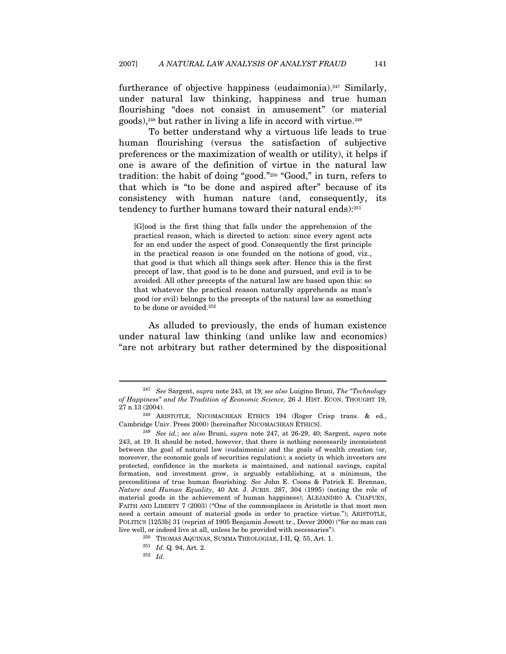furtherance of objective happiness (eudaimonia).<sup>247</sup> Similarly, under natural law thinking, happiness and true human flourishing "does not consist in amusement" (or material goods),248 but rather in living a life in accord with virtue.249

To better understand why a virtuous life leads to true human flourishing (versus the satisfaction of subjective preferences or the maximization of wealth or utility), it helps if one is aware of the definition of virtue in the natural law tradition: the habit of doing "good."250 "Good," in turn, refers to that which is "to be done and aspired after" because of its consistency with human nature (and, consequently, its tendency to further humans toward their natural ends):251

[G]ood is the first thing that falls under the apprehension of the practical reason, which is directed to action: since every agent acts for an end under the aspect of good. Consequently the first principle in the practical reason is one founded on the notions of good, viz., that good is that which all things seek after. Hence this is the first precept of law, that good is to be done and pursued, and evil is to be avoided. All other precepts of the natural law are based upon this: so that whatever the practical reason naturally apprehends as man's good (or evil) belongs to the precepts of the natural law as something to be done or avoided.<sup>252</sup>

As alluded to previously, the ends of human existence under natural law thinking (and unlike law and economics) "are not arbitrary but rather determined by the dispositional

<sup>&</sup>lt;sup>247</sup> See Sargent, supra note 243, at 19; see also Luigino Bruni, The "Technology" of Happiness" and the Tradition of Economic Science, 26 J. HIST. ECON. THOUGHT 19, 27 n.13 (2004). 248 ARISTOTLE, NICOMACHEAN ETHICS 194 (Roger Crisp trans. & ed.,

Cambridge Univ. Press 2000) [hereinafter NICOMACHEAN ETHICS].<br><sup>249</sup> See id.; see also Bruni, supra note 247, at 26-29, 40; Sargent, supra note 243, at 19. It should be noted, however, that there is nothing necessarily inconsistent between the goal of natural law (eudaimonia) and the goals of wealth creation (or, moreover, the economic goals of securities regulation); a society in which investors are protected, confidence in the markets is maintained, and national savings, capital formation, and investment grow, is arguably establishing, at a minimum, the preconditions of true human flourishing. See John E. Coons & Patrick E. Brennan, Nature and Human Equality, 40 AM. J. JURIS. 287, 304 (1995) (noting the role of material goods in the achievement of human happiness); ALEJANDRO A. CHAFUEN, FAITH AND LIBERTY 7 (2003) ("One of the commonplaces in Aristotle is that most men need a certain amount of material goods in order to practice virtue."); ARISTOTLE, POLITICS [1253b] 31 (reprint of 1905 Benjamin Jowett tr., Dover 2000) ("for no man can live well, or indeed live at all, unless he be provided with necessaries").<br><sup>250</sup> THOMAS AQUINAS, SUMMA THEOLOGIAE, I-II, Q. 55, Art. 1.<br><sup>251</sup> Id. Q. 94, Art. 2.<br><sup>252</sup> Id.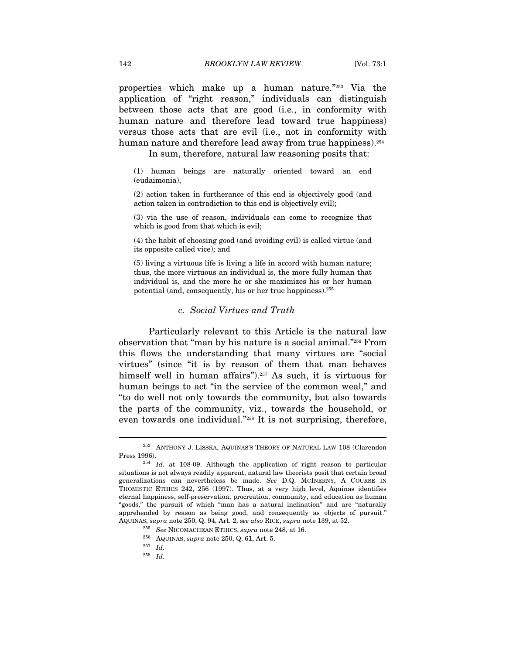properties which make up a human nature."253 Via the application of "right reason," individuals can distinguish between those acts that are good (i.e., in conformity with human nature and therefore lead toward true happiness) versus those acts that are evil (i.e., not in conformity with human nature and therefore lead away from true happiness).<sup>254</sup>

In sum, therefore, natural law reasoning posits that:

(1) human beings are naturally oriented toward an end (eudaimonia),

(2) action taken in furtherance of this end is objectively good (and action taken in contradiction to this end is objectively evil);

(3) via the use of reason, individuals can come to recognize that which is good from that which is evil;

(4) the habit of choosing good (and avoiding evil) is called virtue (and its opposite called vice); and

(5) living a virtuous life is living a life in accord with human nature; thus, the more virtuous an individual is, the more fully human that individual is, and the more he or she maximizes his or her human potential (and, consequently, his or her true happiness).255

#### c. Social Virtues and Truth

Particularly relevant to this Article is the natural law observation that "man by his nature is a social animal."256 From this flows the understanding that many virtues are "social virtues" (since "it is by reason of them that man behaves himself well in human affairs").<sup>257</sup> As such, it is virtuous for human beings to act "in the service of the common weal," and "to do well not only towards the community, but also towards the parts of the community, viz., towards the household, or even towards one individual."<sup>258</sup> It is not surprising, therefore,

 $\overline{a}$ 

 $^{258}\;$   $Id.$ 

<sup>253</sup> ANTHONY J. LISSKA, AQUINAS'S THEORY OF NATURAL LAW 108 (Clarendon Press 1996).<br><sup>254</sup> *Id.* at 108-09. Although the application of right reason to particular

situations is not always readily apparent, natural law theorists posit that certain broad generalizations can nevertheless be made. See D.Q. MCINERNY, A COURSE IN THOMISTIC ETHICS 242, 256 (1997). Thus, at a very high level, Aquinas identifies eternal happiness, self-preservation, procreation, community, and education as human "goods," the pursuit of which "man has a natural inclination" and are "naturally apprehended by reason as being good, and consequently as objects of pursuit." AQUINAS, supra note 250, Q. 94, Art. 2; see also RICE, supra note 139, at 52.<br><sup>255</sup> See NICOMACHEAN ETHICS, supra note 248, at 16.

<sup>&</sup>lt;sup>256</sup> AQUINAS, *supra* note 250, Q. 61, Art. 5.<br><sup>257</sup> Id.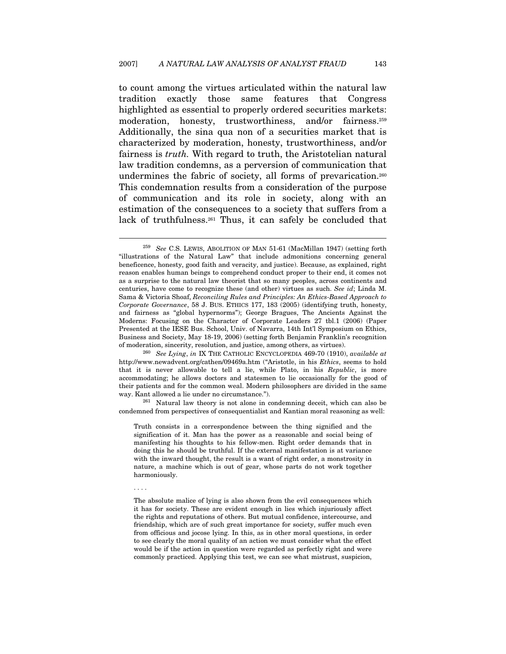to count among the virtues articulated within the natural law tradition exactly those same features that Congress highlighted as essential to properly ordered securities markets: moderation, honesty, trustworthiness, and/or fairness.<sup>259</sup> Additionally, the sina qua non of a securities market that is characterized by moderation, honesty, trustworthiness, and/or fairness is truth. With regard to truth, the Aristotelian natural law tradition condemns, as a perversion of communication that undermines the fabric of society, all forms of prevarication.<sup>260</sup> This condemnation results from a consideration of the purpose of communication and its role in society, along with an estimation of the consequences to a society that suffers from a lack of truthfulness.<sup>261</sup> Thus, it can safely be concluded that

 $\overline{a}$ 

. . . .

condemned from perspectives of consequentialist and Kantian moral reasoning as well:

Truth consists in a correspondence between the thing signified and the signification of it. Man has the power as a reasonable and social being of manifesting his thoughts to his fellow-men. Right order demands that in doing this he should be truthful. If the external manifestation is at variance with the inward thought, the result is a want of right order, a monstrosity in nature, a machine which is out of gear, whose parts do not work together harmoniously.

<sup>&</sup>lt;sup>259</sup> See C.S. LEWIS, ABOLITION OF MAN 51-61 (MacMillan 1947) (setting forth "illustrations of the Natural Law" that include admonitions concerning general beneficence, honesty, good faith and veracity, and justice). Because, as explained, right reason enables human beings to comprehend conduct proper to their end, it comes not as a surprise to the natural law theorist that so many peoples, across continents and centuries, have come to recognize these (and other) virtues as such. See id; Linda M. Sama & Victoria Shoaf, Reconciling Rules and Principles: An Ethics-Based Approach to Corporate Governance, 58 J. BUS. ETHICS 177, 183 (2005) (identifying truth, honesty, and fairness as "global hypernorms"); George Bragues, The Ancients Against the Moderns: Focusing on the Character of Corporate Leaders 27 tbl.1 (2006) (Paper Presented at the IESE Bus. School, Univ. of Navarra, 14th Int'l Symposium on Ethics, Business and Society, May 18-19, 2006) (setting forth Benjamin Franklin's recognition of moderation, sincerity, resolution, and justice, among others, as virtues).<br><sup>260</sup> See Lying, in IX THE CATHOLIC ENCYCLOPEDIA 469-70 (1910), available at

http://www.newadvent.org/cathen/09469a.htm ("Aristotle, in his Ethics, seems to hold that it is never allowable to tell a lie, while Plato, in his Republic, is more accommodating; he allows doctors and statesmen to lie occasionally for the good of their patients and for the common weal. Modern philosophers are divided in the same way. Kant allowed a lie under no circumstance."). 261 Natural law theory is not alone in condemning deceit, which can also be

The absolute malice of lying is also shown from the evil consequences which it has for society. These are evident enough in lies which injuriously affect the rights and reputations of others. But mutual confidence, intercourse, and friendship, which are of such great importance for society, suffer much even from officious and jocose lying. In this, as in other moral questions, in order to see clearly the moral quality of an action we must consider what the effect would be if the action in question were regarded as perfectly right and were commonly practiced. Applying this test, we can see what mistrust, suspicion,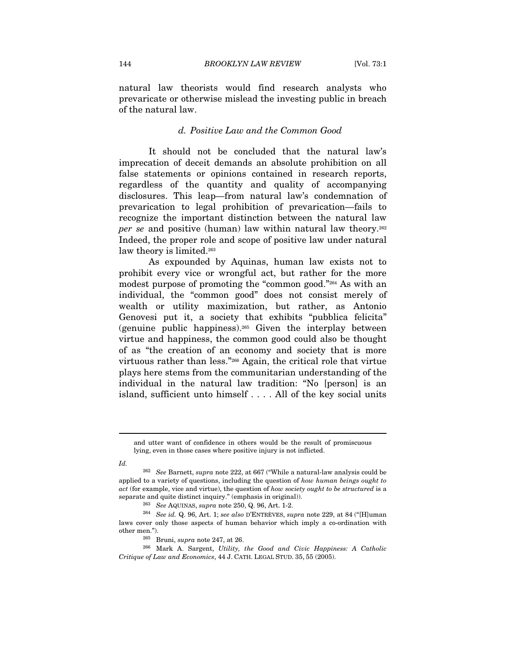natural law theorists would find research analysts who prevaricate or otherwise mislead the investing public in breach of the natural law.

#### d. Positive Law and the Common Good

It should not be concluded that the natural law's imprecation of deceit demands an absolute prohibition on all false statements or opinions contained in research reports, regardless of the quantity and quality of accompanying disclosures. This leap—from natural law's condemnation of prevarication to legal prohibition of prevarication—fails to recognize the important distinction between the natural law per se and positive (human) law within natural law theory.<sup>262</sup> Indeed, the proper role and scope of positive law under natural law theory is limited.<sup>263</sup>

As expounded by Aquinas, human law exists not to prohibit every vice or wrongful act, but rather for the more modest purpose of promoting the "common good."264 As with an individual, the "common good" does not consist merely of wealth or utility maximization, but rather, as Antonio Genovesi put it, a society that exhibits "pubblica felicita" (genuine public happiness).<sup>265</sup> Given the interplay between virtue and happiness, the common good could also be thought of as "the creation of an economy and society that is more virtuous rather than less."266 Again, the critical role that virtue plays here stems from the communitarian understanding of the individual in the natural law tradition: "No [person] is an island, sufficient unto himself . . . . All of the key social units

and utter want of confidence in others would be the result of promiscuous lying, even in those cases where positive injury is not inflicted.

Id.

<sup>&</sup>lt;sup>262</sup> See Barnett, supra note 222, at 667 ("While a natural-law analysis could be applied to a variety of questions, including the question of how human beings ought to act (for example, vice and virtue), the question of how society ought to be structured is a separate and quite distinct inquiry." (emphasis in original)).<br><sup>263</sup> See AQUINAS, supra note 250, Q. 96, Art. 1-2.<br><sup>264</sup> See id. Q. 96, Art. 1; see also D'ENTRÈVES, supra note 229, at 84 ("[H]uman

laws cover only those aspects of human behavior which imply a co-ordination with

other men.").<br><sup>265</sup> Bruni, *supra* note 247, at 26.<br><sup>266</sup> Mark A. Sargent, *Utility, the Good and Civic Happiness: A Catholic* Critique of Law and Economics, 44 J. CATH. LEGAL STUD. 35, 55 (2005).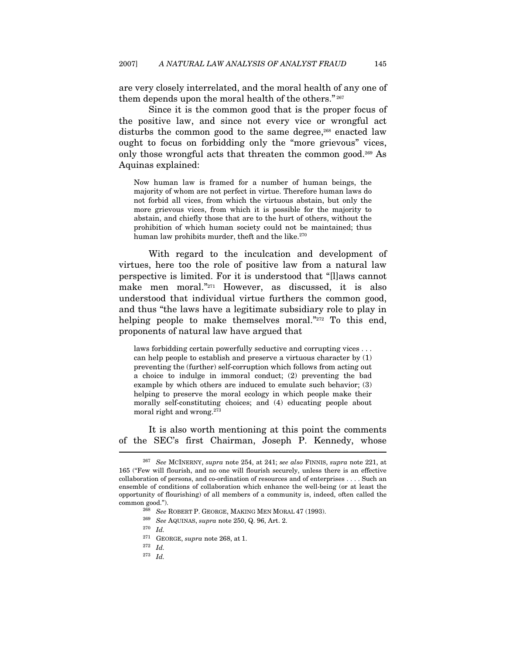are very closely interrelated, and the moral health of any one of them depends upon the moral health of the others." 267

Since it is the common good that is the proper focus of the positive law, and since not every vice or wrongful act disturbs the common good to the same degree,<sup>268</sup> enacted law ought to focus on forbidding only the "more grievous" vices, only those wrongful acts that threaten the common good.269 As Aquinas explained:

Now human law is framed for a number of human beings, the majority of whom are not perfect in virtue. Therefore human laws do not forbid all vices, from which the virtuous abstain, but only the more grievous vices, from which it is possible for the majority to abstain, and chiefly those that are to the hurt of others, without the prohibition of which human society could not be maintained; thus human law prohibits murder, theft and the like.<sup>270</sup>

With regard to the inculcation and development of virtues, here too the role of positive law from a natural law perspective is limited. For it is understood that "[l]aws cannot make men moral."271 However, as discussed, it is also understood that individual virtue furthers the common good, and thus "the laws have a legitimate subsidiary role to play in helping people to make themselves moral."272 To this end, proponents of natural law have argued that

laws forbidding certain powerfully seductive and corrupting vices . . . can help people to establish and preserve a virtuous character by (1) preventing the (further) self-corruption which follows from acting out a choice to indulge in immoral conduct; (2) preventing the bad example by which others are induced to emulate such behavior; (3) helping to preserve the moral ecology in which people make their morally self-constituting choices; and (4) educating people about moral right and wrong.273

It is also worth mentioning at this point the comments of the SEC's first Chairman, Joseph P. Kennedy, whose l

 $^{273}\;$   $Id.$ 

<sup>&</sup>lt;sup>267</sup> See MCINERNY, supra note 254, at 241; see also FINNIS, supra note 221, at 165 ("Few will flourish, and no one will flourish securely, unless there is an effective collaboration of persons, and co-ordination of resources and of enterprises . . . . Such an ensemble of conditions of collaboration which enhance the well-being (or at least the opportunity of flourishing) of all members of a community is, indeed, often called the common good."). <br><sup>268</sup> See ROBERT P. GEORGE, MAKING MEN MORAL 47 (1993). <br><sup>269</sup> See AQUINAS, *supra* note 250, Q. 96, Art. 2. <sup>270</sup> Id.

<sup>&</sup>lt;sup>271</sup> GEORGE, *supra* note 268, at 1.<br><sup>272</sup> Id.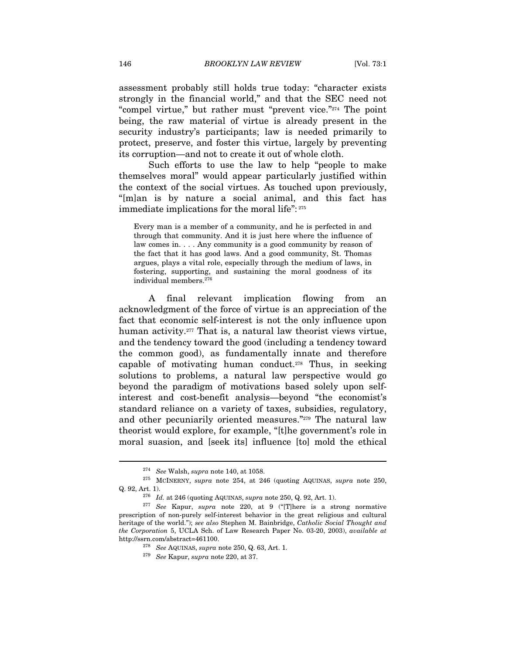assessment probably still holds true today: "character exists strongly in the financial world," and that the SEC need not "compel virtue," but rather must "prevent vice."274 The point being, the raw material of virtue is already present in the security industry's participants; law is needed primarily to protect, preserve, and foster this virtue, largely by preventing its corruption—and not to create it out of whole cloth.

Such efforts to use the law to help "people to make themselves moral" would appear particularly justified within the context of the social virtues. As touched upon previously, "[m]an is by nature a social animal, and this fact has immediate implications for the moral life": 275

Every man is a member of a community, and he is perfected in and through that community. And it is just here where the influence of law comes in. . . . Any community is a good community by reason of the fact that it has good laws. And a good community, St. Thomas argues, plays a vital role, especially through the medium of laws, in fostering, supporting, and sustaining the moral goodness of its individual members.276

A final relevant implication flowing from an acknowledgment of the force of virtue is an appreciation of the fact that economic self-interest is not the only influence upon human activity.<sup>277</sup> That is, a natural law theorist views virtue, and the tendency toward the good (including a tendency toward the common good), as fundamentally innate and therefore capable of motivating human conduct.<sup>278</sup> Thus, in seeking solutions to problems, a natural law perspective would go beyond the paradigm of motivations based solely upon selfinterest and cost-benefit analysis—beyond "the economist's standard reliance on a variety of taxes, subsidies, regulatory, and other pecuniarily oriented measures."279 The natural law theorist would explore, for example, "[t]he government's role in moral suasion, and [seek its] influence [to] mold the ethical

<sup>&</sup>lt;sup>274</sup> See Walsh, supra note 140, at 1058.<br><sup>275</sup> MCINERNY, supra note 254, at 246 (quoting AQUINAS, supra note 250, Q. 92, Art. 1).<br><sup>276</sup> Id. at 246 (quoting AQUINAS, *supra* note 250, Q. 92, Art. 1).<br><sup>277</sup> See Kapur, *supra* note 220, at 9 ("[T]here is a strong normative

prescription of non-purely self-interest behavior in the great religious and cultural heritage of the world."); see also Stephen M. Bainbridge, Catholic Social Thought and the Corporation 5, UCLA Sch. of Law Research Paper No. 03-20, 2003), available at http://ssrn.com/abstract=461100.

<sup>&</sup>lt;sup>278</sup> See AQUINAS, supra note 250, Q. 63, Art. 1.<br><sup>279</sup> See Kapur, supra note 220, at 37.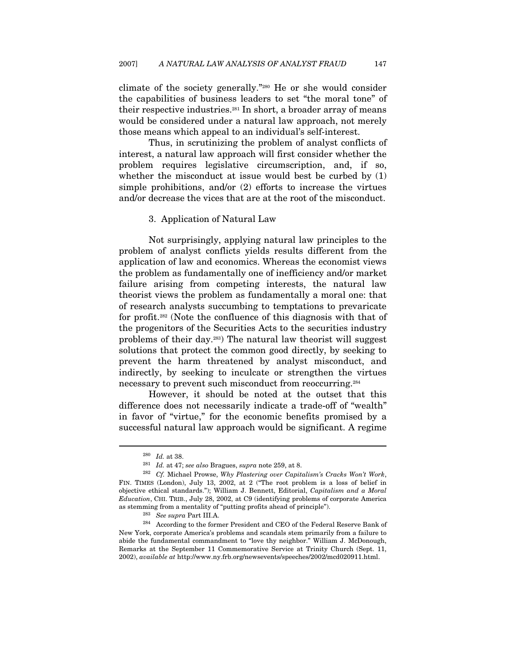climate of the society generally."280 He or she would consider the capabilities of business leaders to set "the moral tone" of their respective industries.281 In short, a broader array of means would be considered under a natural law approach, not merely those means which appeal to an individual's self-interest.

Thus, in scrutinizing the problem of analyst conflicts of interest, a natural law approach will first consider whether the problem requires legislative circumscription, and, if so, whether the misconduct at issue would best be curbed by (1) simple prohibitions, and/or (2) efforts to increase the virtues and/or decrease the vices that are at the root of the misconduct.

#### 3. Application of Natural Law

Not surprisingly, applying natural law principles to the problem of analyst conflicts yields results different from the application of law and economics. Whereas the economist views the problem as fundamentally one of inefficiency and/or market failure arising from competing interests, the natural law theorist views the problem as fundamentally a moral one: that of research analysts succumbing to temptations to prevaricate for profit.282 (Note the confluence of this diagnosis with that of the progenitors of the Securities Acts to the securities industry problems of their day.283) The natural law theorist will suggest solutions that protect the common good directly, by seeking to prevent the harm threatened by analyst misconduct, and indirectly, by seeking to inculcate or strengthen the virtues necessary to prevent such misconduct from reoccurring.284

However, it should be noted at the outset that this difference does not necessarily indicate a trade-off of "wealth" in favor of "virtue," for the economic benefits promised by a successful natural law approach would be significant. A regime

 $^{280}\;$   $Id.$  at 38.  $^{281}\;$   $Id.$  at 47;  $see\; also$  Bragues,  $supra$  note 259, at 8.

 $282$  Cf. Michael Prowse, Why Plastering over Capitalism's Cracks Won't Work, FIN. TIMES (London), July 13, 2002, at 2 ("The root problem is a loss of belief in objective ethical standards."); William J. Bennett, Editorial, Capitalism and a Moral Education, CHI. TRIB., July 28, 2002, at C9 (identifying problems of corporate America

<sup>%</sup> as stemming from a mentality of "putting profits ahead of principle").<br><sup>283</sup> See supra Part III.A. <sup>284</sup> According to the former President and CEO of the Federal Reserve Bank of New York, corporate America's problems and scandals stem primarily from a failure to abide the fundamental commandment to "love thy neighbor." William J. McDonough, Remarks at the September 11 Commemorative Service at Trinity Church (Sept. 11, 2002), available at http://www.ny.frb.org/newsevents/speeches/2002/mcd020911.html.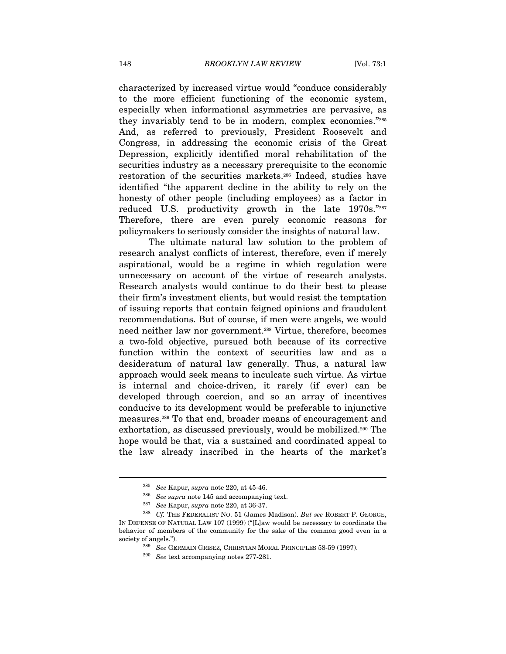characterized by increased virtue would "conduce considerably to the more efficient functioning of the economic system, especially when informational asymmetries are pervasive, as they invariably tend to be in modern, complex economies."285 And, as referred to previously, President Roosevelt and Congress, in addressing the economic crisis of the Great Depression, explicitly identified moral rehabilitation of the securities industry as a necessary prerequisite to the economic restoration of the securities markets.286 Indeed, studies have identified "the apparent decline in the ability to rely on the honesty of other people (including employees) as a factor in reduced U.S. productivity growth in the late 1970s."287 Therefore, there are even purely economic reasons for policymakers to seriously consider the insights of natural law.

The ultimate natural law solution to the problem of research analyst conflicts of interest, therefore, even if merely aspirational, would be a regime in which regulation were unnecessary on account of the virtue of research analysts. Research analysts would continue to do their best to please their firm's investment clients, but would resist the temptation of issuing reports that contain feigned opinions and fraudulent recommendations. But of course, if men were angels, we would need neither law nor government.<sup>288</sup> Virtue, therefore, becomes a two-fold objective, pursued both because of its corrective function within the context of securities law and as a desideratum of natural law generally. Thus, a natural law approach would seek means to inculcate such virtue. As virtue is internal and choice-driven, it rarely (if ever) can be developed through coercion, and so an array of incentives conducive to its development would be preferable to injunctive measures.289 To that end, broader means of encouragement and exhortation, as discussed previously, would be mobilized.290 The hope would be that, via a sustained and coordinated appeal to the law already inscribed in the hearts of the market's

<sup>&</sup>lt;sup>285</sup> See Kapur, supra note 220, at 45-46.<br><sup>286</sup> See supra note 145 and accompanying text.<br><sup>287</sup> See Kapur, supra note 220, at 36-37.<br><sup>288</sup> Cf. THE FEDERALIST NO. 51 (James Madison). *But see* ROBERT P. GEORGE, IN DEFENSE OF NATURAL LAW 107 (1999) ("[L]aw would be necessary to coordinate the behavior of members of the community for the sake of the common good even in a society of angels."). 289 See GERMAIN GRISEZ, CHRISTIAN MORAL PRINCIPLES 58-59 (1997). 290 See text accompanying notes 277-281.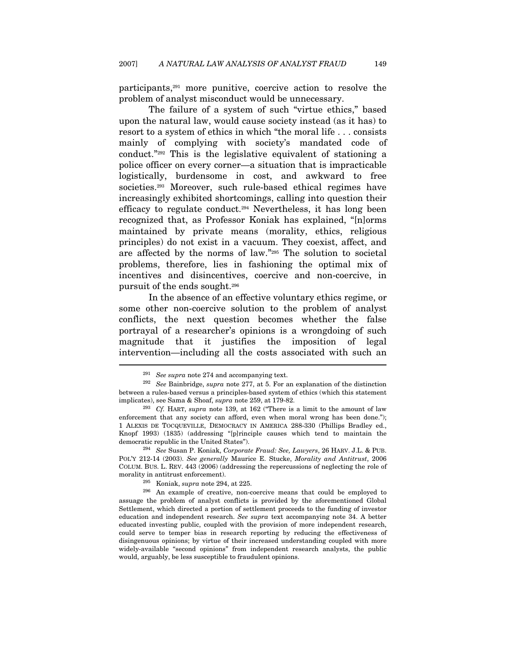participants,291 more punitive, coercive action to resolve the problem of analyst misconduct would be unnecessary.

The failure of a system of such "virtue ethics," based upon the natural law, would cause society instead (as it has) to resort to a system of ethics in which "the moral life . . . consists mainly of complying with society's mandated code of conduct."292 This is the legislative equivalent of stationing a police officer on every corner—a situation that is impracticable logistically, burdensome in cost, and awkward to free societies.293 Moreover, such rule-based ethical regimes have increasingly exhibited shortcomings, calling into question their efficacy to regulate conduct.294 Nevertheless, it has long been recognized that, as Professor Koniak has explained, "[n]orms maintained by private means (morality, ethics, religious principles) do not exist in a vacuum. They coexist, affect, and are affected by the norms of law."295 The solution to societal problems, therefore, lies in fashioning the optimal mix of incentives and disincentives, coercive and non-coercive, in pursuit of the ends sought.296

In the absence of an effective voluntary ethics regime, or some other non-coercive solution to the problem of analyst conflicts, the next question becomes whether the false portrayal of a researcher's opinions is a wrongdoing of such magnitude that it justifies the imposition of legal intervention—including all the costs associated with such an  $\overline{a}$ 

POL'Y 212-14 (2003). See generally Maurice E. Stucke, Morality and Antitrust, 2006 COLUM. BUS. L. REV. 443 (2006) (addressing the repercussions of neglecting the role of morality in antitrust enforcement).<br><sup>295</sup> Koniak, *supra* note 294, at 225.<br><sup>296</sup> An example of creative, non-coercive means that could be employed to

<sup>&</sup>lt;sup>291</sup> See supra note 274 and accompanying text.<br><sup>292</sup> See Bainbridge, supra note 277, at 5. For an explanation of the distinction between a rules-based versus a principles-based system of ethics (which this statement implicates), see Sama & Shoaf, *supra* note 259, at 179-82.<br><sup>293</sup> Cf. HART, *supra* note 139, at 162 ("There is a limit to the amount of law

enforcement that any society can afford, even when moral wrong has been done."); 1 ALEXIS DE TOCQUEVILLE, DEMOCRACY IN AMERICA 288-330 (Phillips Bradley ed., Knopf 1993) (1835) (addressing "[p]rinciple causes which tend to maintain the democratic republic in the United States"). 294 See Susan P. Koniak, Corporate Fraud: See, Lawyers, 26 HARV. J.L. & PUB.

assuage the problem of analyst conflicts is provided by the aforementioned Global Settlement, which directed a portion of settlement proceeds to the funding of investor education and independent research. See supra text accompanying note 34. A better educated investing public, coupled with the provision of more independent research, could serve to temper bias in research reporting by reducing the effectiveness of disingenuous opinions; by virtue of their increased understanding coupled with more widely-available "second opinions" from independent research analysts, the public would, arguably, be less susceptible to fraudulent opinions.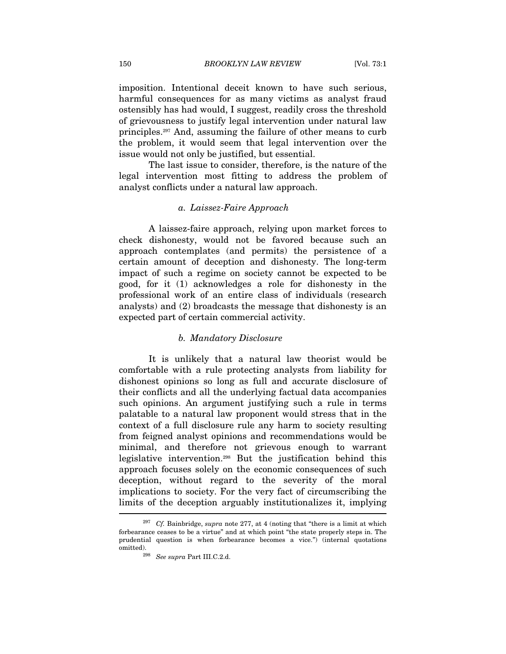imposition. Intentional deceit known to have such serious, harmful consequences for as many victims as analyst fraud ostensibly has had would, I suggest, readily cross the threshold of grievousness to justify legal intervention under natural law principles.297 And, assuming the failure of other means to curb the problem, it would seem that legal intervention over the issue would not only be justified, but essential.

The last issue to consider, therefore, is the nature of the legal intervention most fitting to address the problem of analyst conflicts under a natural law approach.

#### a. Laissez-Faire Approach

A laissez-faire approach, relying upon market forces to check dishonesty, would not be favored because such an approach contemplates (and permits) the persistence of a certain amount of deception and dishonesty. The long-term impact of such a regime on society cannot be expected to be good, for it (1) acknowledges a role for dishonesty in the professional work of an entire class of individuals (research analysts) and (2) broadcasts the message that dishonesty is an expected part of certain commercial activity.

#### b. Mandatory Disclosure

It is unlikely that a natural law theorist would be comfortable with a rule protecting analysts from liability for dishonest opinions so long as full and accurate disclosure of their conflicts and all the underlying factual data accompanies such opinions. An argument justifying such a rule in terms palatable to a natural law proponent would stress that in the context of a full disclosure rule any harm to society resulting from feigned analyst opinions and recommendations would be minimal, and therefore not grievous enough to warrant legislative intervention.298 But the justification behind this approach focuses solely on the economic consequences of such deception, without regard to the severity of the moral implications to society. For the very fact of circumscribing the limits of the deception arguably institutionalizes it, implying

<sup>&</sup>lt;sup>297</sup> Cf. Bainbridge, *supra* note 277, at 4 (noting that "there is a limit at which forbearance ceases to be a virtue" and at which point "the state properly steps in. The prudential question is when forbearance becomes a vice.") (internal quotations % omitted).  $$^{298}$$   ${See}\ supera$  Part III.C.2.d.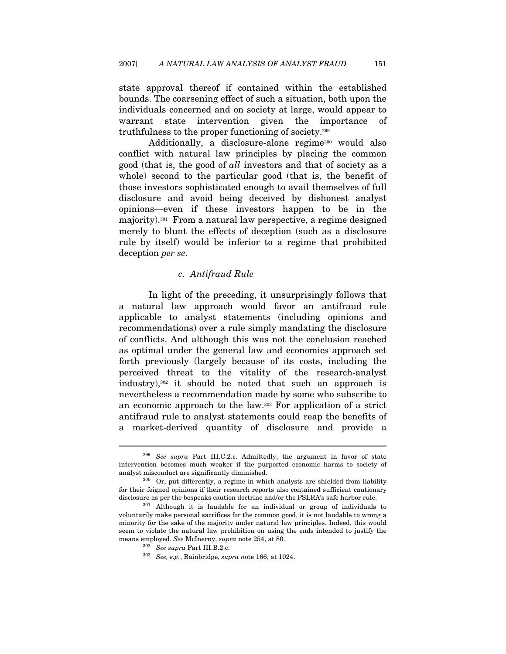state approval thereof if contained within the established bounds. The coarsening effect of such a situation, both upon the individuals concerned and on society at large, would appear to warrant state intervention given the importance of truthfulness to the proper functioning of society.299

Additionally, a disclosure-alone regime<sup>300</sup> would also conflict with natural law principles by placing the common good (that is, the good of all investors and that of society as a whole) second to the particular good (that is, the benefit of those investors sophisticated enough to avail themselves of full disclosure and avoid being deceived by dishonest analyst opinions—even if these investors happen to be in the majority).301 From a natural law perspective, a regime designed merely to blunt the effects of deception (such as a disclosure rule by itself) would be inferior to a regime that prohibited deception per se.

### c. Antifraud Rule

In light of the preceding, it unsurprisingly follows that a natural law approach would favor an antifraud rule applicable to analyst statements (including opinions and recommendations) over a rule simply mandating the disclosure of conflicts. And although this was not the conclusion reached as optimal under the general law and economics approach set forth previously (largely because of its costs, including the perceived threat to the vitality of the research-analyst industry),302 it should be noted that such an approach is nevertheless a recommendation made by some who subscribe to an economic approach to the law.303 For application of a strict antifraud rule to analyst statements could reap the benefits of a market-derived quantity of disclosure and provide a

 $299$  See supra Part III.C.2.c. Admittedly, the argument in favor of state intervention becomes much weaker if the purported economic harms to society of analyst misconduct are significantly diminished.<br><sup>300</sup> Or, put differently, a regime in which analysts are shielded from liability

for their feigned opinions if their research reports also contained sufficient cautionary disclosure as per the bespeaks caution doctrine and/or the PSLRA's safe harbor rule. 301 Although it is laudable for an individual or group of individuals to

voluntarily make personal sacrifices for the common good, it is not laudable to wrong a minority for the sake of the majority under natural law principles. Indeed, this would seem to violate the natural law prohibition on using the ends intended to justify the means employed. See McInerny, supra note 254, at 80.<br><sup>302</sup> See supra Part III.B.2.c. <sup>303</sup> See, e.g., Bainbridge, supra note 166, at 1024.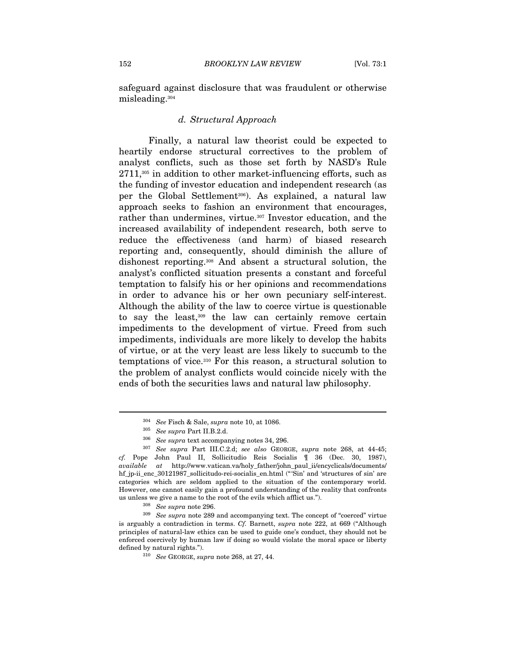safeguard against disclosure that was fraudulent or otherwise misleading.304

#### d. Structural Approach

Finally, a natural law theorist could be expected to heartily endorse structural correctives to the problem of analyst conflicts, such as those set forth by NASD's Rule  $2711$ ,<sup>305</sup> in addition to other market-influencing efforts, such as the funding of investor education and independent research (as per the Global Settlement306). As explained, a natural law approach seeks to fashion an environment that encourages, rather than undermines, virtue.<sup>307</sup> Investor education, and the increased availability of independent research, both serve to reduce the effectiveness (and harm) of biased research reporting and, consequently, should diminish the allure of dishonest reporting.308 And absent a structural solution, the analyst's conflicted situation presents a constant and forceful temptation to falsify his or her opinions and recommendations in order to advance his or her own pecuniary self-interest. Although the ability of the law to coerce virtue is questionable to say the least,309 the law can certainly remove certain impediments to the development of virtue. Freed from such impediments, individuals are more likely to develop the habits of virtue, or at the very least are less likely to succumb to the temptations of vice.310 For this reason, a structural solution to the problem of analyst conflicts would coincide nicely with the ends of both the securities laws and natural law philosophy.

<sup>&</sup>lt;sup>304</sup> See Fisch & Sale, *supra* note 10, at 1086.<br><sup>305</sup> See supra Part II.B.2.d.<br><sup>306</sup> See supra text accompanying notes 34, 296.<br><sup>307</sup> See supra Part III.C.2.d; see also GEORGE, *supra* note 268, at 44-45; cf. Pope John Paul II, Sollicitudio Reis Socialis ¶ 36 (Dec. 30, 1987), available at http://www.vatican.va/holy\_father/john\_paul\_ii/encyclicals/documents/ hf\_jp-ii\_enc\_30121987\_sollicitudo-rei-socialis\_en.html ("'Sin' and 'structures of sin' are categories which are seldom applied to the situation of the contemporary world. However, one cannot easily gain a profound understanding of the reality that confronts us unless we give a name to the root of the evils which afflict us.").<br><sup>308</sup> See supra note 289 and accompanying text. The concept of "coerced" virtue<br><sup>309</sup> See supra note 289 and accompanying text. The concept of "coerce

is arguably a contradiction in terms. Cf. Barnett, supra note 222, at 669 ("Although principles of natural-law ethics can be used to guide one's conduct, they should not be enforced coercively by human law if doing so would violate the moral space or liberty defined by natural rights.").  $See \text{ GEORGE}, \text{supra note } 268, \text{ at } 27, 44.$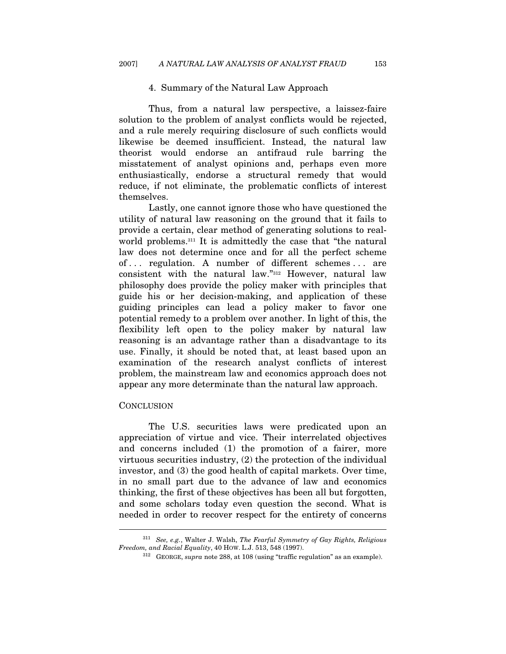#### 4. Summary of the Natural Law Approach

Thus, from a natural law perspective, a laissez-faire solution to the problem of analyst conflicts would be rejected, and a rule merely requiring disclosure of such conflicts would likewise be deemed insufficient. Instead, the natural law theorist would endorse an antifraud rule barring the misstatement of analyst opinions and, perhaps even more enthusiastically, endorse a structural remedy that would reduce, if not eliminate, the problematic conflicts of interest themselves.

Lastly, one cannot ignore those who have questioned the utility of natural law reasoning on the ground that it fails to provide a certain, clear method of generating solutions to realworld problems.311 It is admittedly the case that "the natural law does not determine once and for all the perfect scheme of . . . regulation. A number of different schemes . . . are consistent with the natural law."312 However, natural law philosophy does provide the policy maker with principles that guide his or her decision-making, and application of these guiding principles can lead a policy maker to favor one potential remedy to a problem over another. In light of this, the flexibility left open to the policy maker by natural law reasoning is an advantage rather than a disadvantage to its use. Finally, it should be noted that, at least based upon an examination of the research analyst conflicts of interest problem, the mainstream law and economics approach does not appear any more determinate than the natural law approach.

#### **CONCLUSION**

 $\overline{a}$ 

The U.S. securities laws were predicated upon an appreciation of virtue and vice. Their interrelated objectives and concerns included (1) the promotion of a fairer, more virtuous securities industry, (2) the protection of the individual investor, and (3) the good health of capital markets. Over time, in no small part due to the advance of law and economics thinking, the first of these objectives has been all but forgotten, and some scholars today even question the second. What is needed in order to recover respect for the entirety of concerns

 $^{311}$  See, e.g., Walter J. Walsh, The Fearful Symmetry of Gay Rights, Religious Freedom, and Racial Equality, 40 HOW. L.J. 513, 548 (1997).

 $^{312}$  GEORGE, supra note 288, at 108 (using "traffic regulation" as an example).